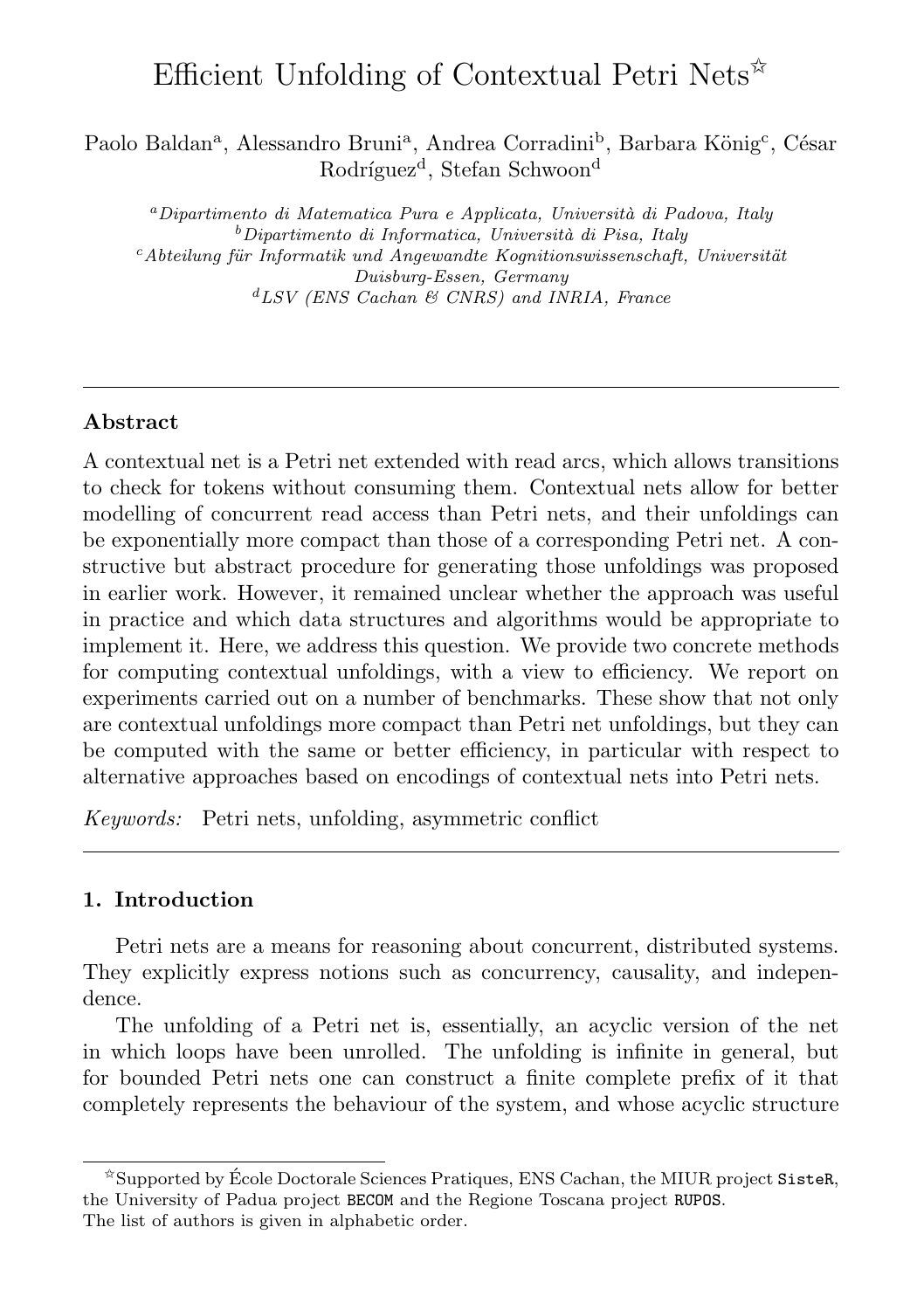# Efficient Unfolding of Contextual Petri Nets<sup> $\hat{\mathbf{x}}$ </sup>

Paolo Baldan<sup>a</sup>, Alessandro Bruni<sup>a</sup>, Andrea Corradini<sup>b</sup>, Barbara König<sup>c</sup>, César Rodríguez<sup>d</sup>, Stefan Schwoon<sup>d</sup>

<sup>a</sup>Dipartimento di Matematica Pura e Applicata, Università di Padova, Italy  $b$ Dipartimento di Informatica, Università di Pisa, Italy  $c$ Abteilung für Informatik und Angewandte Kognitionswissenschaft, Universität Duisburg-Essen, Germany  ${}^{d}LSV$  (ENS Cachan & CNRS) and INRIA, France

# Abstract

A contextual net is a Petri net extended with read arcs, which allows transitions to check for tokens without consuming them. Contextual nets allow for better modelling of concurrent read access than Petri nets, and their unfoldings can be exponentially more compact than those of a corresponding Petri net. A constructive but abstract procedure for generating those unfoldings was proposed in earlier work. However, it remained unclear whether the approach was useful in practice and which data structures and algorithms would be appropriate to implement it. Here, we address this question. We provide two concrete methods for computing contextual unfoldings, with a view to efficiency. We report on experiments carried out on a number of benchmarks. These show that not only are contextual unfoldings more compact than Petri net unfoldings, but they can be computed with the same or better efficiency, in particular with respect to alternative approaches based on encodings of contextual nets into Petri nets.

Keywords: Petri nets, unfolding, asymmetric conflict

# 1. Introduction

Petri nets are a means for reasoning about concurrent, distributed systems. They explicitly express notions such as concurrency, causality, and independence.

The unfolding of a Petri net is, essentially, an acyclic version of the net in which loops have been unrolled. The unfolding is infinite in general, but for bounded Petri nets one can construct a finite complete prefix of it that completely represents the behaviour of the system, and whose acyclic structure

 $\hat{\mathbb{Z}}$ Supported by École Doctorale Sciences Pratiques, ENS Cachan, the MIUR project SisteR, the University of Padua project BECOM and the Regione Toscana project RUPOS. The list of authors is given in alphabetic order.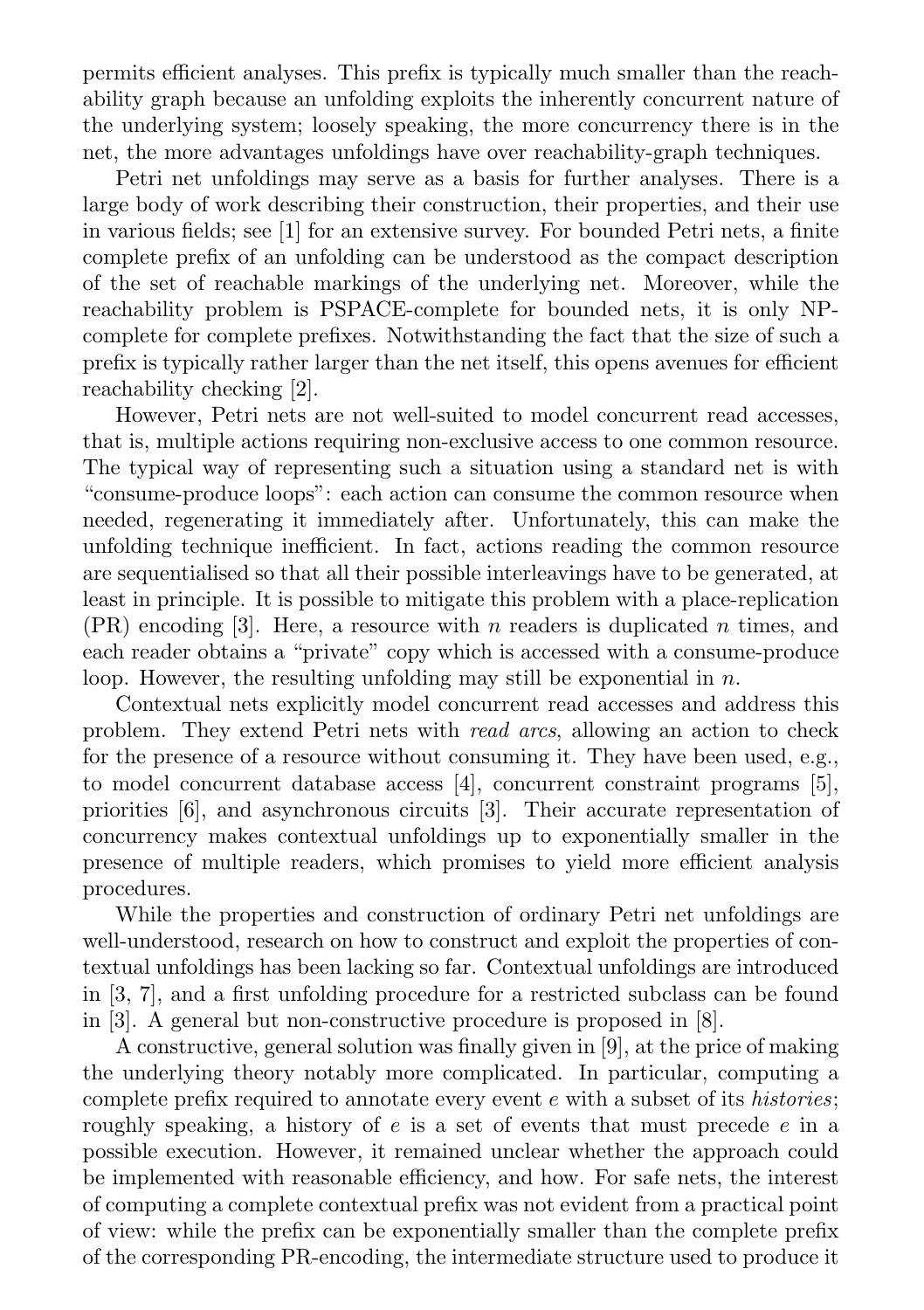permits efficient analyses. This prefix is typically much smaller than the reachability graph because an unfolding exploits the inherently concurrent nature of the underlying system; loosely speaking, the more concurrency there is in the net, the more advantages unfoldings have over reachability-graph techniques.

Petri net unfoldings may serve as a basis for further analyses. There is a large body of work describing their construction, their properties, and their use in various fields; see [1] for an extensive survey. For bounded Petri nets, a finite complete prefix of an unfolding can be understood as the compact description of the set of reachable markings of the underlying net. Moreover, while the reachability problem is PSPACE-complete for bounded nets, it is only NPcomplete for complete prefixes. Notwithstanding the fact that the size of such a prefix is typically rather larger than the net itself, this opens avenues for efficient reachability checking [2].

However, Petri nets are not well-suited to model concurrent read accesses, that is, multiple actions requiring non-exclusive access to one common resource. The typical way of representing such a situation using a standard net is with "consume-produce loops": each action can consume the common resource when needed, regenerating it immediately after. Unfortunately, this can make the unfolding technique inefficient. In fact, actions reading the common resource are sequentialised so that all their possible interleavings have to be generated, at least in principle. It is possible to mitigate this problem with a place-replication  $(PR)$  encoding [3]. Here, a resource with n readers is duplicated n times, and each reader obtains a "private" copy which is accessed with a consume-produce loop. However, the resulting unfolding may still be exponential in  $n$ .

Contextual nets explicitly model concurrent read accesses and address this problem. They extend Petri nets with read arcs, allowing an action to check for the presence of a resource without consuming it. They have been used, e.g., to model concurrent database access [4], concurrent constraint programs [5], priorities [6], and asynchronous circuits [3]. Their accurate representation of concurrency makes contextual unfoldings up to exponentially smaller in the presence of multiple readers, which promises to yield more efficient analysis procedures.

While the properties and construction of ordinary Petri net unfoldings are well-understood, research on how to construct and exploit the properties of contextual unfoldings has been lacking so far. Contextual unfoldings are introduced in [3, 7], and a first unfolding procedure for a restricted subclass can be found in [3]. A general but non-constructive procedure is proposed in [8].

A constructive, general solution was finally given in [9], at the price of making the underlying theory notably more complicated. In particular, computing a complete prefix required to annotate every event e with a subset of its histories; roughly speaking, a history of  $e$  is a set of events that must precede  $e$  in a possible execution. However, it remained unclear whether the approach could be implemented with reasonable efficiency, and how. For safe nets, the interest of computing a complete contextual prefix was not evident from a practical point of view: while the prefix can be exponentially smaller than the complete prefix of the corresponding PR-encoding, the intermediate structure used to produce it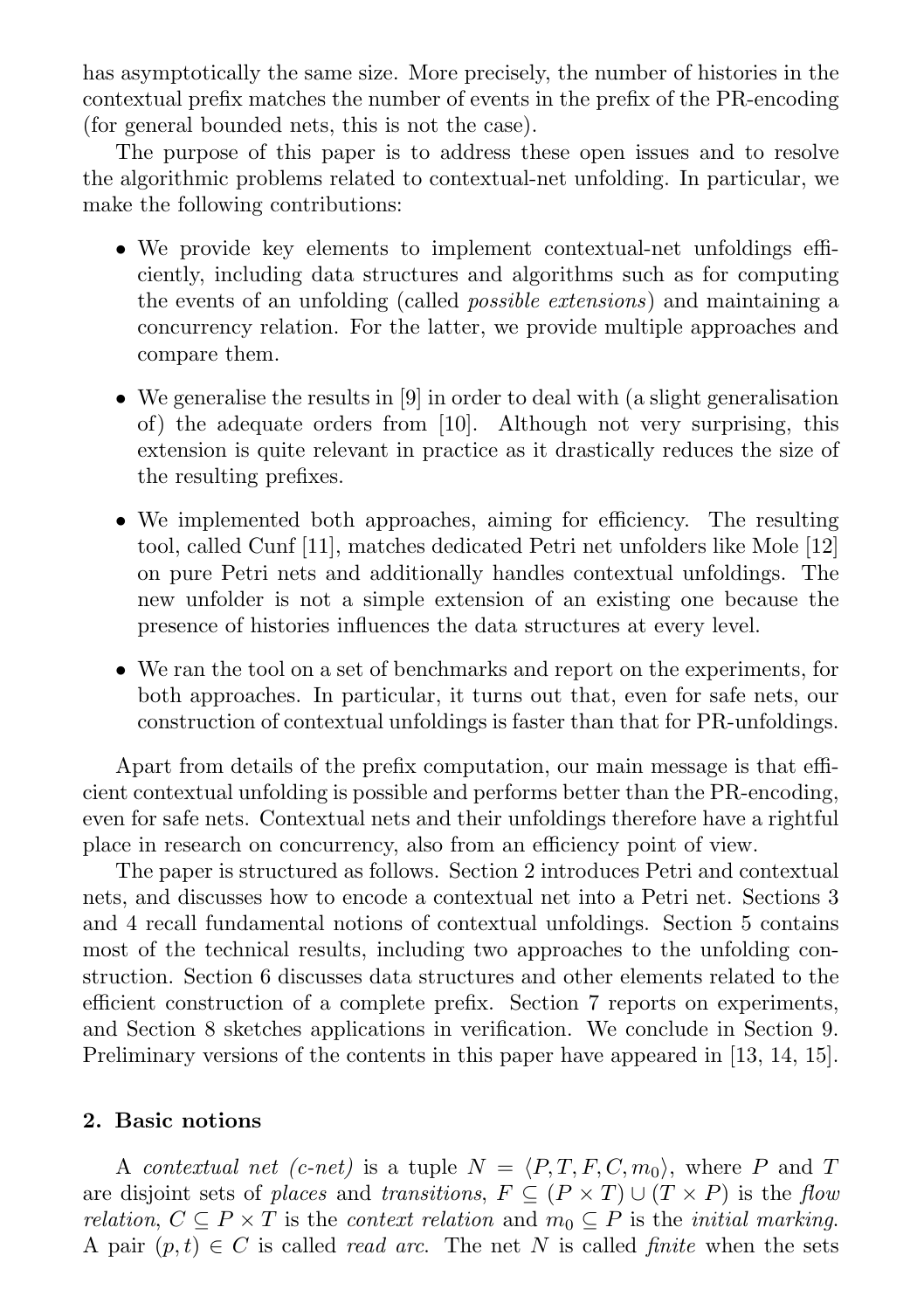has asymptotically the same size. More precisely, the number of histories in the contextual prefix matches the number of events in the prefix of the PR-encoding (for general bounded nets, this is not the case).

The purpose of this paper is to address these open issues and to resolve the algorithmic problems related to contextual-net unfolding. In particular, we make the following contributions:

- We provide key elements to implement contextual-net unfoldings efficiently, including data structures and algorithms such as for computing the events of an unfolding (called possible extensions) and maintaining a concurrency relation. For the latter, we provide multiple approaches and compare them.
- We generalise the results in [9] in order to deal with (a slight generalisation of) the adequate orders from [10]. Although not very surprising, this extension is quite relevant in practice as it drastically reduces the size of the resulting prefixes.
- We implemented both approaches, aiming for efficiency. The resulting tool, called Cunf [11], matches dedicated Petri net unfolders like Mole [12] on pure Petri nets and additionally handles contextual unfoldings. The new unfolder is not a simple extension of an existing one because the presence of histories influences the data structures at every level.
- We ran the tool on a set of benchmarks and report on the experiments, for both approaches. In particular, it turns out that, even for safe nets, our construction of contextual unfoldings is faster than that for PR-unfoldings.

Apart from details of the prefix computation, our main message is that efficient contextual unfolding is possible and performs better than the PR-encoding, even for safe nets. Contextual nets and their unfoldings therefore have a rightful place in research on concurrency, also from an efficiency point of view.

The paper is structured as follows. Section 2 introduces Petri and contextual nets, and discusses how to encode a contextual net into a Petri net. Sections 3 and 4 recall fundamental notions of contextual unfoldings. Section 5 contains most of the technical results, including two approaches to the unfolding construction. Section 6 discusses data structures and other elements related to the efficient construction of a complete prefix. Section 7 reports on experiments, and Section 8 sketches applications in verification. We conclude in Section 9. Preliminary versions of the contents in this paper have appeared in [13, 14, 15].

# 2. Basic notions

A contextual net (c-net) is a tuple  $N = \langle P, T, F, C, m_0 \rangle$ , where P and T are disjoint sets of places and transitions,  $F \subseteq (P \times T) \cup (T \times P)$  is the flow relation,  $C \subseteq P \times T$  is the context relation and  $m_0 \subseteq P$  is the initial marking. A pair  $(p, t) \in C$  is called *read arc.* The net N is called *finite* when the sets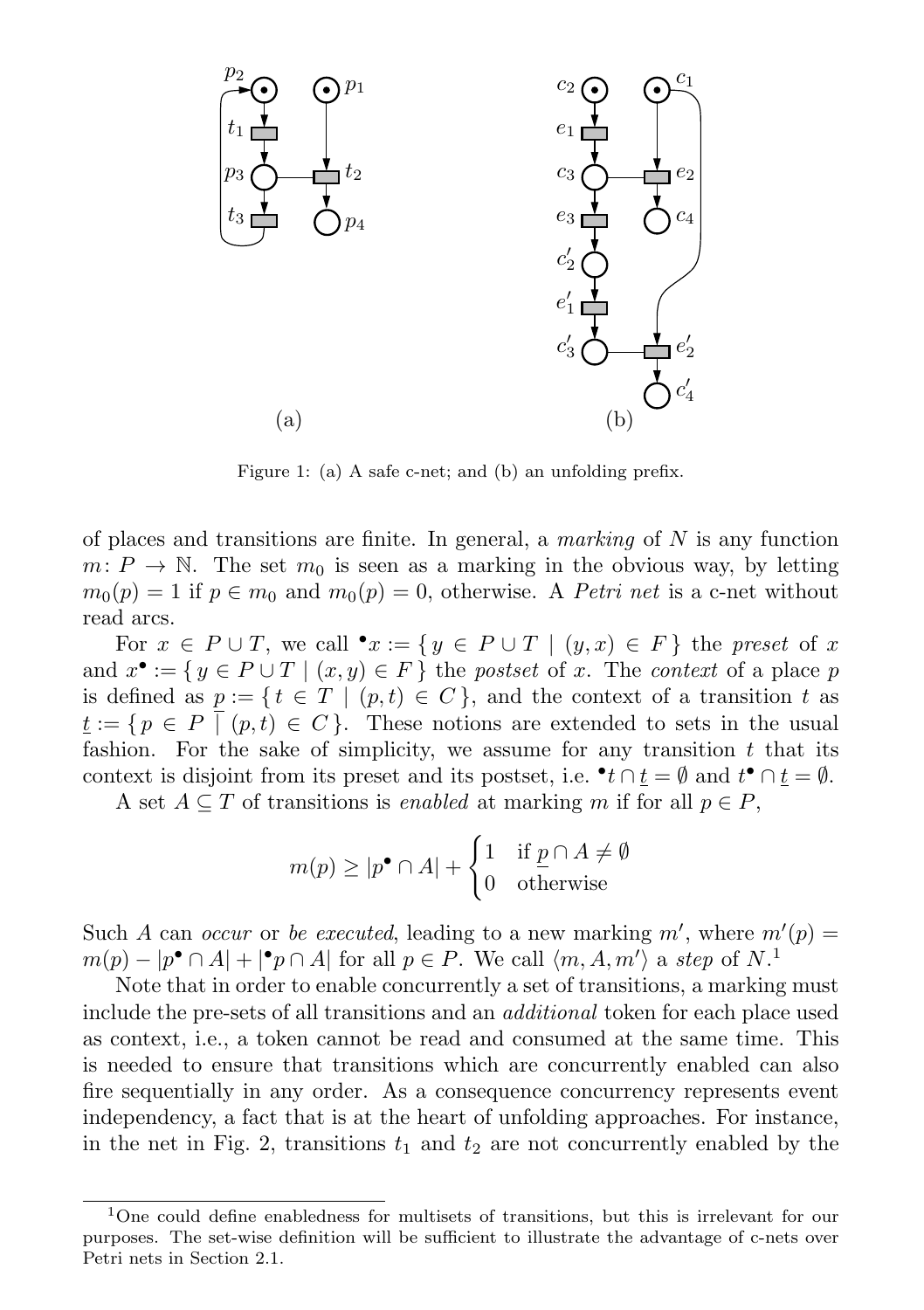

Figure 1: (a) A safe c-net; and (b) an unfolding prefix.

of places and transitions are finite. In general, a *marking* of  $N$  is any function  $m: P \to \mathbb{N}$ . The set  $m_0$  is seen as a marking in the obvious way, by letting  $m_0(p) = 1$  if  $p \in m_0$  and  $m_0(p) = 0$ , otherwise. A *Petri net* is a c-net without read arcs.

For  $x \in P \cup T$ , we call  $\bullet x := \{ y \in P \cup T \mid (y, x) \in F \}$  the preset of x and  $x^{\bullet} := \{ y \in P \cup T \mid (x, y) \in F \}$  the postset of x. The context of a place p is defined as  $p := \{ t \in T \mid (p,t) \in C \}$ , and the context of a transition t as  $\underline{t} := \{ p \in P \mid (p, t) \in C \}.$  These notions are extended to sets in the usual fashion. For the sake of simplicity, we assume for any transition  $t$  that its context is disjoint from its preset and its postset, i.e.  $\bullet$   $t \cap \underline{t} = \emptyset$  and  $t^{\bullet} \cap \underline{t} = \emptyset$ .

A set  $A \subseteq T$  of transitions is *enabled* at marking m if for all  $p \in P$ ,

$$
m(p) \ge |p^{\bullet} \cap A| + \begin{cases} 1 & \text{if } \underline{p} \cap A \neq \emptyset \\ 0 & \text{otherwise} \end{cases}
$$

Such A can occur or be executed, leading to a new marking  $m'$ , where  $m'(p) =$  $m(p) - |p^{\bullet} \cap A| + |^{\bullet} p \cap A|$  for all  $p \in P$ . We call  $\langle m, A, m' \rangle$  a step of  $N$ <sup>1</sup>

Note that in order to enable concurrently a set of transitions, a marking must include the pre-sets of all transitions and an additional token for each place used as context, i.e., a token cannot be read and consumed at the same time. This is needed to ensure that transitions which are concurrently enabled can also fire sequentially in any order. As a consequence concurrency represents event independency, a fact that is at the heart of unfolding approaches. For instance, in the net in Fig. 2, transitions  $t_1$  and  $t_2$  are not concurrently enabled by the

<sup>1</sup>One could define enabledness for multisets of transitions, but this is irrelevant for our purposes. The set-wise definition will be sufficient to illustrate the advantage of c-nets over Petri nets in Section 2.1.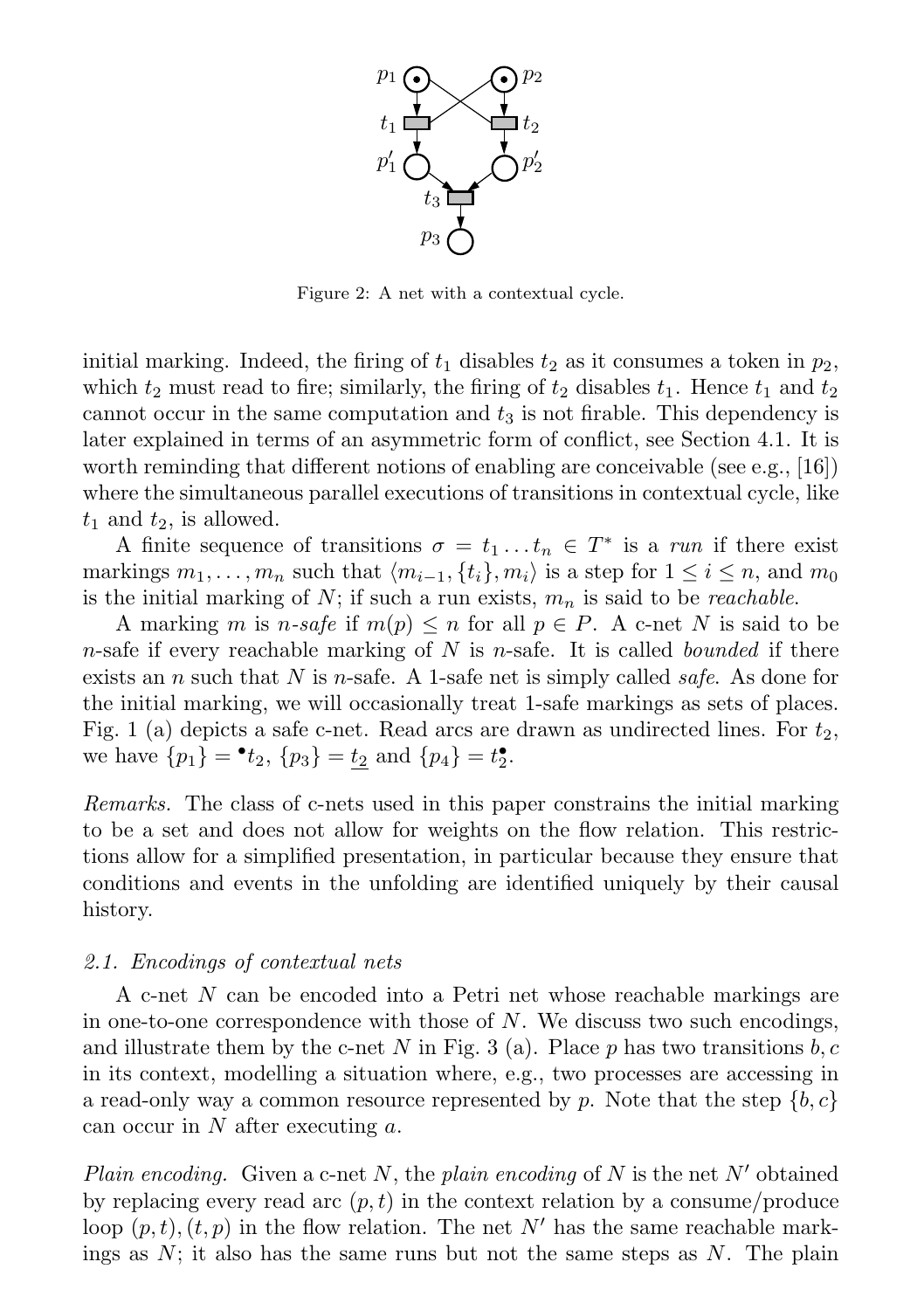

Figure 2: A net with a contextual cycle.

initial marking. Indeed, the firing of  $t_1$  disables  $t_2$  as it consumes a token in  $p_2$ , which  $t_2$  must read to fire; similarly, the firing of  $t_2$  disables  $t_1$ . Hence  $t_1$  and  $t_2$ cannot occur in the same computation and  $t_3$  is not firable. This dependency is later explained in terms of an asymmetric form of conflict, see Section 4.1. It is worth reminding that different notions of enabling are conceivable (see e.g., [16]) where the simultaneous parallel executions of transitions in contextual cycle, like  $t_1$  and  $t_2$ , is allowed.

A finite sequence of transitions  $\sigma = t_1 \dots t_n \in T^*$  is a run if there exist markings  $m_1, \ldots, m_n$  such that  $\langle m_{i-1}, \{t_i\}, m_i \rangle$  is a step for  $1 \le i \le n$ , and  $m_0$ is the initial marking of  $N$ ; if such a run exists,  $m_n$  is said to be *reachable*.

A marking m is n-safe if  $m(p) \leq n$  for all  $p \in P$ . A c-net N is said to be n-safe if every reachable marking of N is n-safe. It is called bounded if there exists an n such that N is n-safe. A 1-safe net is simply called *safe*. As done for the initial marking, we will occasionally treat 1-safe markings as sets of places. Fig. 1 (a) depicts a safe c-net. Read arcs are drawn as undirected lines. For  $t_2$ , we have  $\{p_1\} = \bullet t_2$ ,  $\{p_3\} = \underline{t_2}$  and  $\{p_4\} = t_2^{\bullet}$ .

Remarks. The class of c-nets used in this paper constrains the initial marking to be a set and does not allow for weights on the flow relation. This restrictions allow for a simplified presentation, in particular because they ensure that conditions and events in the unfolding are identified uniquely by their causal history.

#### 2.1. Encodings of contextual nets

A c-net N can be encoded into a Petri net whose reachable markings are in one-to-one correspondence with those of  $N$ . We discuss two such encodings, and illustrate them by the c-net N in Fig. 3 (a). Place  $p$  has two transitions  $b, c$ in its context, modelling a situation where, e.g., two processes are accessing in a read-only way a common resource represented by p. Note that the step  $\{b, c\}$ can occur in N after executing a.

Plain encoding. Given a c-net N, the plain encoding of N is the net N' obtained by replacing every read arc  $(p, t)$  in the context relation by a consume/produce loop  $(p, t)$ ,  $(t, p)$  in the flow relation. The net N' has the same reachable markings as  $N$ ; it also has the same runs but not the same steps as  $N$ . The plain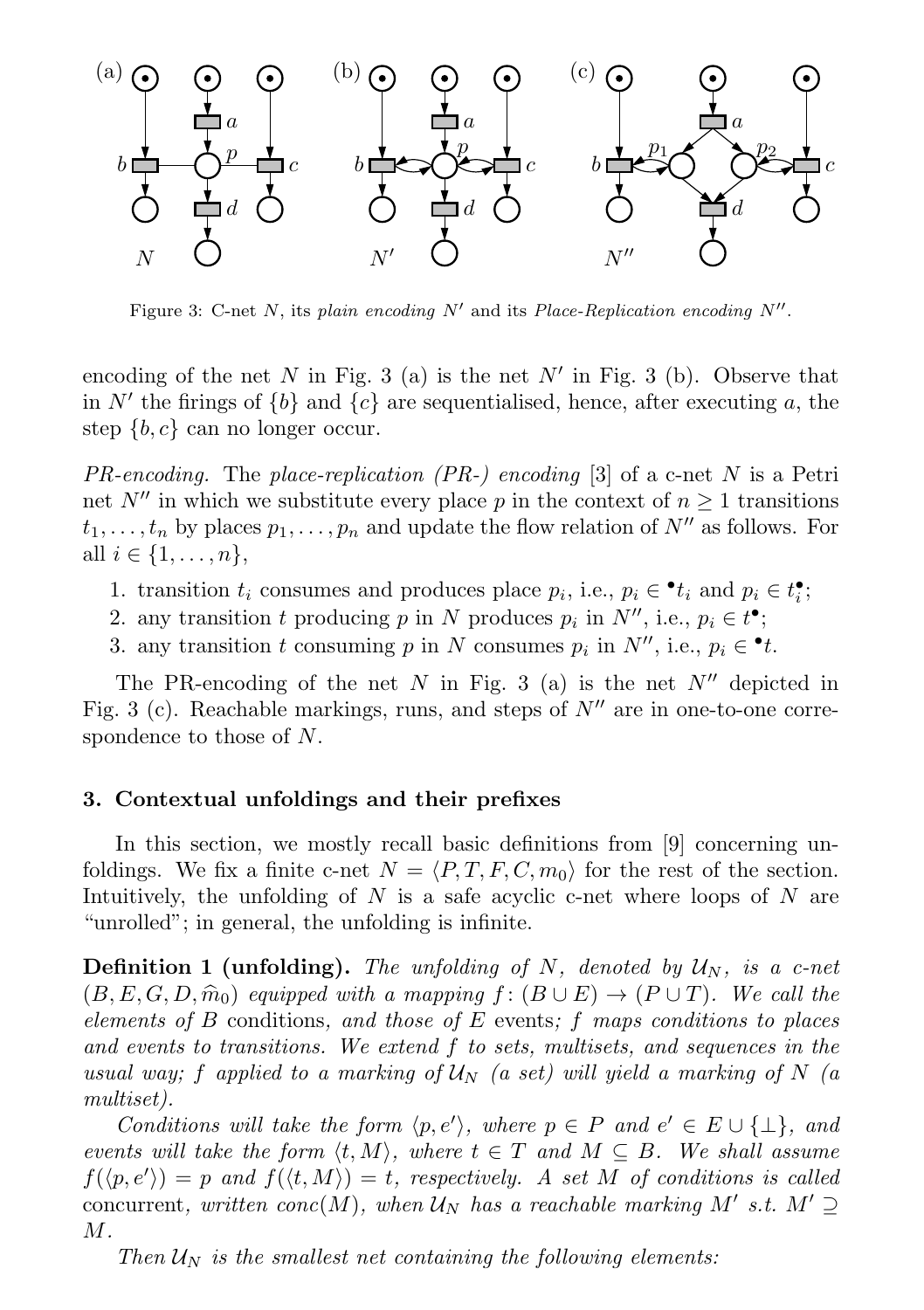

Figure 3: C-net N, its plain encoding  $N'$  and its Place-Replication encoding  $N''$ .

encoding of the net  $N$  in Fig. 3 (a) is the net  $N'$  in Fig. 3 (b). Observe that in N' the firings of  ${b}$  and  ${c}$  are sequentialised, hence, after executing a, the step  $\{b, c\}$  can no longer occur.

 $PR\text{-}encoding$ . The place-replication (PR-) encoding [3] of a c-net N is a Petri net N<sup>0</sup> in which we substitute every place p in the context of  $n \geq 1$  transitions  $t_1, \ldots, t_n$  by places  $p_1, \ldots, p_n$  and update the flow relation of  $N''$  as follows. For all  $i \in \{1, ..., n\},\$ 

- 1. transition  $t_i$  consumes and produces place  $p_i$ , i.e.,  $p_i \in \cdot t_i$  and  $p_i \in t_i^{\bullet}$ ;
- 2. any transition t producing p in N produces  $p_i$  in  $N''$ , i.e.,  $p_i \in t^{\bullet}$ ;
- 3. any transition t consuming p in N consumes  $p_i$  in  $N''$ , i.e.,  $p_i \in \cdot t$ .

The PR-encoding of the net  $N$  in Fig. 3 (a) is the net  $N''$  depicted in Fig. 3 (c). Reachable markings, runs, and steps of  $N''$  are in one-to-one correspondence to those of N.

#### 3. Contextual unfoldings and their prefixes

In this section, we mostly recall basic definitions from [9] concerning unfoldings. We fix a finite c-net  $N = \langle P, T, F, C, m_0 \rangle$  for the rest of the section. Intuitively, the unfolding of  $N$  is a safe acyclic c-net where loops of  $N$  are "unrolled"; in general, the unfolding is infinite.

**Definition 1 (unfolding).** The unfolding of N, denoted by  $U_N$ , is a c-net  $(B, E, G, D, \hat{m}_0)$  equipped with a mapping  $f : (B \cup E) \rightarrow (P \cup T)$ . We call the elements of B conditions, and those of E events; f maps conditions to places and events to transitions. We extend f to sets, multisets, and sequences in the usual way; f applied to a marking of  $U_N$  (a set) will yield a marking of N (a multiset).

Conditions will take the form  $\langle p, e' \rangle$ , where  $p \in P$  and  $e' \in E \cup \{\perp\}$ , and events will take the form  $\langle t, M \rangle$ , where  $t \in T$  and  $M \subseteq B$ . We shall assume  $f(\langle p, e' \rangle) = p$  and  $f(\langle t, M \rangle) = t$ , respectively. A set M of conditions is called concurrent, written conc $(M)$ , when  $\mathcal{U}_N$  has a reachable marking M' s.t.  $M' \supseteq$  $M$ .

Then  $U_N$  is the smallest net containing the following elements: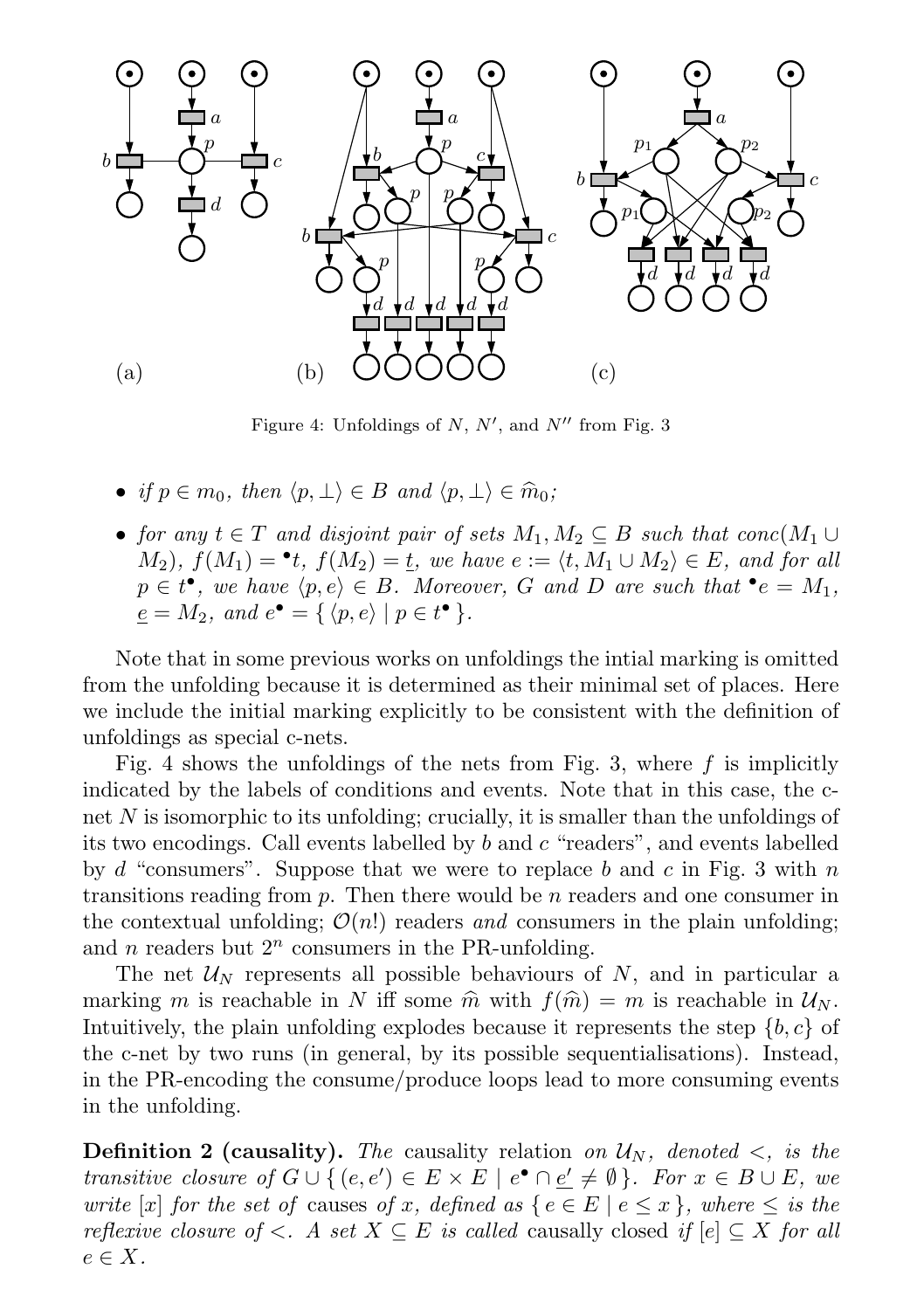

Figure 4: Unfoldings of  $N$ ,  $N'$ , and  $N''$  from Fig. 3

- if  $p \in m_0$ , then  $\langle p, \perp \rangle \in B$  and  $\langle p, \perp \rangle \in \hat{m}_0$ ;
- for any  $t \in T$  and disjoint pair of sets  $M_1, M_2 \subseteq B$  such that conc $(M_1 \cup$  $(M_2)$ ,  $f(M_1) = \cdot t$ ,  $f(M_2) = \underline{t}$ , we have  $e := \langle t, M_1 \cup M_2 \rangle \in E$ , and for all  $p \in t^{\bullet}$ , we have  $\langle p, e \rangle \in B$ . Moreover, G and D are such that  $\bullet e = M_1$ ,  $\underline{e} = M_2$ , and  $e^{\bullet} = \{ \langle p, e \rangle \mid p \in t^{\bullet} \}.$

Note that in some previous works on unfoldings the intial marking is omitted from the unfolding because it is determined as their minimal set of places. Here we include the initial marking explicitly to be consistent with the definition of unfoldings as special c-nets.

Fig. 4 shows the unfoldings of the nets from Fig. 3, where  $f$  is implicitly indicated by the labels of conditions and events. Note that in this case, the cnet  $N$  is isomorphic to its unfolding; crucially, it is smaller than the unfoldings of its two encodings. Call events labelled by b and c "readers", and events labelled by d "consumers". Suppose that we were to replace b and c in Fig. 3 with n transitions reading from  $p$ . Then there would be  $n$  readers and one consumer in the contextual unfolding;  $\mathcal{O}(n!)$  readers and consumers in the plain unfolding; and *n* readers but  $2^n$  consumers in the PR-unfolding.

The net  $U_N$  represents all possible behaviours of N, and in particular a marking m is reachable in N iff some  $\hat{m}$  with  $f(\hat{m}) = m$  is reachable in  $\mathcal{U}_N$ . Intuitively, the plain unfolding explodes because it represents the step  $\{b, c\}$  of the c-net by two runs (in general, by its possible sequentialisations). Instead, in the PR-encoding the consume/produce loops lead to more consuming events in the unfolding.

**Definition 2 (causality).** The causality relation on  $U_N$ , denoted  $\lt$ , is the transitive closure of  $G \cup \{ (e, e') \in E \times E \mid e^{\bullet} \cap \underline{e'} \neq \emptyset \}$ . For  $x \in B \cup E$ , we write [x] for the set of causes of x, defined as  $\{e \in E \mid e \leq x\}$ , where  $\leq$  is the reflexive closure of  $\lt$ . A set  $X \subseteq E$  is called causally closed if  $[e] \subseteq X$  for all  $e \in X$ .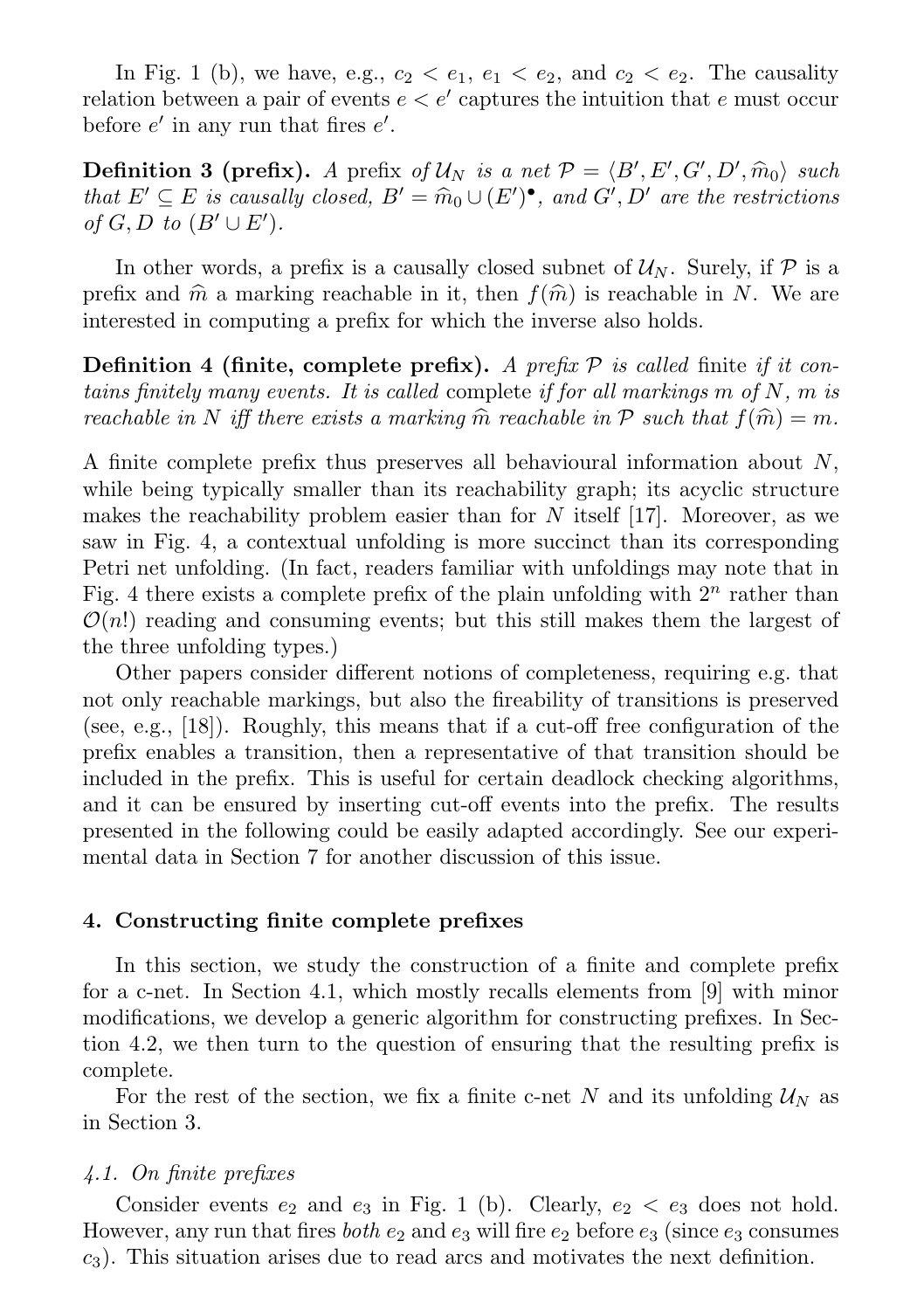In Fig. 1 (b), we have, e.g.,  $c_2 < e_1$ ,  $e_1 < e_2$ , and  $c_2 < e_2$ . The causality relation between a pair of events  $e < e'$  captures the intuition that e must occur before  $e'$  in any run that fires  $e'$ .

**Definition 3 (prefix).** A prefix of  $U_N$  is a net  $\mathcal{P} = \langle B', E', G', D', \hat{m}_0 \rangle$  such that  $E' \subseteq E$  is causally closed  $B' = \hat{m}_{0,1} + (E')$ <sup>o</sup> and  $G' \cap D'$  are the restrictions that  $E' \subseteq E$  is causally closed,  $B' = \widehat{m}_0 \cup (E')^{\bullet}$ , and  $G', D'$  are the restrictions of  $G, D$  to  $(B' \cup F')$ of  $G, D$  to  $(B' \cup E')$ .

In other words, a prefix is a causally closed subnet of  $\mathcal{U}_N$ . Surely, if  $\mathcal{P}$  is a prefix and  $\hat{m}$  a marking reachable in it, then  $f(\hat{m})$  is reachable in N. We are interested in computing a prefix for which the inverse also holds.

**Definition 4 (finite, complete prefix).** A prefix  $P$  is called finite if it contains finitely many events. It is called complete if for all markings  $m$  of  $N$ ,  $m$  is reachable in N iff there exists a marking  $\hat{m}$  reachable in P such that  $f(\hat{m}) = m$ .

A finite complete prefix thus preserves all behavioural information about N, while being typically smaller than its reachability graph; its acyclic structure makes the reachability problem easier than for  $N$  itself [17]. Moreover, as we saw in Fig. 4, a contextual unfolding is more succinct than its corresponding Petri net unfolding. (In fact, readers familiar with unfoldings may note that in Fig. 4 there exists a complete prefix of the plain unfolding with  $2^n$  rather than  $\mathcal{O}(n!)$  reading and consuming events; but this still makes them the largest of the three unfolding types.)

Other papers consider different notions of completeness, requiring e.g. that not only reachable markings, but also the fireability of transitions is preserved (see, e.g., [18]). Roughly, this means that if a cut-off free configuration of the prefix enables a transition, then a representative of that transition should be included in the prefix. This is useful for certain deadlock checking algorithms, and it can be ensured by inserting cut-off events into the prefix. The results presented in the following could be easily adapted accordingly. See our experimental data in Section 7 for another discussion of this issue.

#### 4. Constructing finite complete prefixes

In this section, we study the construction of a finite and complete prefix for a c-net. In Section 4.1, which mostly recalls elements from [9] with minor modifications, we develop a generic algorithm for constructing prefixes. In Section 4.2, we then turn to the question of ensuring that the resulting prefix is complete.

For the rest of the section, we fix a finite c-net N and its unfolding  $\mathcal{U}_N$  as in Section 3.

### 4.1. On finite prefixes

Consider events  $e_2$  and  $e_3$  in Fig. 1 (b). Clearly,  $e_2 < e_3$  does not hold. However, any run that fires *both*  $e_2$  and  $e_3$  will fire  $e_2$  before  $e_3$  (since  $e_3$  consumes  $c_3$ ). This situation arises due to read arcs and motivates the next definition.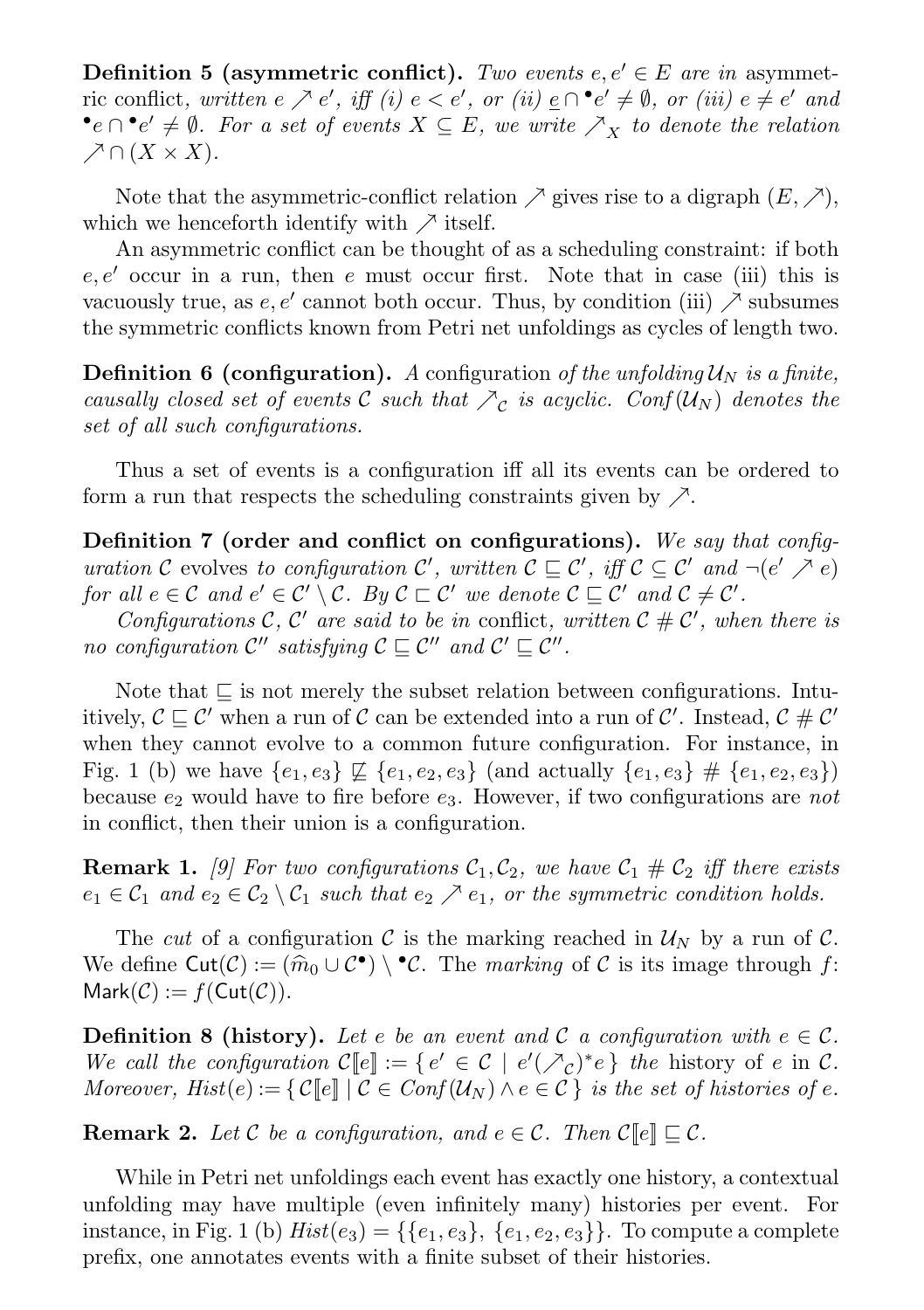**Definition 5 (asymmetric conflict).** Two events  $e, e' \in E$  are in asymmetric conflict, written  $e \nearrow e'$ , iff  $(i) e < e'$ , or  $(ii) e \cap \bullet e' \neq \emptyset$ , or  $(iii) e \neq e'$  and  $\bullet$ e ∩ $\bullet$ e'  $\neq$  Ø. For a set of events  $X \subseteq E$ , we write  $\nearrow_X$  to denote the relation  $\nearrow \cap (X \times X).$ 

Note that the asymmetric-conflict relation  $\nearrow$  gives rise to a digraph  $(E, \nearrow)$ , which we henceforth identify with  $\nearrow$  itself.

An asymmetric conflict can be thought of as a scheduling constraint: if both e, e' occur in a run, then e must occur first. Note that in case (iii) this is vacuously true, as  $e, e'$  cannot both occur. Thus, by condition (iii)  $\nearrow$  subsumes the symmetric conflicts known from Petri net unfoldings as cycles of length two.

**Definition 6 (configuration).** A configuration of the unfolding  $U_N$  is a finite, causally closed set of events C such that  $\sum_{\mathcal{C}}$  is acyclic. Conf( $\mathcal{U}_N$ ) denotes the set of all such configurations.

Thus a set of events is a configuration iff all its events can be ordered to form a run that respects the scheduling constraints given by  $\nearrow$ .

Definition 7 (order and conflict on configurations). We say that configuration C evolves to configuration C', written  $\mathcal{C} \subseteq \mathcal{C}'$ , iff  $\mathcal{C} \subseteq \mathcal{C}'$  and  $\neg(e' \nearrow e)$ for all  $e \in \mathcal{C}$  and  $e' \in \mathcal{C}' \setminus \mathcal{C}$ . By  $\mathcal{C} \sqsubset \mathcal{C}'$  we denote  $\mathcal{C} \sqsubseteq \mathcal{C}'$  and  $\mathcal{C} \neq \mathcal{C}'$ .

Configurations C, C' are said to be in conflict, written  $C \# C'$ , when there is no configuration  $\mathcal{C}''$  satisfying  $\mathcal{C} \subseteq \mathcal{C}''$  and  $\mathcal{C}' \subseteq \mathcal{C}''$ .

Note that  $\Box$  is not merely the subset relation between configurations. Intuitively,  $C \sqsubseteq C'$  when a run of  $C$  can be extended into a run of  $C'$ . Instead,  $C \# C'$ when they cannot evolve to a common future configuration. For instance, in Fig. 1 (b) we have  ${e_1, e_3} \not\sqsubseteq {e_1, e_2, e_3}$  (and actually  ${e_1, e_3} \not\equiv {e_1, e_2, e_3}$ ) because  $e_2$  would have to fire before  $e_3$ . However, if two configurations are not in conflict, then their union is a configuration.

**Remark 1.** [9] For two configurations  $C_1, C_2$ , we have  $C_1 \# C_2$  iff there exists  $e_1 \in C_1$  and  $e_2 \in C_2 \setminus C_1$  such that  $e_2 \nearrow e_1$ , or the symmetric condition holds.

The cut of a configuration C is the marking reached in  $\mathcal{U}_N$  by a run of C. We define  $\text{Cut}(\mathcal{C}) := (\widehat{m}_0 \cup \mathcal{C}^{\bullet}) \setminus {}^{\bullet}\mathcal{C}$ . The *marking* of  $\mathcal{C}$  is its image through  $f:$ <br>Mark $(\mathcal{C}) := f(\text{Cut}(\mathcal{C}))$  $Mark(\mathcal{C}) := f(Cut(\mathcal{C})).$ 

**Definition 8 (history).** Let e be an event and C a configuration with  $e \in \mathcal{C}$ . We call the configuration  $\mathcal{C}[[e]] := \{ e' \in \mathcal{C} \mid e'(\mathcal{N}_c)^* e \}$  the history of e in  $\mathcal{C}$ . Moreover,  $Hist(e) := \{ \mathcal{C}[[e]] \mid \mathcal{C} \in Conf(\mathcal{U}_N) \land e \in \mathcal{C} \}$  is the set of histories of e.

**Remark 2.** Let C be a configuration, and  $e \in \mathcal{C}$ . Then  $\mathcal{C}[\![e]\!] \sqsubseteq \mathcal{C}$ .

While in Petri net unfoldings each event has exactly one history, a contextual unfolding may have multiple (even infinitely many) histories per event. For instance, in Fig. 1 (b)  $Hist(e_3) = {\{e_1, e_3\}, \{e_1, e_2, e_3\}}$ . To compute a complete prefix, one annotates events with a finite subset of their histories.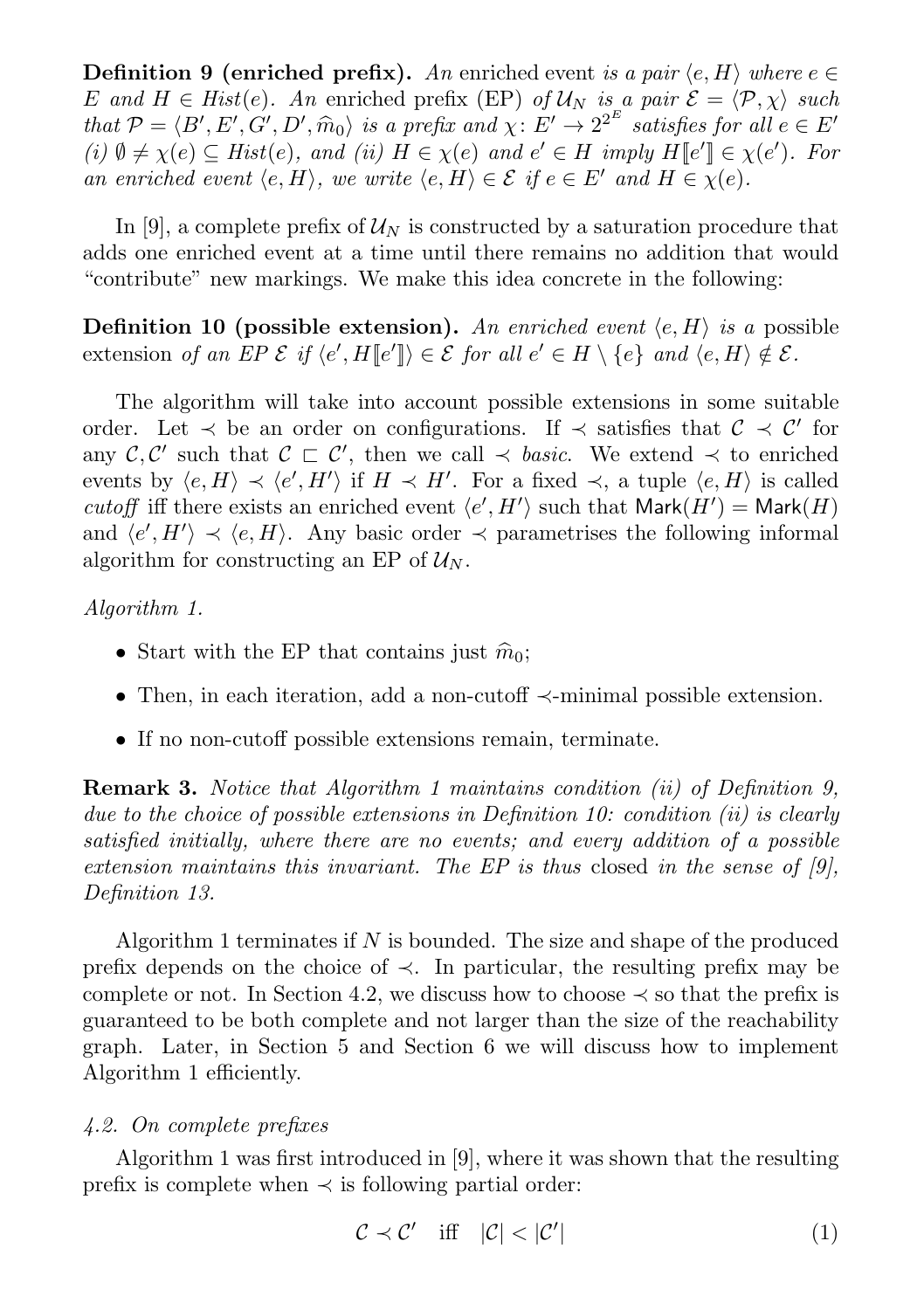**Definition 9 (enriched prefix).** An enriched event is a pair  $\langle e, H \rangle$  where  $e \in \mathcal{E}$ E and  $H \in Hist(e)$ . An enriched prefix (EP) of  $\mathcal{U}_N$  is a pair  $\mathcal{E} = \langle \mathcal{P}, \chi \rangle$  such that  $P = \langle B', E', G', D', \hat{m}_0 \rangle$  is a prefix and  $\chi: E' \to 2^{2^E}$  satisfies for all  $e \in E'$ <br>(i)  $\emptyset \neq \chi(e) \subset$  Hist $(e)$  and (ii)  $H \in \chi(e)$  and  $e' \in H$  imply  $H[[e']] \in \chi(e')$  For  $(i)$   $\emptyset \neq \chi(e) \subseteq Hist(e)$ , and  $(ii)$   $H \in \chi(e)$  and  $e' \in H$  imply  $H[[e']] \in \chi(e')$ . For an enriched event  $\langle e, H \rangle$ , we write  $\langle e, H \rangle \in \mathcal{E}$  if  $e \in E'$  and  $H \in \chi(e)$ .

In [9], a complete prefix of  $\mathcal{U}_N$  is constructed by a saturation procedure that adds one enriched event at a time until there remains no addition that would "contribute" new markings. We make this idea concrete in the following:

**Definition 10 (possible extension).** An enriched event  $\langle e, H \rangle$  is a possible extension of an EP  $\mathcal{E}$  if  $\langle e', H [e'] \rangle \in \mathcal{E}$  for all  $e' \in H \setminus \{e\}$  and  $\langle e, H \rangle \notin \mathcal{E}$ .

The algorithm will take into account possible extensions in some suitable order. Let  $\prec$  be an order on configurations. If  $\prec$  satisfies that  $\mathcal{C} \prec \mathcal{C}'$  for any  $\mathcal{C}, \mathcal{C}'$  such that  $\mathcal{C} \subset \mathcal{C}'$ , then we call  $\prec$  basic. We extend  $\prec$  to enriched events by  $\langle e, H \rangle \prec \langle e', H' \rangle$  if  $H \prec H'$ . For a fixed  $\prec$ , a tuple  $\langle e, H \rangle$  is called cutoff iff there exists an enriched event  $\langle e', H' \rangle$  such that  $\mathsf{Mark}(H') = \mathsf{Mark}(H)$ and  $\langle e', H' \rangle \prec \langle e, H \rangle$ . Any basic order  $\prec$  parametrises the following informal algorithm for constructing an EP of  $\mathcal{U}_N$ .

# Algorithm 1.

- Start with the EP that contains just  $\hat{m}_0$ ;
- Then, in each iteration, add a non-cutoff ≺-minimal possible extension.
- If no non-cutoff possible extensions remain, terminate.

Remark 3. Notice that Algorithm 1 maintains condition (ii) of Definition 9, due to the choice of possible extensions in Definition 10: condition (ii) is clearly satisfied initially, where there are no events; and every addition of a possible extension maintains this invariant. The EP is thus closed in the sense of  $[9]$ , Definition 13.

Algorithm 1 terminates if  $N$  is bounded. The size and shape of the produced prefix depends on the choice of  $\prec$ . In particular, the resulting prefix may be complete or not. In Section 4.2, we discuss how to choose  $\prec$  so that the prefix is guaranteed to be both complete and not larger than the size of the reachability graph. Later, in Section 5 and Section 6 we will discuss how to implement Algorithm 1 efficiently.

# 4.2. On complete prefixes

Algorithm 1 was first introduced in [9], where it was shown that the resulting prefix is complete when  $\prec$  is following partial order:

$$
\mathcal{C} \prec \mathcal{C}' \quad \text{iff} \quad |\mathcal{C}| < |\mathcal{C}'| \tag{1}
$$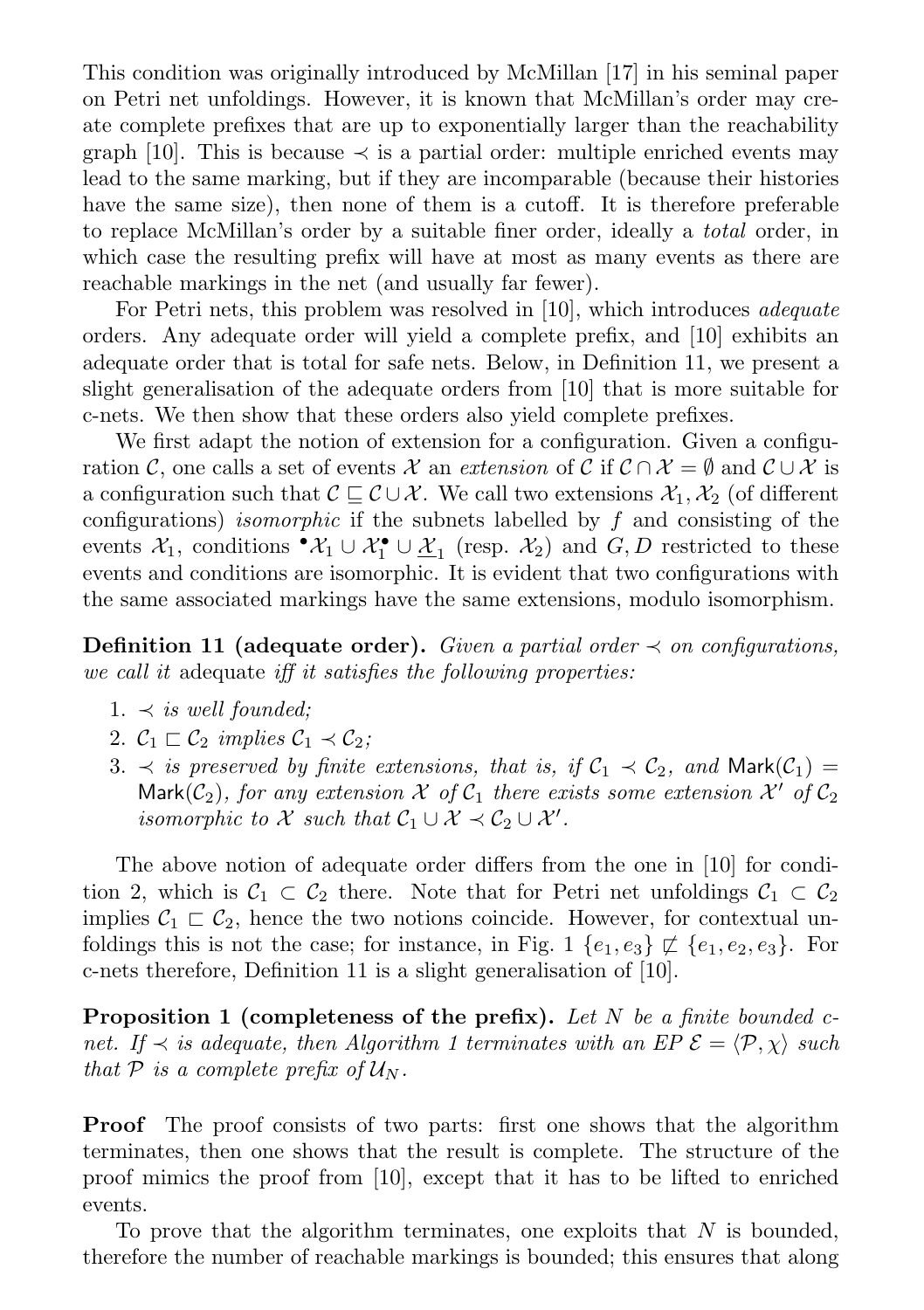This condition was originally introduced by McMillan [17] in his seminal paper on Petri net unfoldings. However, it is known that McMillan's order may create complete prefixes that are up to exponentially larger than the reachability graph [10]. This is because  $\prec$  is a partial order: multiple enriched events may lead to the same marking, but if they are incomparable (because their histories have the same size), then none of them is a cutoff. It is therefore preferable to replace McMillan's order by a suitable finer order, ideally a total order, in which case the resulting prefix will have at most as many events as there are reachable markings in the net (and usually far fewer).

For Petri nets, this problem was resolved in [10], which introduces *adequate* orders. Any adequate order will yield a complete prefix, and [10] exhibits an adequate order that is total for safe nets. Below, in Definition 11, we present a slight generalisation of the adequate orders from [10] that is more suitable for c-nets. We then show that these orders also yield complete prefixes.

We first adapt the notion of extension for a configuration. Given a configuration C, one calls a set of events X an extension of C if  $\mathcal{C} \cap \mathcal{X} = \emptyset$  and  $\mathcal{C} \cup \mathcal{X}$  is a configuration such that  $\mathcal{C} \sqsubseteq \mathcal{C} \cup \mathcal{X}$ . We call two extensions  $\mathcal{X}_1, \mathcal{X}_2$  (of different configurations) *isomorphic* if the subnets labelled by  $f$  and consisting of the events  $\mathcal{X}_1$ , conditions  $\cdot \mathcal{X}_1 \cup \mathcal{X}_1 \cup \underline{\mathcal{X}}_1$  (resp.  $\mathcal{X}_2$ ) and  $G, D$  restricted to these events and conditions are isomorphic. It is evident that two configurations with the same associated markings have the same extensions, modulo isomorphism.

**Definition 11 (adequate order).** Given a partial order  $\prec$  on configurations, we call it adequate iff it satisfies the following properties:

- 1.  $\prec$  is well founded;
- 2.  $C_1 \sqsubset C_2$  implies  $C_1 \prec C_2$ ;
- 3.  $\prec$  is preserved by finite extensions, that is, if  $C_1 \prec C_2$ , and Mark $(C_1)$  = Mark( $C_2$ ), for any extension  $X$  of  $C_1$  there exists some extension  $X'$  of  $C_2$ isomorphic to  $\mathcal X$  such that  $\mathcal C_1 \cup \mathcal X \prec \mathcal C_2 \cup \mathcal X'$ .

The above notion of adequate order differs from the one in [10] for condition 2, which is  $C_1 \subset C_2$  there. Note that for Petri net unfoldings  $C_1 \subset C_2$ implies  $C_1 \rightharpoonup C_2$ , hence the two notions coincide. However, for contextual unfoldings this is not the case; for instance, in Fig. 1  $\{e_1, e_3\} \not\sqsubset \{e_1, e_2, e_3\}$ . For c-nets therefore, Definition 11 is a slight generalisation of [10].

**Proposition 1 (completeness of the prefix).** Let N be a finite bounded cnet. If  $\prec$  is adequate, then Algorithm 1 terminates with an EP  $\mathcal{E} = \langle \mathcal{P}, \chi \rangle$  such that P is a complete prefix of  $\mathcal{U}_N$ .

Proof The proof consists of two parts: first one shows that the algorithm terminates, then one shows that the result is complete. The structure of the proof mimics the proof from [10], except that it has to be lifted to enriched events.

To prove that the algorithm terminates, one exploits that  $N$  is bounded, therefore the number of reachable markings is bounded; this ensures that along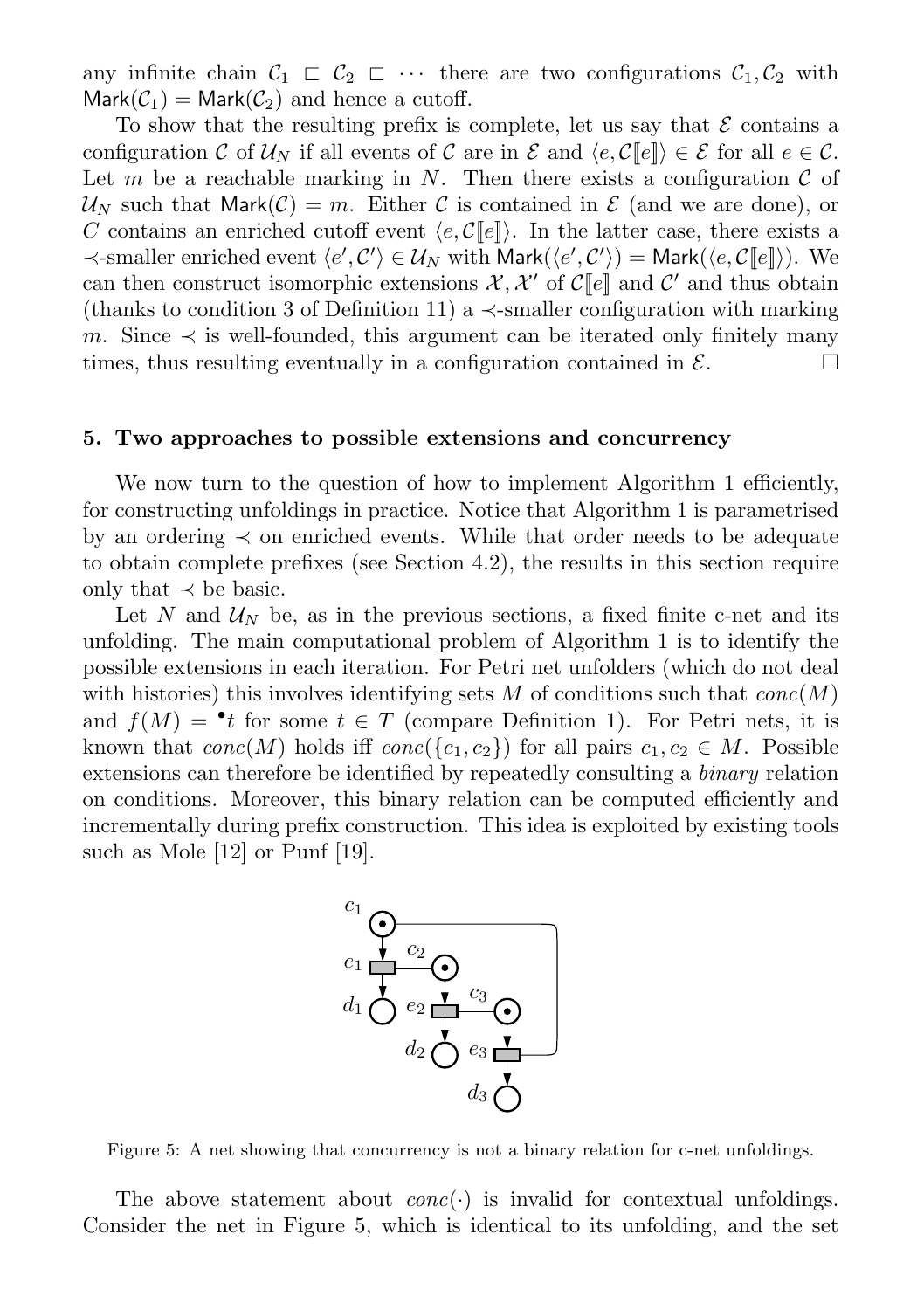any infinite chain  $C_1 \subset C_2 \subset \cdots$  there are two configurations  $C_1, C_2$  with  $Mark(\mathcal{C}_1) = Mark(\mathcal{C}_2)$  and hence a cutoff.

To show that the resulting prefix is complete, let us say that  $\mathcal E$  contains a configuration C of  $U_N$  if all events of C are in E and  $\langle e, C[\![e]\!] \rangle \in \mathcal{E}$  for all  $e \in \mathcal{C}$ . Let m be a reachable marking in N. Then there exists a configuration  $\mathcal C$  of  $\mathcal{U}_N$  such that Mark $(\mathcal{C}) = m$ . Either C is contained in E (and we are done), or C contains an enriched cutoff event  $\langle e, C[\![e]\!] \rangle$ . In the latter case, there exists a  $\prec$ -smaller enriched event  $\langle e', C' \rangle \in \mathcal{U}_N$  with Mark $(\langle e', C' \rangle) =$  Mark $(\langle e, \mathcal{C}[[e]] \rangle)$ . We can then construct isomorphic extensions  $\mathcal{X}, \mathcal{X}'$  of  $\mathcal{C}[\![e]\!]$  and  $\mathcal{C}'$  and thus obtain (thanks to condition 3 of Definition 11) a  $\prec$ -smaller configuration with marking m. Since  $\prec$  is well-founded, this argument can be iterated only finitely many times, thus resulting eventually in a configuration contained in  $\mathcal{E}$ .

#### 5. Two approaches to possible extensions and concurrency

We now turn to the question of how to implement Algorithm 1 efficiently, for constructing unfoldings in practice. Notice that Algorithm 1 is parametrised by an ordering  $\prec$  on enriched events. While that order needs to be adequate to obtain complete prefixes (see Section 4.2), the results in this section require only that  $\prec$  be basic.

Let N and  $\mathcal{U}_N$  be, as in the previous sections, a fixed finite c-net and its unfolding. The main computational problem of Algorithm 1 is to identify the possible extensions in each iteration. For Petri net unfolders (which do not deal with histories) this involves identifying sets M of conditions such that  $conc(M)$ and  $f(M) = \cdot t$  for some  $t \in T$  (compare Definition 1). For Petri nets, it is known that  $conc(M)$  holds iff  $conc({c_1, c_2})$  for all pairs  $c_1, c_2 \in M$ . Possible extensions can therefore be identified by repeatedly consulting a binary relation on conditions. Moreover, this binary relation can be computed efficiently and incrementally during prefix construction. This idea is exploited by existing tools such as Mole [12] or Punf [19].



Figure 5: A net showing that concurrency is not a binary relation for c-net unfoldings.

The above statement about  $conc(\cdot)$  is invalid for contextual unfoldings. Consider the net in Figure 5, which is identical to its unfolding, and the set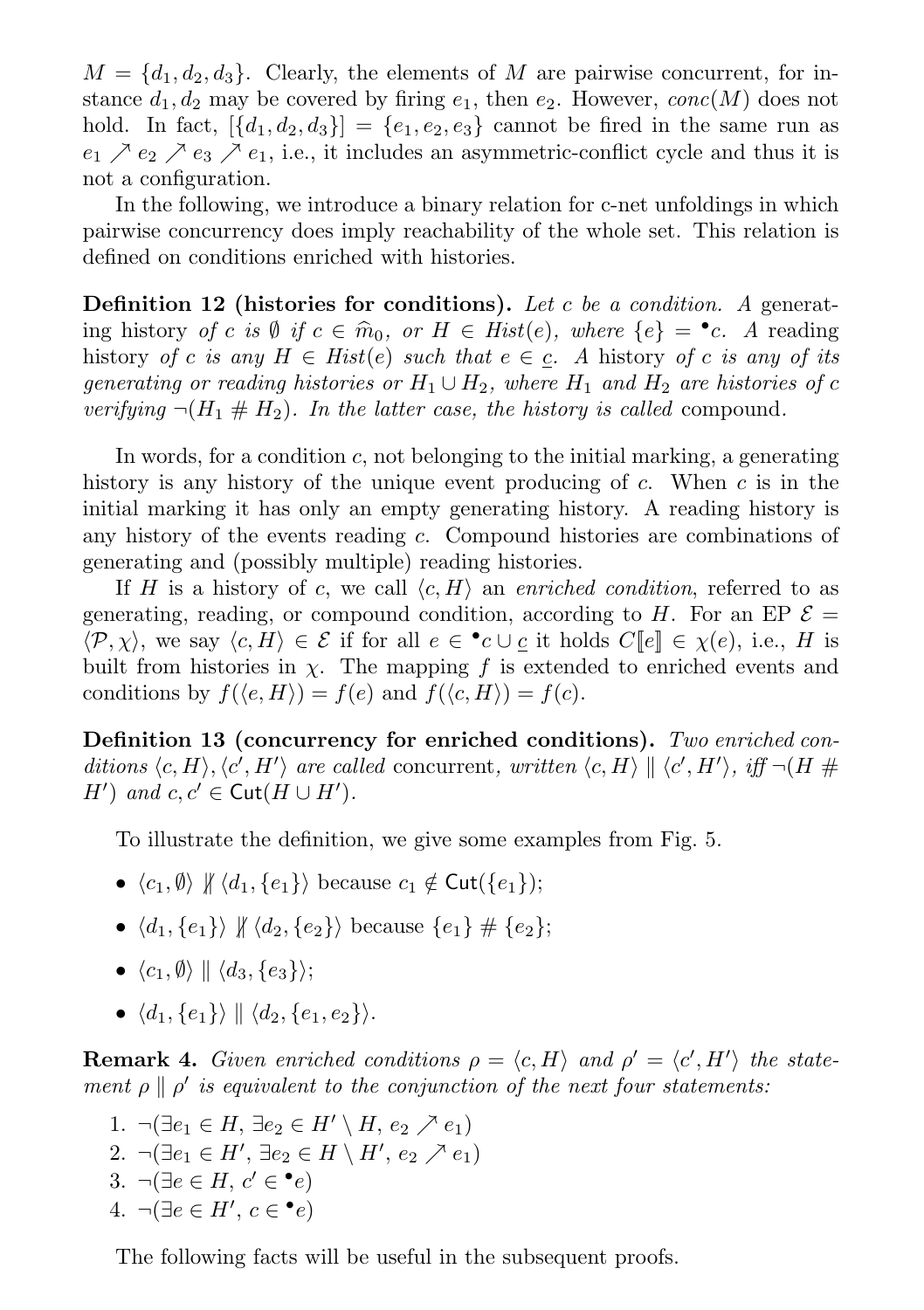$M = \{d_1, d_2, d_3\}.$  Clearly, the elements of M are pairwise concurrent, for instance  $d_1, d_2$  may be covered by firing  $e_1$ , then  $e_2$ . However, conc(M) does not hold. In fact,  $[\{d_1, d_2, d_3\}] = \{e_1, e_2, e_3\}$  cannot be fired in the same run as  $e_1 \nearrow e_2 \nearrow e_3 \nearrow e_1$ , i.e., it includes an asymmetric-conflict cycle and thus it is not a configuration.

In the following, we introduce a binary relation for c-net unfoldings in which pairwise concurrency does imply reachability of the whole set. This relation is defined on conditions enriched with histories.

**Definition 12 (histories for conditions).** Let c be a condition. A generating history of c is Ø if  $c \in \widehat{m}_0$ , or  $H \in Hist(e)$ , where  $\{e\} = \bullet c$ . A reading history of c is any  $H \subseteq Hist(e)$  such that  $e \subseteq c$ . A history of c is any of its history of c is any  $H \in Hist(e)$  such that  $e \in c$ . A history of c is any of its generating or reading histories or  $H_1 \cup H_2$ , where  $H_1$  and  $H_2$  are histories of c verifying  $\neg(H_1 \# H_2)$ . In the latter case, the history is called compound.

In words, for a condition  $c$ , not belonging to the initial marking, a generating history is any history of the unique event producing of  $c$ . When  $c$  is in the initial marking it has only an empty generating history. A reading history is any history of the events reading c. Compound histories are combinations of generating and (possibly multiple) reading histories.

If H is a history of c, we call  $\langle c, H \rangle$  an enriched condition, referred to as generating, reading, or compound condition, according to H. For an EP  $\mathcal{E} =$  $\langle \mathcal{P}, \chi \rangle$ , we say  $\langle c, H \rangle \in \mathcal{E}$  if for all  $e \in \cdot c \cup \underline{c}$  it holds  $C[\![e]\!] \in \chi(e)$ , i.e., H is built from histories in  $\chi$ . The mapping f is extended to enriched events and conditions by  $f(\langle e, H \rangle) = f(e)$  and  $f(\langle c, H \rangle) = f(c)$ .

Definition 13 (concurrency for enriched conditions). Two enriched conditions  $\langle c, H \rangle$ ,  $\langle c', H' \rangle$  are called concurrent, written  $\langle c, H \rangle \parallel \langle c', H' \rangle$ , iff  $\neg(H \#$ H') and  $c, c' \in \text{Cut}(H \cup H')$ .

To illustrate the definition, we give some examples from Fig. 5.

- $\langle c_1, \emptyset \rangle \nparallel \langle d_1, \{e_1\} \rangle$  because  $c_1 \notin \text{Cut}(\{e_1\});$
- $\langle d_1, \{e_1\}\rangle \nparallel \langle d_2, \{e_2\}\rangle$  because  $\{e_1\} \nparallel \{e_2\};$
- $\langle c_1, \emptyset \rangle \parallel \langle d_3, \{e_3\} \rangle;$
- $\langle d_1, \{e_1\} \rangle \parallel \langle d_2, \{e_1, e_2\} \rangle.$

**Remark 4.** Given enriched conditions  $\rho = \langle c, H \rangle$  and  $\rho' = \langle c', H' \rangle$  the statement  $\rho \parallel \rho'$  is equivalent to the conjunction of the next four statements:

1.  $\neg(\exists e_1 \in H, \exists e_2 \in H' \setminus H, e_2 \nearrow e_1)$ 2.  $\neg(\exists e_1 \in H', \exists e_2 \in H \setminus H', e_2 \nearrow e_1)$ 3.  $\neg(\exists e \in H, c' \in \bullet e)$ 4.  $\neg(\exists e \in H', c \in \bullet e)$ 

The following facts will be useful in the subsequent proofs.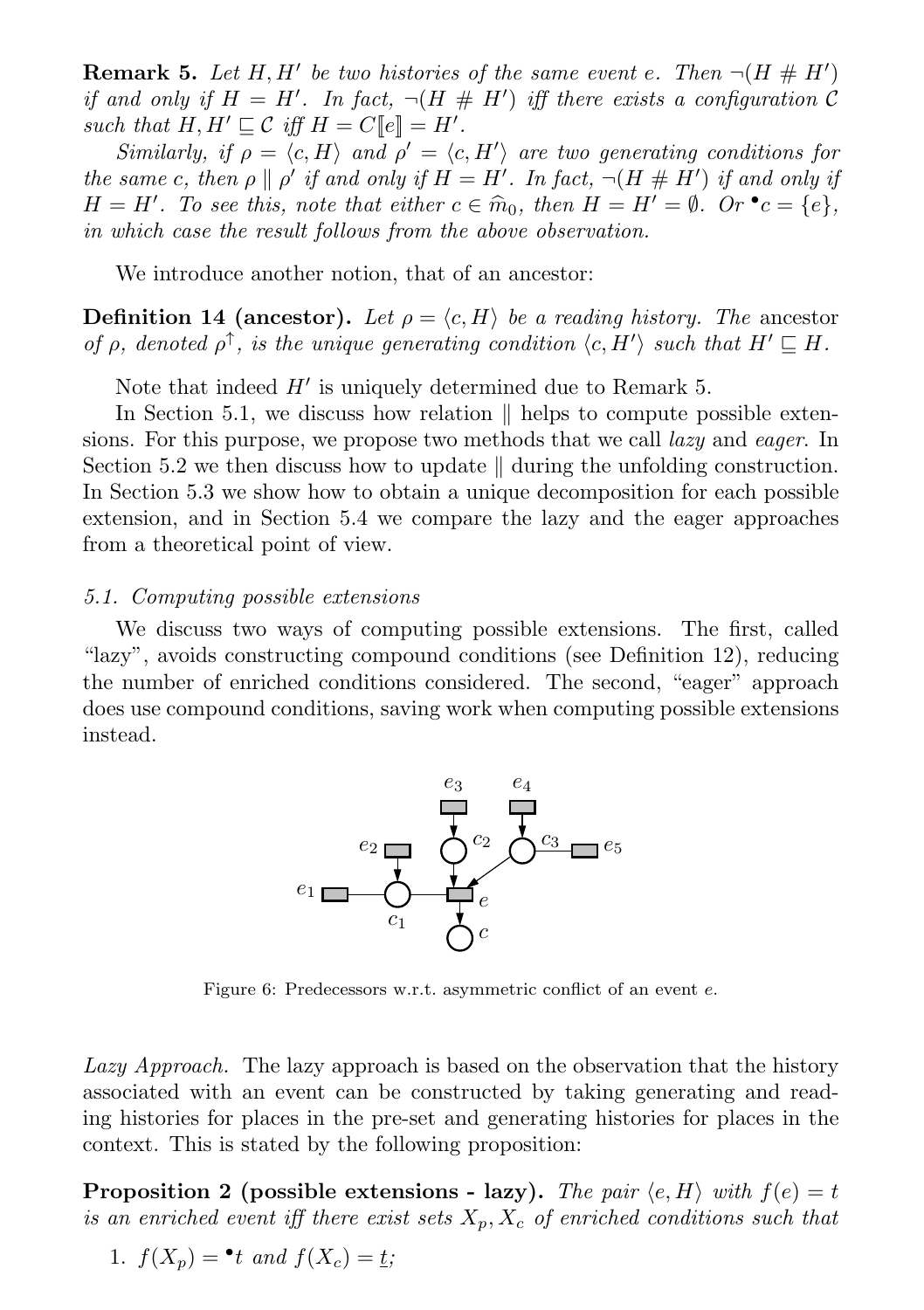**Remark 5.** Let H, H' be two histories of the same event e. Then  $\neg(H \# H')$ if and only if  $H = H'$ . In fact,  $\neg(H \# H')$  iff there exists a configuration C such that  $H, H' \sqsubseteq \mathcal{C}$  iff  $H = C[\![e]\!] = H'.$ 

Similarly, if  $\rho = \langle c, H \rangle$  and  $\rho' = \langle c, H' \rangle$  are two generating conditions for the same c, then  $\rho \parallel \rho'$  if and only if  $H = H'$ . In fact,  $\neg (H \# H')$  if and only if  $H = H'$ . To see this, note that either  $c \in \hat{m}_0$ , then  $H = H' = \emptyset$ . Or  $\bullet c = \{e\}$ , in which case the result follows from the obove observation in which case the result follows from the above observation.

We introduce another notion, that of an ancestor:

**Definition 14 (ancestor).** Let  $\rho = \langle c, H \rangle$  be a reading history. The ancestor of  $\rho$ , denoted  $\rho^{\uparrow}$ , is the unique generating condition  $\langle c, H' \rangle$  such that  $H' \sqsubseteq H$ .

Note that indeed  $H'$  is uniquely determined due to Remark 5.

In Section 5.1, we discuss how relation  $\parallel$  helps to compute possible extensions. For this purpose, we propose two methods that we call *lazy* and *eager*. In Section 5.2 we then discuss how to update  $\parallel$  during the unfolding construction. In Section 5.3 we show how to obtain a unique decomposition for each possible extension, and in Section 5.4 we compare the lazy and the eager approaches from a theoretical point of view.

#### 5.1. Computing possible extensions

We discuss two ways of computing possible extensions. The first, called "lazy", avoids constructing compound conditions (see Definition 12), reducing the number of enriched conditions considered. The second, "eager" approach does use compound conditions, saving work when computing possible extensions instead.



Figure 6: Predecessors w.r.t. asymmetric conflict of an event e.

Lazy Approach. The lazy approach is based on the observation that the history associated with an event can be constructed by taking generating and reading histories for places in the pre-set and generating histories for places in the context. This is stated by the following proposition:

**Proposition 2** (possible extensions - lazy). The pair  $\langle e, H \rangle$  with  $f(e) = t$ is an enriched event iff there exist sets  $X_p, X_c$  of enriched conditions such that

1. 
$$
f(X_p) = \cdot t
$$
 and  $f(X_c) = \underline{t}$ ;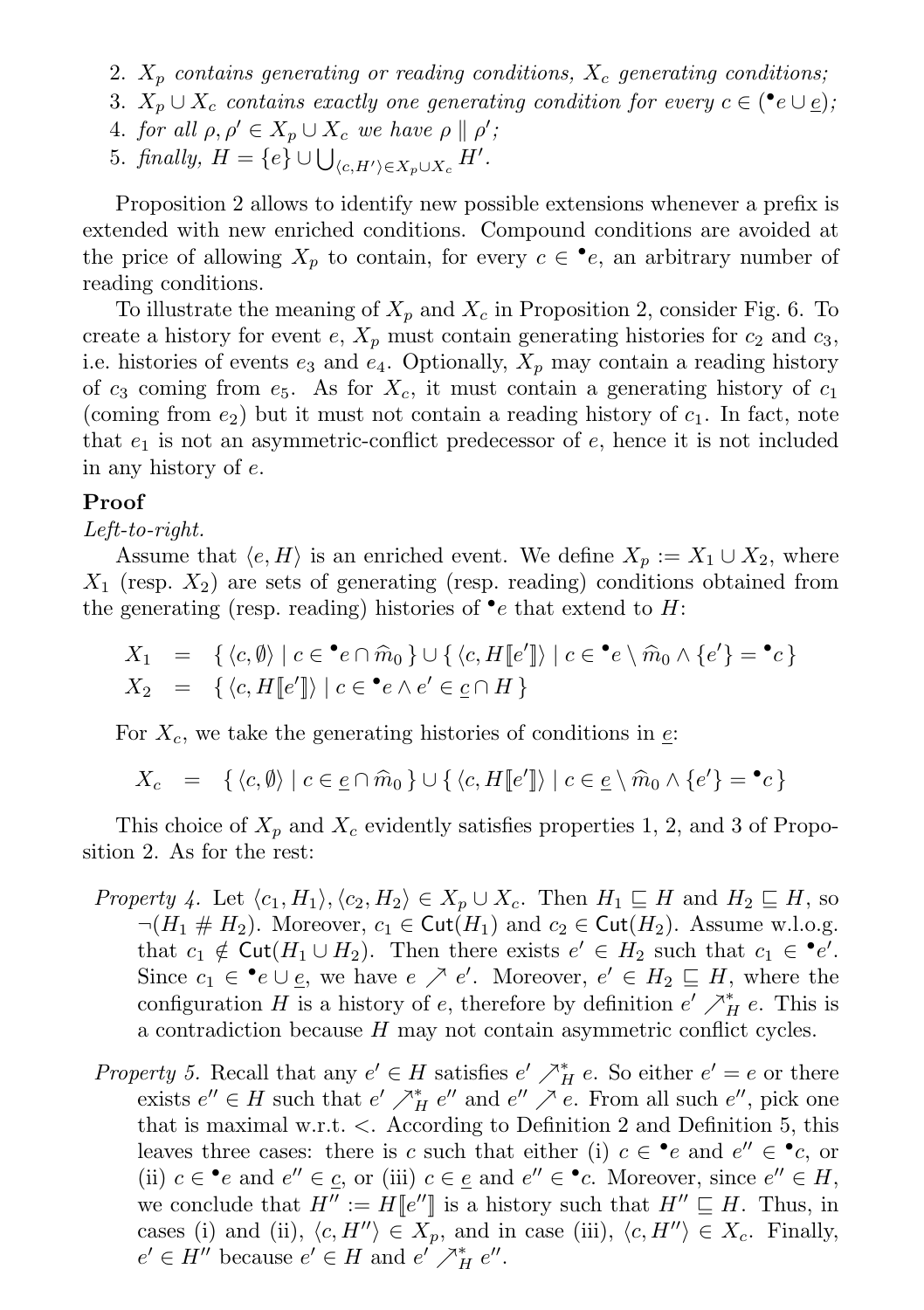- 2.  $X_p$  contains generating or reading conditions,  $X_c$  generating conditions;
- 3.  $X_p \cup X_c$  contains exactly one generating condition for every  $c \in (\bullet e \cup \underline{e});$
- 4. for all  $\rho, \rho' \in X_p \cup X_c$  we have  $\rho \parallel \rho'$ ;
- 5. finally,  $H = \{e\} \cup \bigcup_{\langle c, H' \rangle \in X_p \cup X_c} H'.$

Proposition 2 allows to identify new possible extensions whenever a prefix is extended with new enriched conditions. Compound conditions are avoided at the price of allowing  $X_p$  to contain, for every  $c \in \bullet e$ , an arbitrary number of reading conditions.

To illustrate the meaning of  $X_p$  and  $X_c$  in Proposition 2, consider Fig. 6. To create a history for event e,  $X_p$  must contain generating histories for  $c_2$  and  $c_3$ , i.e. histories of events  $e_3$  and  $e_4$ . Optionally,  $X_p$  may contain a reading history of  $c_3$  coming from  $e_5$ . As for  $X_c$ , it must contain a generating history of  $c_1$ (coming from  $e_2$ ) but it must not contain a reading history of  $c_1$ . In fact, note that  $e_1$  is not an asymmetric-conflict predecessor of  $e$ , hence it is not included in any history of e.

#### Proof

### Left-to-right.

Assume that  $\langle e, H \rangle$  is an enriched event. We define  $X_p := X_1 \cup X_2$ , where  $X_1$  (resp.  $X_2$ ) are sets of generating (resp. reading) conditions obtained from the generating (resp. reading) histories of  $\bullet$ e that extend to H:

$$
X_1 = \{ \langle c, \emptyset \rangle \mid c \in \mathbf{e} \cap \widehat{m}_0 \} \cup \{ \langle c, H[\![e']\!] \rangle \mid c \in \mathbf{e} \setminus \widehat{m}_0 \land \{e'\} = \mathbf{e} \} X_2 = \{ \langle c, H[\![e']\!] \rangle \mid c \in \mathbf{e} \land e' \in \underline{c} \cap H \}
$$

For  $X_c$ , we take the generating histories of conditions in  $\epsilon$ .

$$
X_c = \{ \langle c, \emptyset \rangle \mid c \in \underline{e} \cap \widehat{m}_0 \} \cup \{ \langle c, H[\![e']\!] \rangle \mid c \in \underline{e} \setminus \widehat{m}_0 \wedge \{e'\} = \bullet c \}
$$

This choice of  $X_p$  and  $X_c$  evidently satisfies properties 1, 2, and 3 of Proposition 2. As for the rest:

- *Property 4.* Let  $\langle c_1, H_1 \rangle, \langle c_2, H_2 \rangle \in X_p \cup X_c$ . Then  $H_1 \sqsubseteq H$  and  $H_2 \sqsubseteq H$ , so  $\neg(H_1 \# H_2)$ . Moreover,  $c_1 \in \text{Cut}(H_1)$  and  $c_2 \in \text{Cut}(H_2)$ . Assume w.l.o.g. that  $c_1 \notin \text{Cut}(H_1 \cup H_2)$ . Then there exists  $e' \in H_2$  such that  $c_1 \in \text{P}e'.$ Since  $c_1 \in \bullet e \cup \underline{e}$ , we have  $e \nearrow e'$ . Moreover,  $e' \in H_2 \sqsubseteq H$ , where the configuration H is a history of e, therefore by definition  $e' \nearrow_H^* e$ . This is a contradiction because H may not contain asymmetric conflict cycles.
- Property 5. Recall that any  $e' \in H$  satisfies  $e' \nearrow_H^* e$ . So either  $e' = e$  or there exists  $e'' \in H$  such that  $e' \nearrow_H^* e''$  and  $e'' \nearrow e$ . From all such  $e''$ , pick one that is maximal w.r.t. <. According to Definition 2 and Definition 5, this leaves three cases: there is c such that either (i)  $c \in \cdot^{\bullet}e$  and  $e'' \in \cdot^{\bullet}c$ , or (ii)  $c \in \bullet e$  and  $e'' \in \underline{c}$ , or (iii)  $c \in \underline{e}$  and  $e'' \in \bullet c$ . Moreover, since  $e'' \in H$ , we conclude that  $H'' := H[[e'']]$  is a history such that  $H'' \subseteq H$ . Thus, in cases (i) and (ii),  $\langle c, H'' \rangle \in X_p$ , and in case (iii),  $\langle c, H'' \rangle \in X_c$ . Finally,  $e' \in H''$  because  $e' \in H$  and  $e' \nearrow_H^* e''$ .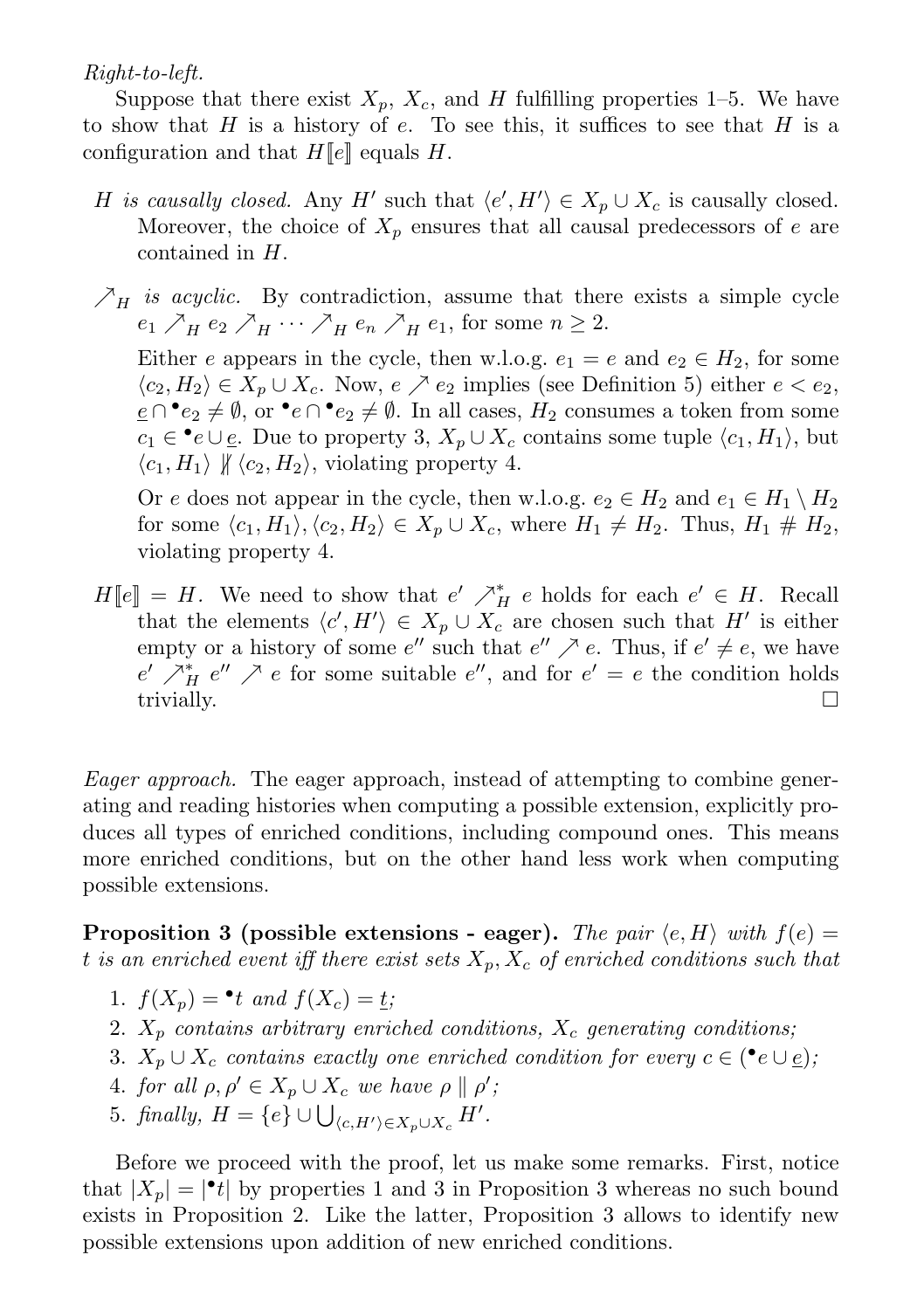Right-to-left.

Suppose that there exist  $X_p$ ,  $X_c$ , and H fulfilling properties 1–5. We have to show that  $H$  is a history of e. To see this, it suffices to see that  $H$  is a configuration and that  $H[\![e]\!]$  equals H.

- H is causally closed. Any H' such that  $\langle e', H' \rangle \in X_p \cup X_c$  is causally closed. Moreover, the choice of  $X_p$  ensures that all causal predecessors of e are contained in H.
- $\mathcal{F}_{H}$  is acyclic. By contradiction, assume that there exists a simple cycle  $e_1 \nearrow_H e_2 \nearrow_H \cdots \nearrow_H e_n \nearrow_H e_1$ , for some  $n \geq 2$ .

Either e appears in the cycle, then w.l.o.g.  $e_1 = e$  and  $e_2 \in H_2$ , for some  $\langle c_2, H_2 \rangle \in X_n \cup X_c$ . Now,  $e \nearrow e_2$  implies (see Definition 5) either  $e < e_2$ ,  $e \cap \cdot e_2 \neq \emptyset$ , or  $\cdot e \cap \cdot e_2 \neq \emptyset$ . In all cases,  $H_2$  consumes a token from some  $c_1 \in \cdot^{\bullet}e \cup \underline{e}$ . Due to property 3,  $X_p \cup X_c$  contains some tuple  $\langle c_1, H_1 \rangle$ , but  $\langle c_1, H_1 \rangle \nparallel \langle c_2, H_2 \rangle$ , violating property 4.

Or e does not appear in the cycle, then w.l.o.g.  $e_2 \in H_2$  and  $e_1 \in H_1 \setminus H_2$ for some  $\langle c_1, H_1 \rangle, \langle c_2, H_2 \rangle \in X_p \cup X_c$ , where  $H_1 \neq H_2$ . Thus,  $H_1 \# H_2$ , violating property 4.

 $H[\![e]\!] = H$ . We need to show that  $e' \nearrow_H^* e$  holds for each  $e' \in H$ . Recall that the elements  $\langle c', H' \rangle \in X_p \cup X_c$  are chosen such that H' is either empty or a history of some  $e''$  such that  $e'' \nearrow e$ . Thus, if  $e' \neq e$ , we have  $e' \nearrow_H^* e'' \nearrow e$  for some suitable  $e''$ , and for  $e' = e$  the condition holds trivially.  $\Box$ 

Eager approach. The eager approach, instead of attempting to combine generating and reading histories when computing a possible extension, explicitly produces all types of enriched conditions, including compound ones. This means more enriched conditions, but on the other hand less work when computing possible extensions.

**Proposition 3** (possible extensions - eager). The pair  $\langle e, H \rangle$  with  $f(e) =$ t is an enriched event iff there exist sets  $X_n, X_c$  of enriched conditions such that

- 1.  $f(X_p) = \bullet t$  and  $f(X_c) = \underline{t}$ ;
- 2.  $X_p$  contains arbitrary enriched conditions,  $X_c$  generating conditions;
- 3.  $X_p \cup X_c$  contains exactly one enriched condition for every  $c \in (\bullet e \cup e)$ ,
- 4. for all  $\rho, \rho' \in X_p \cup X_c$  we have  $\rho \parallel \rho'$ ;
- 5. finally,  $H = \{e\} \cup \bigcup_{\langle c, H' \rangle \in X_p \cup X_c} H'.$

Before we proceed with the proof, let us make some remarks. First, notice that  $|X_p| = |\cdot t|$  by properties 1 and 3 in Proposition 3 whereas no such bound exists in Proposition 2. Like the latter, Proposition 3 allows to identify new possible extensions upon addition of new enriched conditions.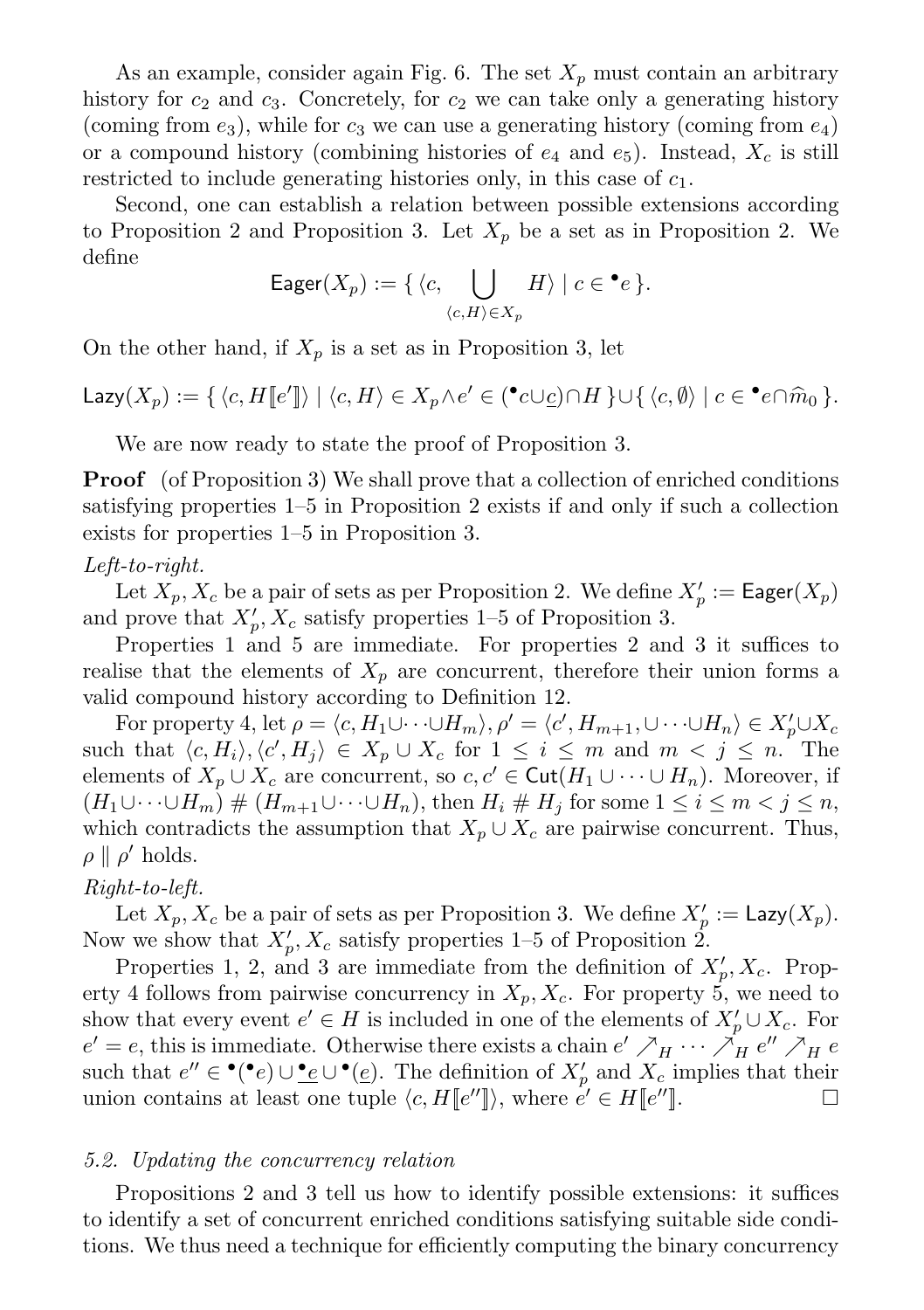As an example, consider again Fig. 6. The set  $X_p$  must contain an arbitrary history for  $c_2$  and  $c_3$ . Concretely, for  $c_2$  we can take only a generating history (coming from  $e_3$ ), while for  $c_3$  we can use a generating history (coming from  $e_4$ ) or a compound history (combining histories of  $e_4$  and  $e_5$ ). Instead,  $X_c$  is still restricted to include generating histories only, in this case of  $c_1$ .

Second, one can establish a relation between possible extensions according to Proposition 2 and Proposition 3. Let  $X_n$  be a set as in Proposition 2. We define

Eager
$$
(X_p)
$$
 := {  $\langle c, \bigcup_{\langle c, H \rangle \in X_p} H \rangle \mid c \in \bullet e \}$ .

On the other hand, if  $X_p$  is a set as in Proposition 3, let

Lazy $(X_p) := \{ \langle c, H [e''] \rangle \mid \langle c, H \rangle \in X_p \wedge e' \in (\mathbf{C} \cup \underline{c}) \cap H \} \cup \{ \langle c, \emptyset \rangle \mid c \in \mathbf{C} \cap \widehat{m}_0 \}.$ 

We are now ready to state the proof of Proposition 3.

Proof (of Proposition 3) We shall prove that a collection of enriched conditions satisfying properties 1–5 in Proposition 2 exists if and only if such a collection exists for properties 1–5 in Proposition 3.

## Left-to-right.

Let  $X_p, X_c$  be a pair of sets as per Proposition 2. We define  $X_p' := \mathsf{Eager}(X_p)$ and prove that  $X'_p, X_c$  satisfy properties 1–5 of Proposition 3.

Properties 1 and 5 are immediate. For properties 2 and 3 it suffices to realise that the elements of  $X_p$  are concurrent, therefore their union forms a valid compound history according to Definition 12.

For property 4, let  $\rho = \langle c, H_1 \cup \cdots \cup H_m \rangle, \rho' = \langle c', H_{m+1}, \cup \cdots \cup H_n \rangle \in X'_{p} \cup X_c$ such that  $\langle c, H_i \rangle, \langle c', H_j \rangle \in X_p \cup X_c$  for  $1 \leq i \leq m$  and  $m < j \leq n$ . The elements of  $X_p \cup X_c$  are concurrent, so  $c, c' \in \text{Cut}(H_1 \cup \cdots \cup H_n)$ . Moreover, if  $(H_1\cup\cdots\cup H_m)\# (H_{m+1}\cup\cdots\cup H_n)$ , then  $H_i\# H_j$  for some  $1\leq i\leq m < j\leq n$ , which contradicts the assumption that  $X_p \cup X_c$  are pairwise concurrent. Thus,  $\rho \parallel \rho'$  holds.

#### Right-to-left.

Let  $X_p, X_c$  be a pair of sets as per Proposition 3. We define  $X'_p := \text{Lazy}(X_p)$ . Now we show that  $X'_p, X_c$  satisfy properties 1–5 of Proposition 2.

Properties 1, 2, and 3 are immediate from the definition of  $X'_p, X_c$ . Property 4 follows from pairwise concurrency in  $X_p, X_c$ . For property 5, we need to show that every event  $e' \in H$  is included in one of the elements of  $X'_{p} \cup X_{c}$ . For  $e' = e$ , this is immediate. Otherwise there exists a chain  $e' \nearrow_H \cdots \nearrow_H e'' \nearrow_H e$ such that  $e'' \in \bullet(\bullet e) \cup \bullet e \cup \bullet(\bullet)$ . The definition of  $X'_{p}$  and  $X_{c}$  implies that their union contains at least one tuple  $\langle c, H[[e'']]\rangle$ , where  $e' \in H[[e'']].$ 

#### 5.2. Updating the concurrency relation

Propositions 2 and 3 tell us how to identify possible extensions: it suffices to identify a set of concurrent enriched conditions satisfying suitable side conditions. We thus need a technique for efficiently computing the binary concurrency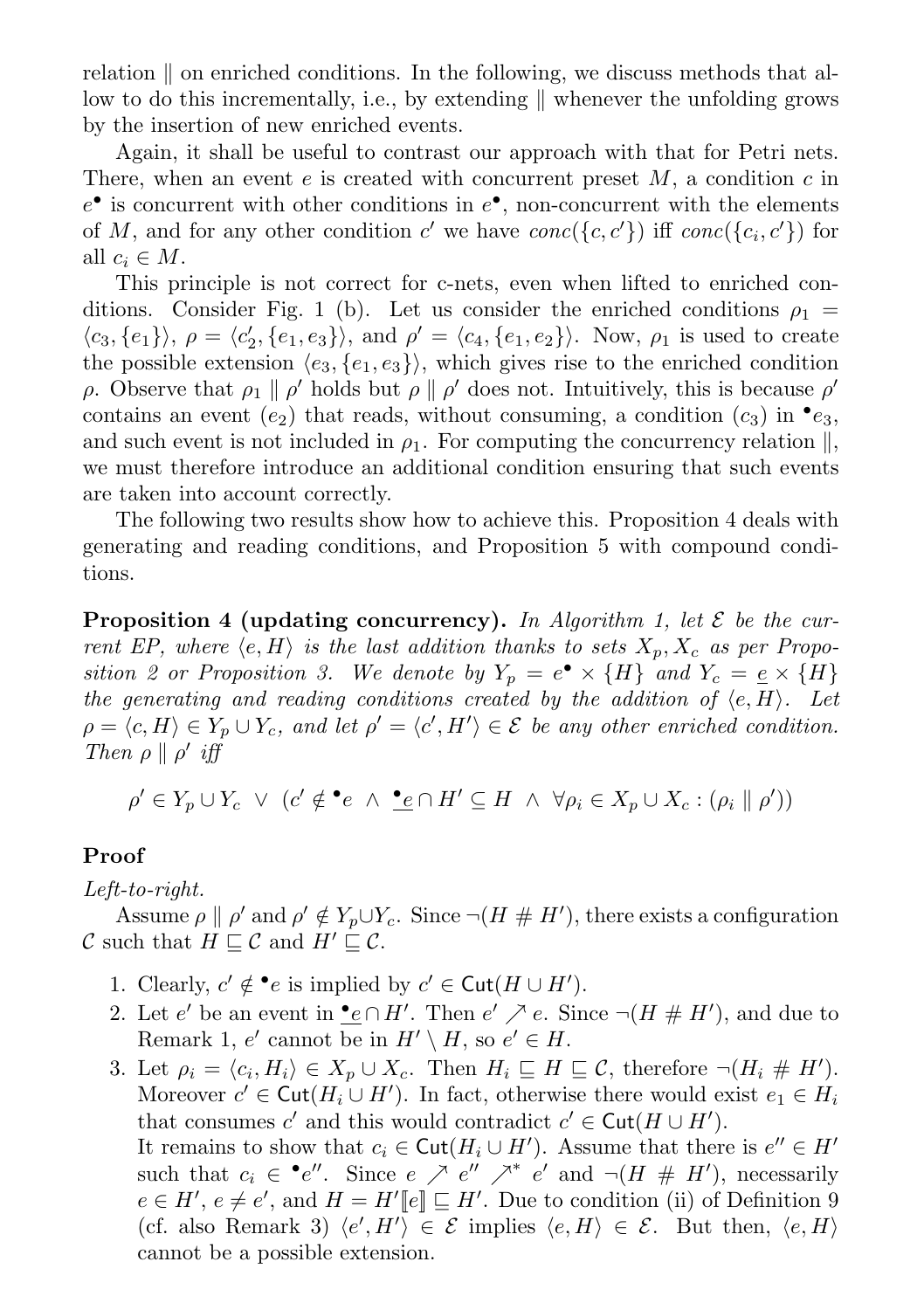relation  $\parallel$  on enriched conditions. In the following, we discuss methods that allow to do this incrementally, i.e., by extending  $\parallel$  whenever the unfolding grows by the insertion of new enriched events.

Again, it shall be useful to contrast our approach with that for Petri nets. There, when an event e is created with concurrent preset  $M$ , a condition c in  $e^{\bullet}$  is concurrent with other conditions in  $e^{\bullet}$ , non-concurrent with the elements of M, and for any other condition  $c'$  we have  $conc({c, c'})$  iff  $conc({c, c'})$  for all  $c_i \in M$ .

This principle is not correct for c-nets, even when lifted to enriched conditions. Consider Fig. 1 (b). Let us consider the enriched conditions  $\rho_1 =$  $\langle c_3, \{e_1\} \rangle$ ,  $\rho = \langle c_2', \{e_1, e_3\} \rangle$ , and  $\rho' = \langle c_4, \{e_1, e_2\} \rangle$ . Now,  $\rho_1$  is used to create the possible extension  $\langle e_3, \{e_1, e_3\} \rangle$ , which gives rise to the enriched condition ρ. Observe that  $\rho_1 \parallel \rho'$  holds but  $\rho \parallel \rho'$  does not. Intuitively, this is because  $\rho'$ contains an event  $(e_2)$  that reads, without consuming, a condition  $(c_3)$  in  $\bullet e_3$ , and such event is not included in  $\rho_1$ . For computing the concurrency relation  $\parallel$ , we must therefore introduce an additional condition ensuring that such events are taken into account correctly.

The following two results show how to achieve this. Proposition 4 deals with generating and reading conditions, and Proposition 5 with compound conditions.

**Proposition 4 (updating concurrency).** In Algorithm 1, let  $\mathcal{E}$  be the current EP, where  $\langle e, H \rangle$  is the last addition thanks to sets  $X_p, X_c$  as per Proposition 2 or Proposition 3. We denote by  $Y_p = e^{\bullet} \times \{H\}$  and  $Y_c = \underline{e} \times \{H\}$ the generating and reading conditions created by the addition of  $\langle e, H \rangle$ . Let  $\rho = \langle c, H \rangle \in Y_p \cup Y_c$ , and let  $\rho' = \langle c', H' \rangle \in \mathcal{E}$  be any other enriched condition. Then  $\rho \parallel \rho'$  iff

$$
\rho' \in Y_p \cup Y_c \ \lor \ (c' \notin \bullet e \ \land \ \bullet e \cap H' \subseteq H \ \land \ \forall \rho_i \in X_p \cup X_c : (\rho_i \parallel \rho'))
$$

## Proof

# Left-to-right.

Assume  $\rho \parallel \rho'$  and  $\rho' \notin Y_p \cup Y_c$ . Since  $\neg(H \# H')$ , there exists a configuration C such that  $H \sqsubset \mathcal{C}$  and  $H' \sqsubset \mathcal{C}$ .

- 1. Clearly,  $c' \notin \bullet e$  is implied by  $c' \in \text{Cut}(H \cup H')$ .
- 2. Let e' be an event in  $\underline{\bullet} \in \cap H'$ . Then  $e' \nearrow e$ . Since  $\neg(H \# H')$ , and due to Remark 1, e' cannot be in  $H' \setminus H$ , so  $e' \in H$ .
- 3. Let  $\rho_i = \langle c_i, H_i \rangle \in X_p \cup X_c$ . Then  $H_i \sqsubseteq H \sqsubseteq \mathcal{C}$ , therefore  $\neg(H_i \# H')$ . Moreover  $c' \in \text{Cut}(H_i \cup H')$ . In fact, otherwise there would exist  $e_1 \in H_i$ that consumes c' and this would contradict  $c' \in \text{Cut}(H \cup H')$ . It remains to show that  $c_i \in \text{Cut}(H_i \cup H')$ . Assume that there is  $e'' \in H'$ such that  $c_i \in \bullet e''$ . Since  $e \nearrow e'' \nearrow^* e'$  and  $\neg(H \# H')$ , necessarily  $e \in H'$ ,  $e \neq e'$ , and  $H = H'[[e]] \sqsubseteq H'$ . Due to condition (ii) of Definition 9 (cf. also Remark 3)  $\langle e', H' \rangle \in \mathcal{E}$  implies  $\langle e, H \rangle \in \mathcal{E}$ . But then,  $\langle e, H \rangle$ cannot be a possible extension.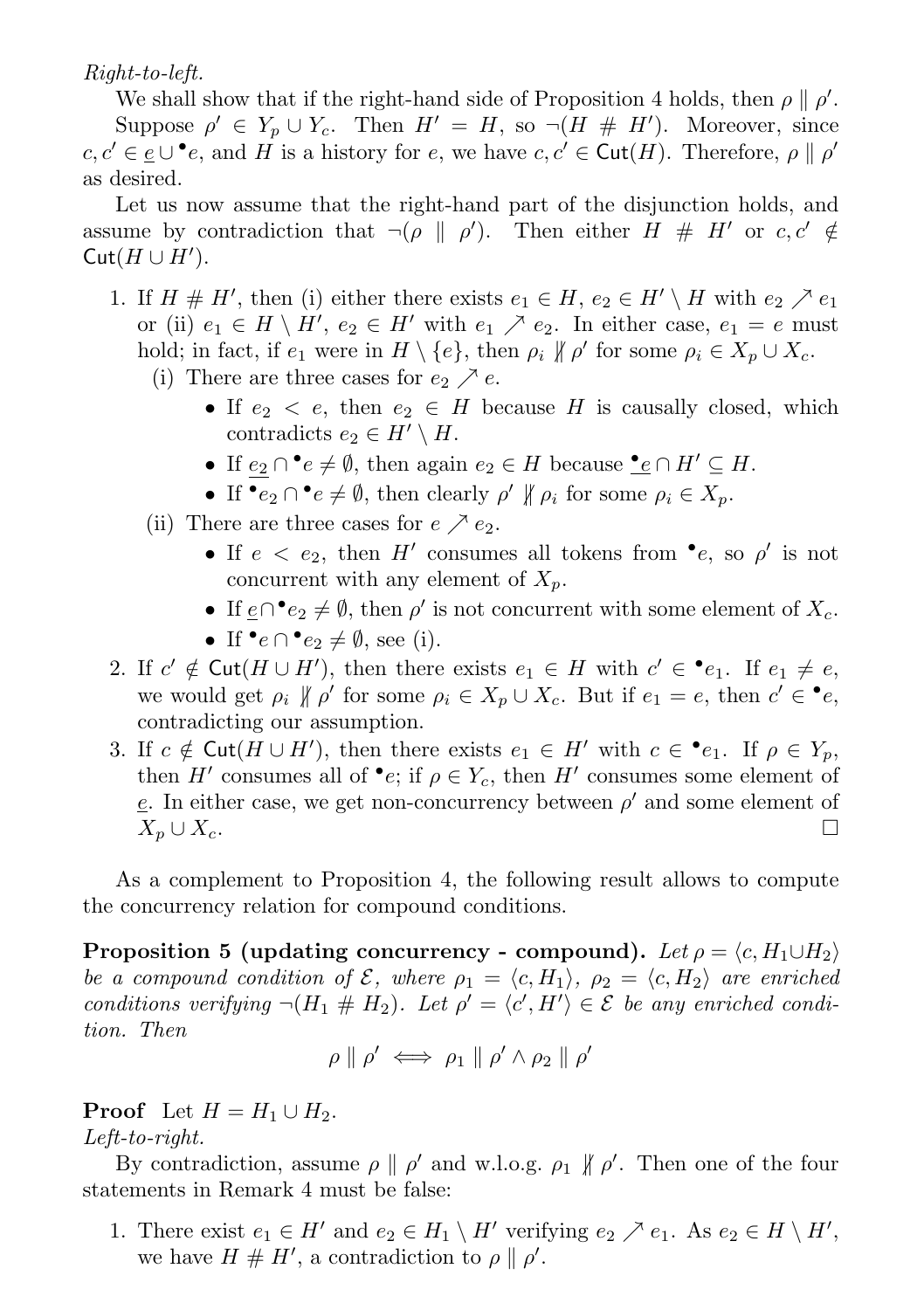Right-to-left.

We shall show that if the right-hand side of Proposition 4 holds, then  $\rho \parallel \rho'$ . Suppose  $\rho' \in Y_p \cup Y_c$ . Then  $H' = H$ , so  $\neg(H \# H')$ . Moreover, since  $c, c' \in \underline{e} \cup \bullet e$ , and H is a history for e, we have  $c, c' \in \text{Cut}(H)$ . Therefore,  $\rho \parallel \rho'$ as desired.

Let us now assume that the right-hand part of the disjunction holds, and assume by contradiction that  $\neg(\rho \parallel \rho')$ . Then either  $H \# H'$  or  $c, c' \notin$  $Cut(H \cup H')$ .

- 1. If  $H \# H'$ , then (i) either there exists  $e_1 \in H$ ,  $e_2 \in H' \setminus H$  with  $e_2 \nearrow e_1$ or (ii)  $e_1 \in H \setminus H'$ ,  $e_2 \in H'$  with  $e_1 \nearrow e_2$ . In either case,  $e_1 = e$  must hold; in fact, if  $e_1$  were in  $H \setminus \{e\}$ , then  $\rho_i \not\parallel \rho'$  for some  $\rho_i \in X_p \cup X_c$ .
	- (i) There are three cases for  $e_2 \nearrow e$ .
		- If  $e_2 \leq e$ , then  $e_2 \in H$  because H is causally closed, which contradicts  $e_2 \in H' \setminus H$ .
		- If  $\underline{e_2} \cap \bullet e \neq \emptyset$ , then again  $e_2 \in H$  because  $\underline{\bullet} \underline{e} \cap H' \subseteq H$ .
		- If  $\bullet e_2 \cap \bullet e \neq \emptyset$ , then clearly  $\rho' \nparallel \rho_i$  for some  $\rho_i \in X_p$ .
	- (ii) There are three cases for  $e \nearrow e_2$ .
		- If  $e < e_2$ , then H' consumes all tokens from •e, so  $\rho'$  is not concurrent with any element of  $X_p$ .
		- If  $\underline{e} \cap \cdot e_2 \neq \emptyset$ , then  $\rho'$  is not concurrent with some element of  $X_c$ .
		- If  $\bullet e \cap \bullet e_2 \neq \emptyset$ , see (i).
- 2. If  $c' \notin \text{Cut}(H \cup H')$ , then there exists  $e_1 \in H$  with  $c' \in \bullet e_1$ . If  $e_1 \neq e$ , we would get  $\rho_i \nparallel \rho'$  for some  $\rho_i \in X_p \cup X_c$ . But if  $e_1 = e$ , then  $c' \in \bullet e$ , contradicting our assumption.
- 3. If  $c \notin \text{Cut}(H \cup H')$ , then there exists  $e_1 \in H'$  with  $c \in \bullet e_1$ . If  $\rho \in Y_p$ , then  $H'$  consumes all of  $\bullet e$ ; if  $\rho \in Y_c$ , then  $H'$  consumes some element of  $e$ . In either case, we get non-concurrency between  $\rho'$  and some element of  $X_p \cup X_c$ .

As a complement to Proposition 4, the following result allows to compute the concurrency relation for compound conditions.

Proposition 5 (updating concurrency - compound). Let  $\rho = \langle c, H_1 \cup H_2 \rangle$ be a compound condition of  $\mathcal{E}$ , where  $\rho_1 = \langle c, H_1 \rangle$ ,  $\rho_2 = \langle c, H_2 \rangle$  are enriched conditions verifying  $\neg(H_1 \# H_2)$ . Let  $\rho' = \langle c', H' \rangle \in \mathcal{E}$  be any enriched condition. Then

$$
\rho \parallel \rho' \iff \rho_1 \parallel \rho' \land \rho_2 \parallel \rho'
$$

**Proof** Let  $H = H_1 \cup H_2$ . Left-to-right.

By contradiction, assume  $\rho \parallel \rho'$  and w.l.o.g.  $\rho_1 \parallel \rho'$ . Then one of the four statements in Remark 4 must be false:

1. There exist  $e_1 \in H'$  and  $e_2 \in H_1 \setminus H'$  verifying  $e_2 \nearrow e_1$ . As  $e_2 \in H \setminus H'$ , we have  $H \# H'$ , a contradiction to  $\rho \parallel \rho'$ .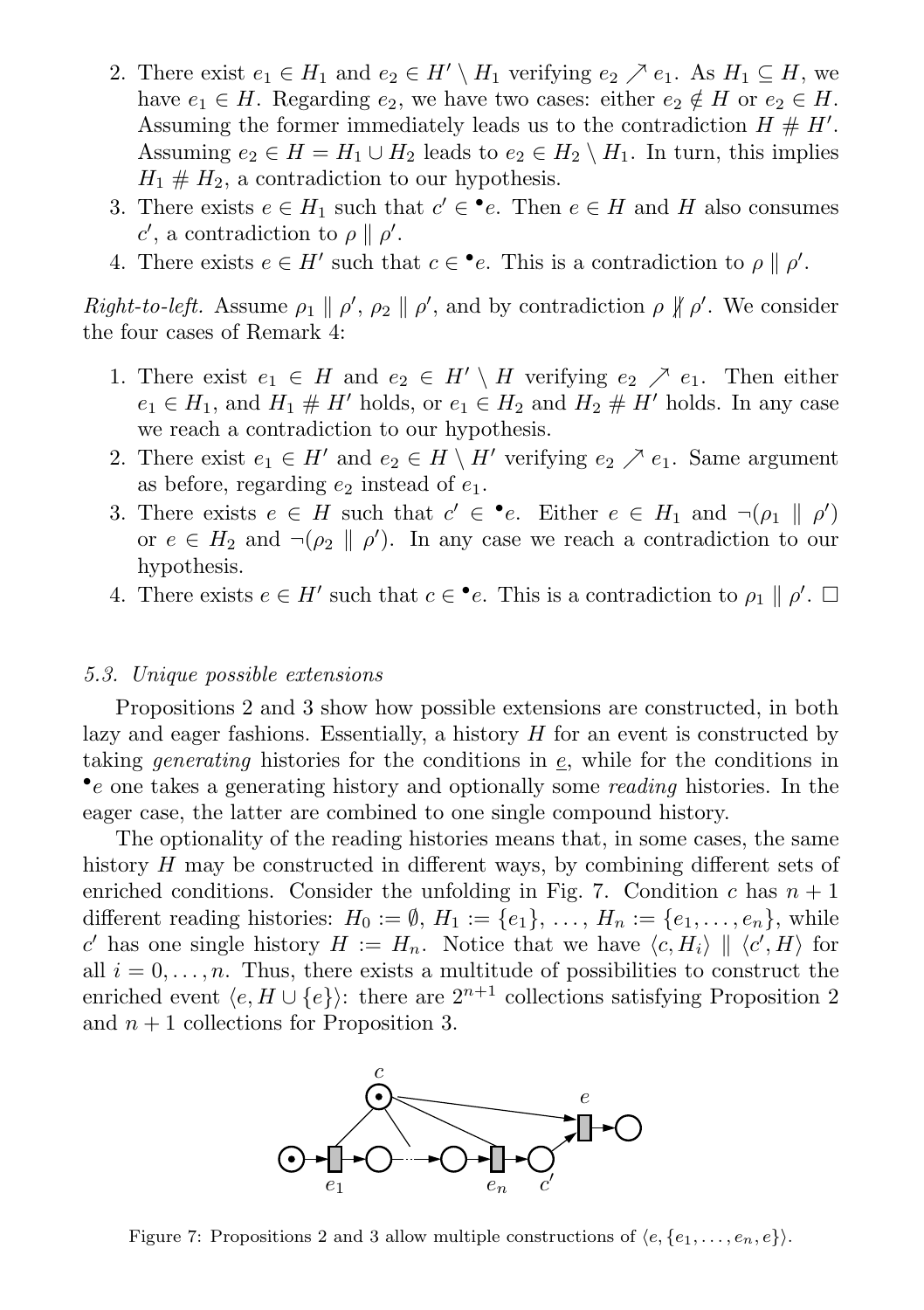- 2. There exist  $e_1 \in H_1$  and  $e_2 \in H' \setminus H_1$  verifying  $e_2 \nearrow e_1$ . As  $H_1 \subseteq H$ , we have  $e_1 \in H$ . Regarding  $e_2$ , we have two cases: either  $e_2 \notin H$  or  $e_2 \in H$ . Assuming the former immediately leads us to the contradiction  $H \# H'$ . Assuming  $e_2 \in H = H_1 \cup H_2$  leads to  $e_2 \in H_2 \setminus H_1$ . In turn, this implies  $H_1 \# H_2$ , a contradiction to our hypothesis.
- 3. There exists  $e \in H_1$  such that  $c' \in \bullet e$ . Then  $e \in H$  and H also consumes c', a contradiction to  $\rho \parallel \rho'$ .
- 4. There exists  $e \in H'$  such that  $c \in \bullet e$ . This is a contradiction to  $\rho \parallel \rho'$ .

Right-to-left. Assume  $\rho_1 \parallel \rho', \rho_2 \parallel \rho',$  and by contradiction  $\rho \parallel \rho'.$  We consider the four cases of Remark 4:

- 1. There exist  $e_1 \in H$  and  $e_2 \in H' \setminus H$  verifying  $e_2 \nearrow e_1$ . Then either  $e_1 \in H_1$ , and  $H_1 \# H'$  holds, or  $e_1 \in H_2$  and  $H_2 \# H'$  holds. In any case we reach a contradiction to our hypothesis.
- 2. There exist  $e_1 \in H'$  and  $e_2 \in H \setminus H'$  verifying  $e_2 \nearrow e_1$ . Same argument as before, regarding  $e_2$  instead of  $e_1$ .
- 3. There exists  $e \in H$  such that  $c' \in \bullet e$ . Either  $e \in H_1$  and  $\neg(\rho_1 \parallel \rho')$ or  $e \in H_2$  and  $\neg(\rho_2 \parallel \rho')$ . In any case we reach a contradiction to our hypothesis.
- 4. There exists  $e \in H'$  such that  $c \in \bullet e$ . This is a contradiction to  $\rho_1 \parallel \rho'$ .  $\Box$

#### 5.3. Unique possible extensions

Propositions 2 and 3 show how possible extensions are constructed, in both lazy and eager fashions. Essentially, a history  $H$  for an event is constructed by taking generating histories for the conditions in e, while for the conditions in • e one takes a generating history and optionally some reading histories. In the eager case, the latter are combined to one single compound history.

The optionality of the reading histories means that, in some cases, the same history H may be constructed in different ways, by combining different sets of enriched conditions. Consider the unfolding in Fig. 7. Condition c has  $n + 1$ different reading histories:  $H_0 := \emptyset$ ,  $H_1 := \{e_1\}$ , ...,  $H_n := \{e_1, \ldots, e_n\}$ , while c' has one single history  $H := H_n$ . Notice that we have  $\langle c, H_i \rangle \parallel \langle c', H \rangle$  for all  $i = 0, \ldots, n$ . Thus, there exists a multitude of possibilities to construct the enriched event  $\langle e, H \cup \{e\} \rangle$ : there are  $2^{n+1}$  collections satisfying Proposition 2 and  $n+1$  collections for Proposition 3.



Figure 7: Propositions 2 and 3 allow multiple constructions of  $\langle e, {e_1, \ldots, e_n, e} \rangle$ .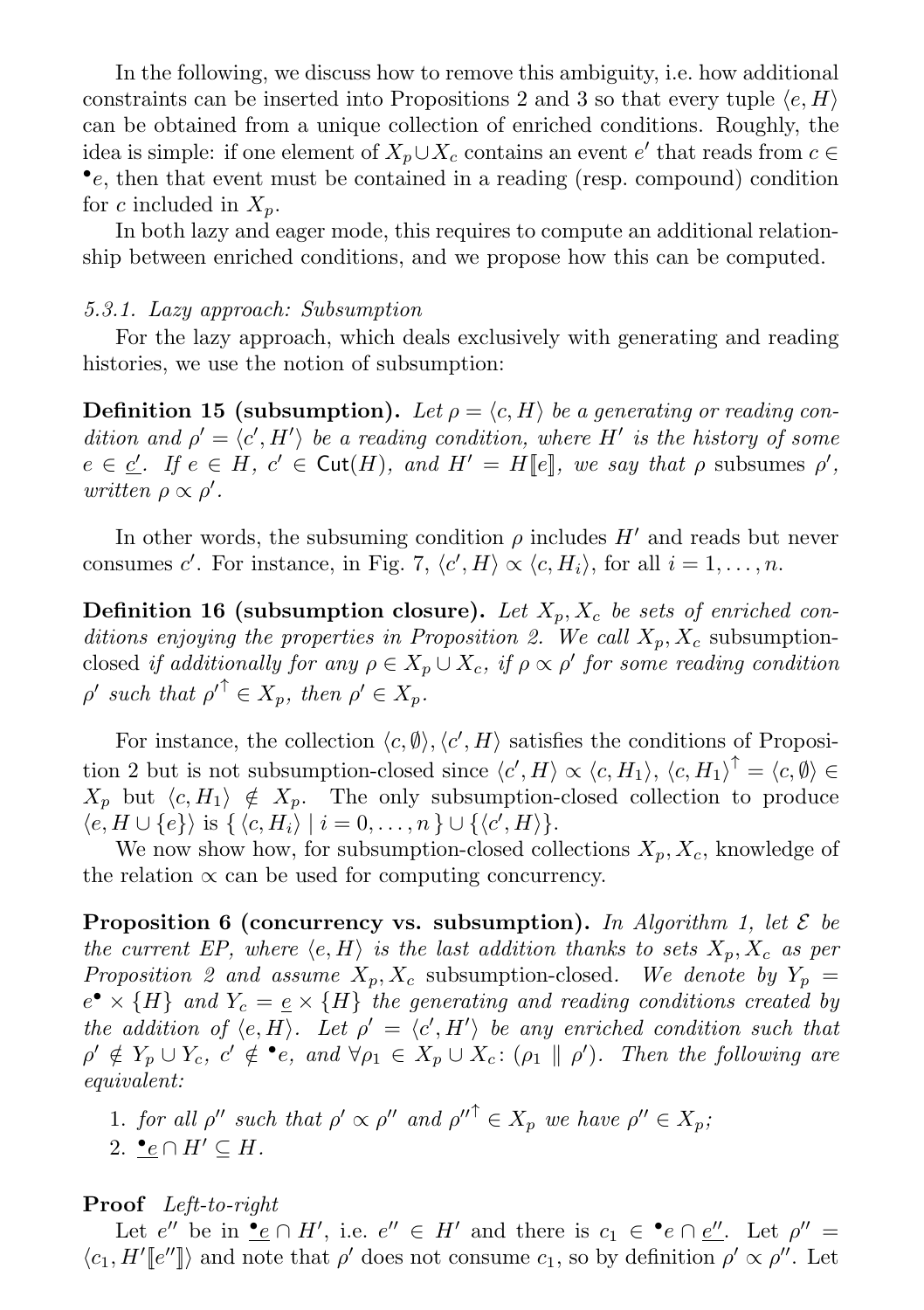In the following, we discuss how to remove this ambiguity, i.e. how additional constraints can be inserted into Propositions 2 and 3 so that every tuple  $\langle e, H \rangle$ can be obtained from a unique collection of enriched conditions. Roughly, the idea is simple: if one element of  $X_p \cup X_c$  contains an event  $e'$  that reads from  $c \in$ • e, then that event must be contained in a reading (resp. compound) condition for c included in  $X_n$ .

In both lazy and eager mode, this requires to compute an additional relationship between enriched conditions, and we propose how this can be computed.

# 5.3.1. Lazy approach: Subsumption

For the lazy approach, which deals exclusively with generating and reading histories, we use the notion of subsumption:

**Definition 15 (subsumption).** Let  $\rho = \langle c, H \rangle$  be a generating or reading condition and  $\rho' = \langle c', H' \rangle$  be a reading condition, where H' is the history of some  $e \in \underline{c'}$ . If  $e \in H$ ,  $c' \in \text{Cut}(H)$ , and  $H' = H[\![e]\!]$ , we say that  $\rho$  subsumes  $\rho'$ , written  $\rho \propto \rho'$ .

In other words, the subsuming condition  $\rho$  includes  $H'$  and reads but never consumes c'. For instance, in Fig. 7,  $\langle c', H \rangle \propto \langle c, H_i \rangle$ , for all  $i = 1, ..., n$ .

**Definition 16 (subsumption closure).** Let  $X_p$ ,  $X_c$  be sets of enriched conditions enjoying the properties in Proposition 2. We call  $X_p, X_c$  subsumptionclosed if additionally for any  $\rho \in X_p \cup X_c$ , if  $\rho \propto \rho'$  for some reading condition  $\rho'$  such that  $\rho'^{\uparrow} \in X_p$ , then  $\rho' \in X_p$ .

For instance, the collection  $\langle c, \emptyset \rangle$ ,  $\langle c', H \rangle$  satisfies the conditions of Proposition 2 but is not subsumption-closed since  $\langle c', H \rangle \propto \langle c, H_1 \rangle$ ,  $\langle c, H_1 \rangle^{\dagger} = \langle c, \emptyset \rangle \in$  $X_p$  but  $\langle c, H_1 \rangle \notin X_p$ . The only subsumption-closed collection to produce  $\langle e, H \cup \{e\} \rangle$  is  $\{ \langle c, H_i \rangle | i = 0, \ldots, n \} \cup \{ \langle c', H \rangle \}.$ 

We now show how, for subsumption-closed collections  $X_p, X_c$ , knowledge of the relation  $\propto$  can be used for computing concurrency.

**Proposition 6 (concurrency vs. subsumption).** In Algorithm 1, let  $\mathcal{E}$  be the current EP, where  $\langle e, H \rangle$  is the last addition thanks to sets  $X_p, X_c$  as per Proposition 2 and assume  $X_p, X_c$  subsumption-closed. We denote by  $Y_p =$  $e^{\bullet} \times \{H\}$  and  $Y_c = \underline{e} \times \{H\}$  the generating and reading conditions created by the addition of  $\langle e, H \rangle$ . Let  $\rho' = \langle c', H' \rangle$  be any enriched condition such that  $\rho' \notin Y_p \cup Y_c$ ,  $c' \notin \bullet e$ , and  $\forall \rho_1 \in X_p \cup X_c$ :  $(\rho_1 \parallel \rho')$ . Then the following are equivalent:

1. for all  $\rho''$  such that  $\rho' \propto \rho''$  and  $\rho''^{\uparrow} \in X_p$  we have  $\rho'' \in X_p$ ; 2.  $\underline{\bullet} e \cap H' \subseteq H$ .

Proof Left-to-right

Let  $e''$  be in <u>•</u> $e \cap H'$ , i.e.  $e'' \in H'$  and there is  $c_1 \in \bullet e \cap e''$ . Let  $\rho'' =$  $\langle c_1, H'[\![e'']\!] \rangle$  and note that  $\rho'$  does not consume  $c_1$ , so by definition  $\rho' \propto \rho''$ . Let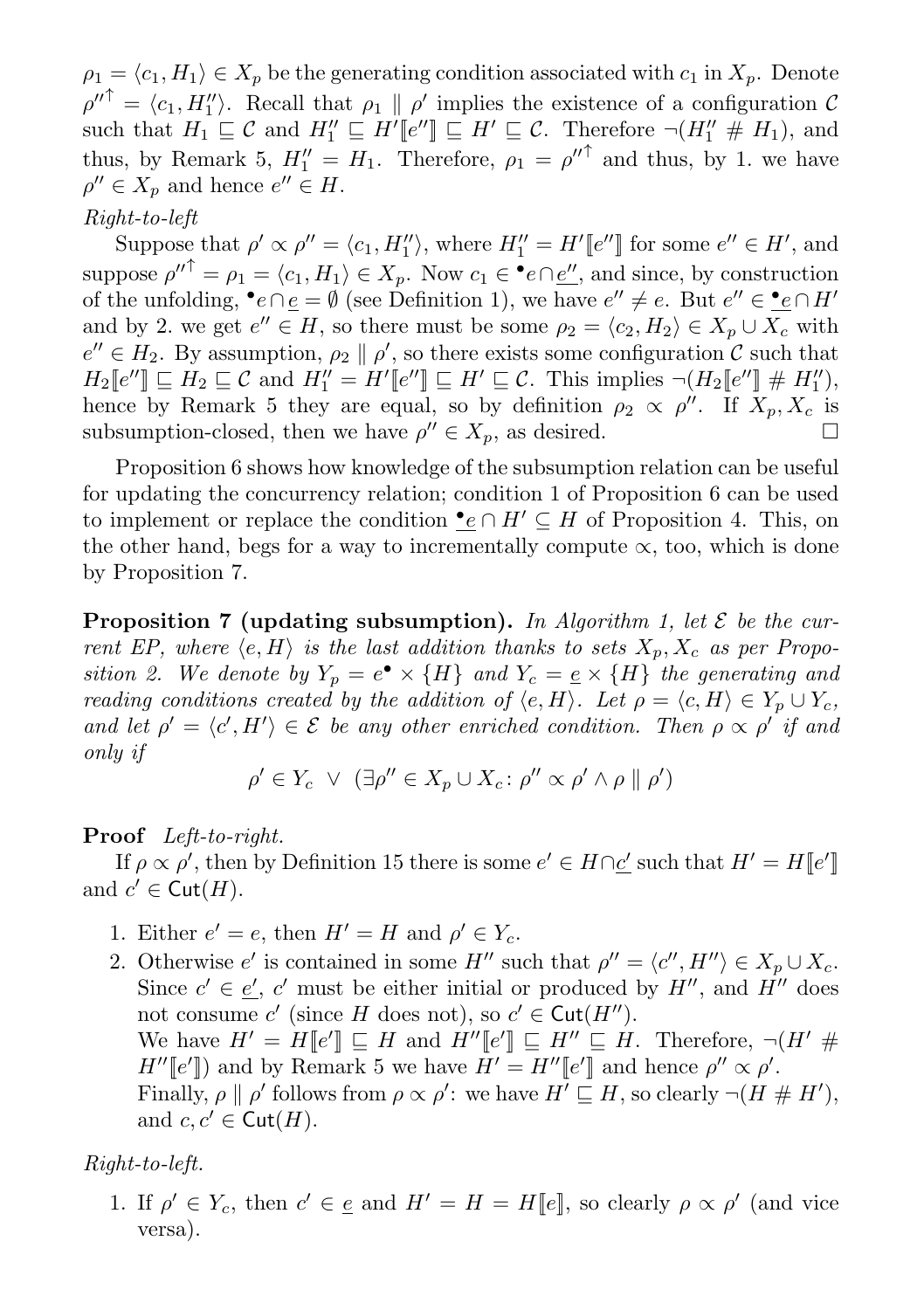$\rho_1 = \langle c_1, H_1 \rangle \in X_p$  be the generating condition associated with  $c_1$  in  $X_p$ . Denote  $\rho''^{\uparrow} = \langle c_1, H_1'' \rangle$ . Recall that  $\rho_1 \parallel \rho'$  implies the existence of a configuration C such that  $H_1 \subseteq \mathcal{C}$  and  $H''_1 \subseteq H'[\ell''] \subseteq H' \subseteq \mathcal{C}$ . Therefore  $\neg(H''_1 \# H_1)$ , and thus, by Remark 5,  $H_1'' = H_1$ . Therefore,  $\rho_1 = {\rho''}^{\uparrow}$  and thus, by 1. we have  $\rho'' \in X_p$  and hence  $e'' \in H$ .

# Right-to-left

Suppose that  $\rho' \propto \rho'' = \langle c_1, H_1'' \rangle$ , where  $H_1'' = H'[[e'']]$  for some  $e'' \in H'$ , and suppose  $\rho''^{\uparrow} = \rho_1 = \langle c_1, H_1 \rangle \in X_p$ . Now  $c_1 \in \cdot^{\bullet}e \cap \underline{e''}$ , and since, by construction of the unfolding,  $\bullet e \cap \underline{e} = \emptyset$  (see Definition 1), we have  $e'' \neq e$ . But  $e'' \in \bullet e \cap H'$ and by 2. we get  $e'' \in H$ , so there must be some  $\rho_2 = \langle c_2, H_2 \rangle \in X_p \cup X_c$  with  $e'' \in H_2$ . By assumption,  $\rho_2 \parallel \rho'$ , so there exists some configuration C such that  $H_2\llbracket e''\rrbracket\sqsubseteq H_2\sqsubseteq \mathcal{C}$  and  $H''_1=H'\llbracket e''\rrbracket\sqsubseteq H'\sqsubseteq \mathcal{C}$ . This implies  $\neg(H_2\llbracket e''\rrbracket\# H''_1),$ hence by Remark 5 they are equal, so by definition  $\rho_2 \propto \rho''$ . If  $X_p, X_c$  is subsumption-closed, then we have  $\rho'' \in X_p$ , as desired.

Proposition 6 shows how knowledge of the subsumption relation can be useful for updating the concurrency relation; condition 1 of Proposition 6 can be used to implement or replace the condition  $\bullet e \cap H' \subseteq H$  of Proposition 4. This, on the other hand, begs for a way to incrementally compute  $\propto$ , too, which is done by Proposition 7.

**Proposition 7 (updating subsumption).** In Algorithm 1, let  $\mathcal{E}$  be the current EP, where  $\langle e, H \rangle$  is the last addition thanks to sets  $X_p, X_c$  as per Proposition 2. We denote by  $Y_p = e^{\bullet} \times \{H\}$  and  $Y_c = \underline{e} \times \{H\}$  the generating and reading conditions created by the addition of  $\langle e, H \rangle$ . Let  $\rho = \langle e, H \rangle \in Y_p \cup Y_c$ , and let  $\rho' = \langle c', H' \rangle \in \mathcal{E}$  be any other enriched condition. Then  $\rho \propto \rho'$  if and only if

$$
\rho' \in Y_c \ \lor \ (\exists \rho'' \in X_p \cup X_c \colon \rho'' \propto \rho' \land \rho \parallel \rho')
$$

## Proof Left-to-right.

If  $\rho \propto \rho'$ , then by Definition 15 there is some  $e' \in H \cap \underline{c'}$  such that  $H' = H[[e']]$ and  $c' \in \text{Cut}(H)$ .

- 1. Either  $e' = e$ , then  $H' = H$  and  $\rho' \in Y_c$ .
- 2. Otherwise  $e'$  is contained in some H'' such that  $\rho'' = \langle c'', H'' \rangle \in X_p \cup X_c$ . Since  $c' \in \underline{e'}$ , c' must be either initial or produced by  $H''$ , and  $\overline{H''}$  does not consume  $c'$  (since H does not), so  $c' \in \text{Cut}(H'')$ . We have  $H' = H[[e'] \sqsubseteq H$  and  $H''[[e'] \sqsubseteq H'' \sqsubseteq H$ . Therefore,  $\neg(H' \#$  $H''[e']$  and by Remark 5 we have  $H' = H''[e']$  and hence  $\rho'' \propto \rho'$ . Finally,  $\rho \parallel \rho'$  follows from  $\rho \propto \rho'$ : we have  $H' \sqsubseteq H$ , so clearly  $\neg (H \# H')$ , and  $c, c' \in \text{Cut}(H)$ .

## Right-to-left.

1. If  $\rho' \in Y_c$ , then  $c' \in \underline{e}$  and  $H' = H = H[\underline{e}]$ , so clearly  $\rho \propto \rho'$  (and vice versa).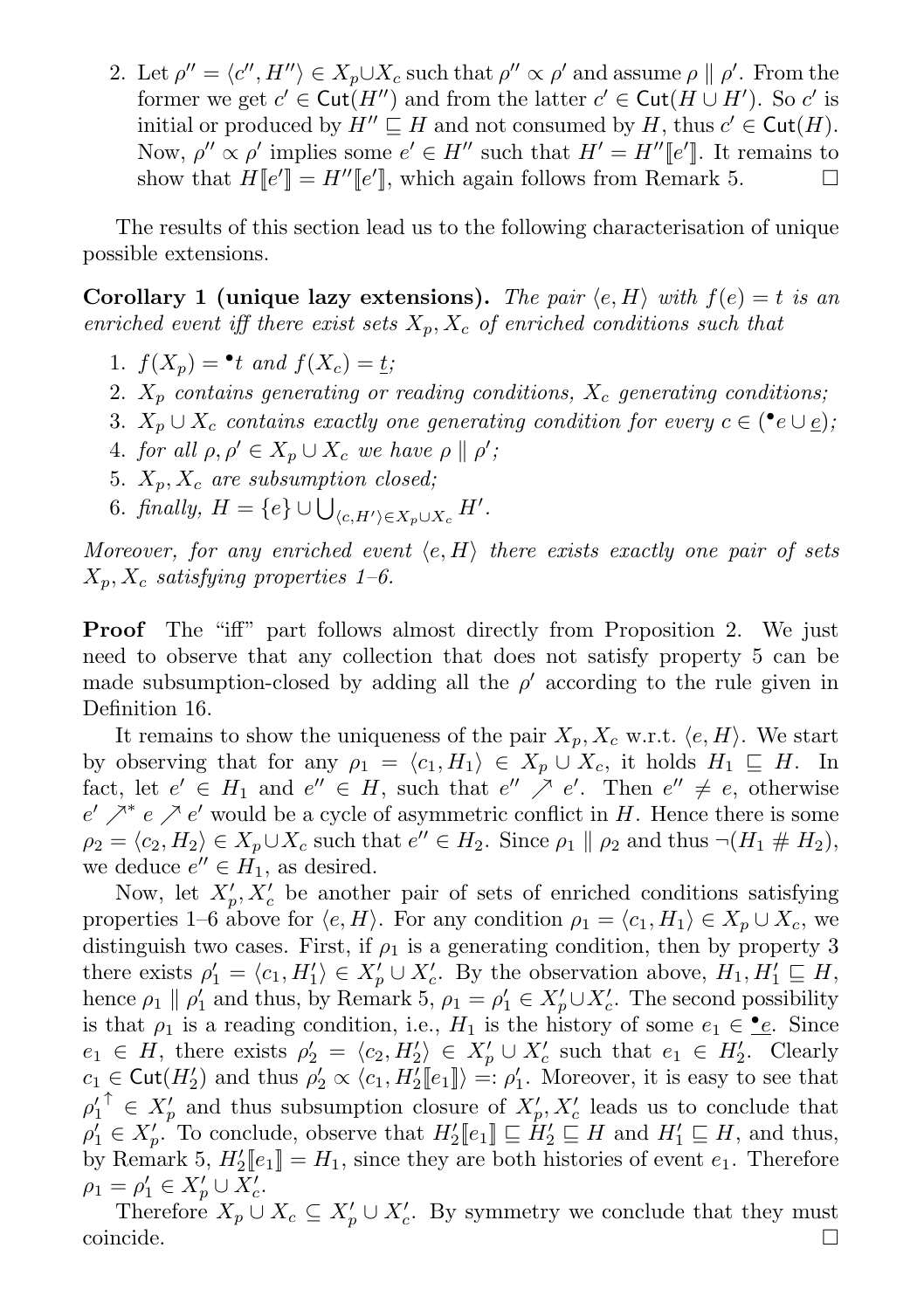2. Let  $\rho'' = \langle c'', H'' \rangle \in X_p \cup X_c$  such that  $\rho'' \propto \rho'$  and assume  $\rho \parallel \rho'$ . From the former we get  $c' \in \mathsf{Cut}(H'')$  and from the latter  $c' \in \mathsf{Cut}(H \cup H')$ . So  $c'$  is initial or produced by  $H'' \sqsubseteq H$  and not consumed by H, thus  $c' \in \text{Cut}(H)$ . Now,  $\rho'' \propto \rho'$  implies some  $e' \in H''$  such that  $H' = H''[e']$ . It remains to show that  $H[[e']]=H''[[e'],$  which again follows from Remark 5.

The results of this section lead us to the following characterisation of unique possible extensions.

Corollary 1 (unique lazy extensions). The pair  $\langle e, H \rangle$  with  $f(e) = t$  is an enriched event iff there exist sets  $X_p$ ,  $X_c$  of enriched conditions such that

- 1.  $f(X_p) = \bullet t$  and  $f(X_c) = \underline{t}$ ;
- 2.  $X_p$  contains generating or reading conditions,  $X_c$  generating conditions;
- 3.  $X_p \cup X_c$  contains exactly one generating condition for every  $c \in (\bullet e \cup \underline{e});$
- 4. for all  $\rho, \rho' \in X_p \cup X_c$  we have  $\rho \parallel \rho'$ ;
- 5.  $X_p, X_c$  are subsumption closed;
- 6. finally,  $H = \{e\} \cup \bigcup_{\langle c, H' \rangle \in X_p \cup X_c} H'.$

Moreover, for any enriched event  $\langle e, H \rangle$  there exists exactly one pair of sets  $X_p, X_c$  satisfying properties 1–6.

Proof The "iff" part follows almost directly from Proposition 2. We just need to observe that any collection that does not satisfy property 5 can be made subsumption-closed by adding all the  $\rho'$  according to the rule given in Definition 16.

It remains to show the uniqueness of the pair  $X_p, X_c$  w.r.t.  $\langle e, H \rangle$ . We start by observing that for any  $\rho_1 = \langle c_1, H_1 \rangle \in X_p \cup X_c$ , it holds  $H_1 \subseteq H$ . In fact, let  $e' \in H_1$  and  $e'' \in H$ , such that  $e'' \nearrow e'$ . Then  $e'' \neq e$ , otherwise  $e'$   $^{\mathcal{A}}e'$   $e'$  would be a cycle of asymmetric conflict in H. Hence there is some  $\rho_2 = \langle c_2, H_2 \rangle \in X_p \cup X_c$  such that  $e'' \in H_2$ . Since  $\rho_1 \parallel \rho_2$  and thus  $\neg (H_1 \# H_2)$ , we deduce  $e'' \in H_1$ , as desired.

Now, let  $X'_p, X'_c$  be another pair of sets of enriched conditions satisfying properties 1–6 above for  $\langle e, H \rangle$ . For any condition  $\rho_1 = \langle c_1, H_1 \rangle \in X_p \cup X_c$ , we distinguish two cases. First, if  $\rho_1$  is a generating condition, then by property 3 there exists  $\rho'_1 = \langle c_1, H'_1 \rangle \in X'_{p} \cup X'_{c}$ . By the observation above,  $H_1, H'_1 \sqsubseteq H$ , hence  $\rho_1 \parallel \rho'_1$  and thus, by Remark 5,  $\rho_1 = \rho'_1 \in X'_{p} \cup X'_{c}$ . The second possibility is that  $\rho_1$  is a reading condition, i.e.,  $H_1$  is the history of some  $e_1 \in \mathcal{L}$ . Since  $e_1 \in H$ , there exists  $\rho'_2 = \langle c_2, H'_2 \rangle \in X'_p \cup X'_c$  such that  $e_1 \in H'_2$ . Clearly  $c_1 \in \text{Cut}(H_2')$  and thus  $\rho_2' \propto \langle c_1, H_2' [e_1] \rangle =: \rho_1'.$  Moreover, it is easy to see that  $\rho'_1{}^{\uparrow} \in X'_p$  and thus subsumption closure of  $X'_p, X'_c$  leads us to conclude that  $\rho'_1 \in X'_p$ . To conclude, observe that  $H'_2[\![e_1]\!] \sqsubseteq H'_2 \sqsubseteq H$  and  $H'_1 \sqsubseteq H$ , and thus, by Remark 5,  $H_2'[\![e_1]\!] = H_1$ , since they are both histories of event  $e_1$ . Therefore  $\rho_1 = \rho'_1 \in X'_p \cup X'_c.$ 

Therefore  $X_p \cup X_c \subseteq X'_p \cup X'_c$ . By symmetry we conclude that they must  $\Box$ coincide.  $\Box$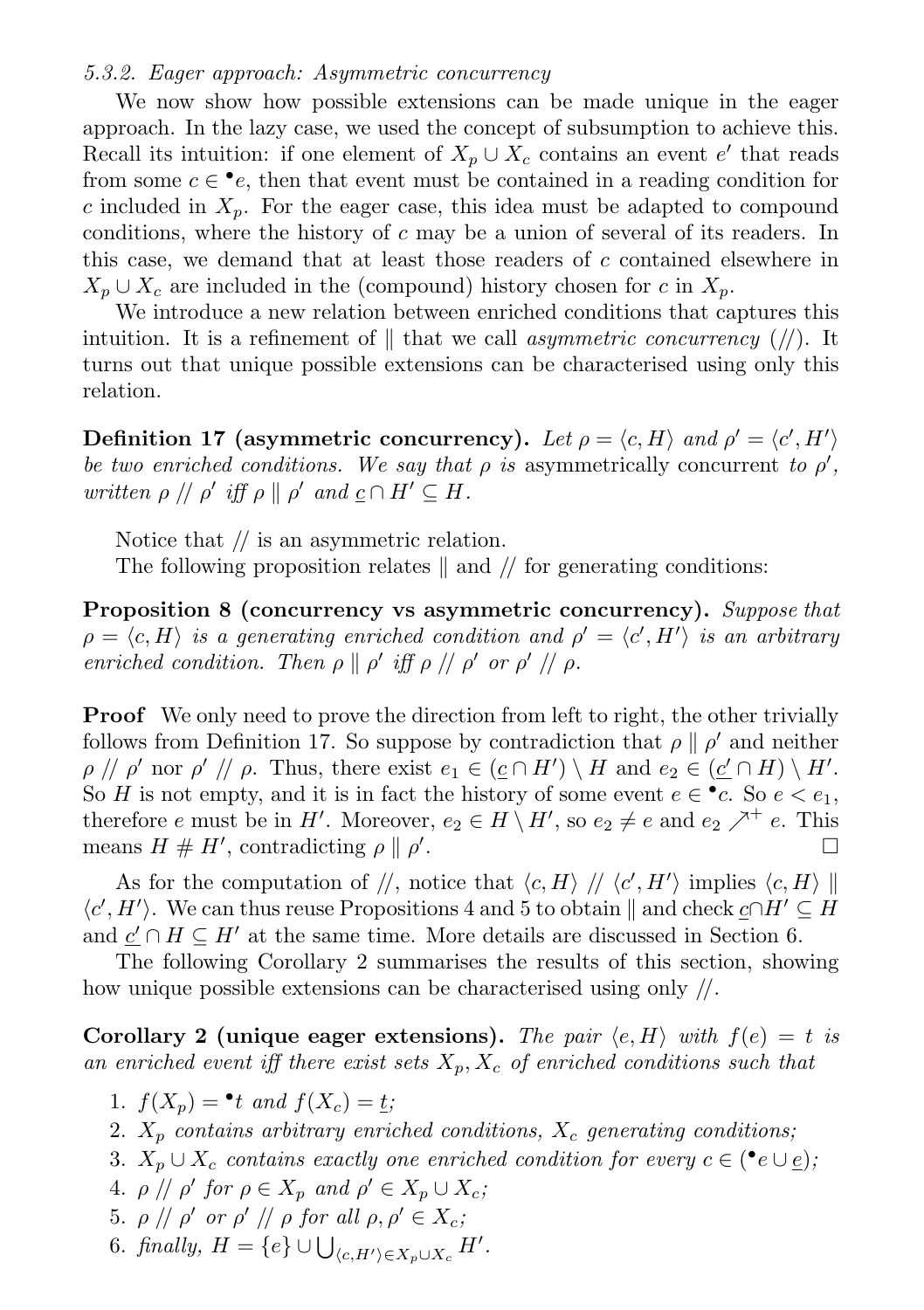#### 5.3.2. Eager approach: Asymmetric concurrency

We now show how possible extensions can be made unique in the eager approach. In the lazy case, we used the concept of subsumption to achieve this. Recall its intuition: if one element of  $X_p \cup X_c$  contains an event e' that reads from some  $c \in \bullet e$ , then that event must be contained in a reading condition for c included in  $X_p$ . For the eager case, this idea must be adapted to compound conditions, where the history of  $c$  may be a union of several of its readers. In this case, we demand that at least those readers of c contained elsewhere in  $X_p \cup X_c$  are included in the (compound) history chosen for c in  $X_p$ .

We introduce a new relation between enriched conditions that captures this intuition. It is a refinement of  $\parallel$  that we call asymmetric concurrency (//). It turns out that unique possible extensions can be characterised using only this relation.

Definition 17 (asymmetric concurrency). Let  $\rho = \langle c, H \rangle$  and  $\rho' = \langle c', H' \rangle$ be two enriched conditions. We say that  $\rho$  is asymmetrically concurrent to  $\rho'$ , written  $\rho \, || \, \rho'$  iff  $\rho \, || \, \rho'$  and  $\underline{c} \cap H' \subseteq H$ .

Notice that  $\ell$  is an asymmetric relation.

The following proposition relates  $\parallel$  and  $\parallel$  for generating conditions:

Proposition 8 (concurrency vs asymmetric concurrency). Suppose that  $\rho = \langle c, H \rangle$  is a generating enriched condition and  $\rho' = \langle c', H' \rangle$  is an arbitrary enriched condition. Then  $\rho \parallel \rho'$  iff  $\rho \parallel / \rho'$  or  $\rho' \parallel / \rho$ .

**Proof** We only need to prove the direction from left to right, the other trivially follows from Definition 17. So suppose by contradiction that  $\rho \parallel \rho'$  and neither  $\rho \, \text{if} \, \rho' \text{ nor } \rho' \text{ if } \rho.$  Thus, there exist  $e_1 \in (\underline{c} \cap H') \setminus H$  and  $e_2 \in (\underline{c'} \cap H) \setminus H'.$ So H is not empty, and it is in fact the history of some event  $e \in \bullet c$ . So  $e < e_1$ , therefore e must be in H'. Moreover,  $e_2 \in H \setminus H'$ , so  $e_2 \neq e$  and  $e_2 \nearrow^+ e$ . This means  $H \# H'$ , contradicting  $\rho \parallel \rho'$ .

As for the computation of  $\ket{\prime}$ , notice that  $\bra{c, H}$   $\ket{\prime}$   $\bra{c', H'}$  implies  $\bra{c, H}$  $\langle c', H' \rangle$ . We can thus reuse Propositions 4 and 5 to obtain  $\parallel$  and check  $c \cap H' \subseteq H$ and  $\underline{c}' \cap H \subseteq H'$  at the same time. More details are discussed in Section 6.

The following Corollary 2 summarises the results of this section, showing how unique possible extensions can be characterised using only //.

Corollary 2 (unique eager extensions). The pair  $\langle e, H \rangle$  with  $f(e) = t$  is an enriched event iff there exist sets  $X_p$ ,  $X_c$  of enriched conditions such that

- 1.  $f(X_p) = \bullet t$  and  $f(X_c) = \underline{t}$ ;
- 2.  $X_p$  contains arbitrary enriched conditions,  $X_c$  generating conditions;
- 3.  $X_p \cup X_c$  contains exactly one enriched condition for every  $c \in (\bullet e \cup e)$ ,
- 4.  $\rho \text{ // } \rho'$  for  $\rho \in X_p$  and  $\rho' \in X_p \cup X_c$ ;
- 5.  $\rho \text{ // } \rho'$  or  $\rho' \text{ // } \rho$  for all  $\rho, \rho' \in X_c$ ;
- 6. finally,  $H = \{e\} \cup \bigcup_{\langle c, H' \rangle \in X_p \cup X_c} H'.$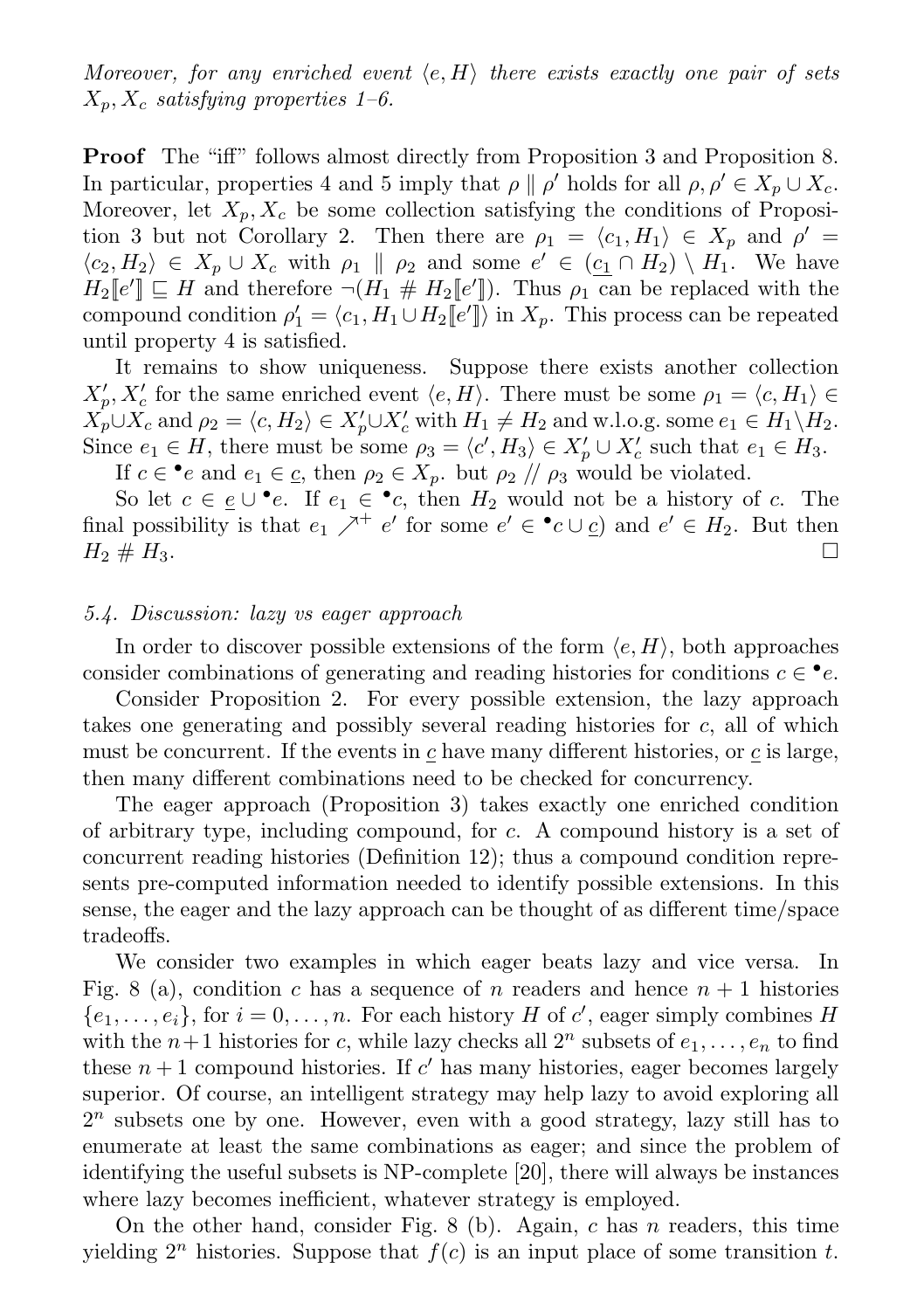Moreover, for any enriched event  $\langle e, H \rangle$  there exists exactly one pair of sets  $X_p, X_c$  satisfying properties 1–6.

Proof The "iff" follows almost directly from Proposition 3 and Proposition 8. In particular, properties 4 and 5 imply that  $\rho \parallel \rho'$  holds for all  $\rho, \rho' \in X_p \cup X_c$ . Moreover, let  $X_n, X_c$  be some collection satisfying the conditions of Proposition 3 but not Corollary 2. Then there are  $\rho_1 = \langle c_1, H_1 \rangle \in X_p$  and  $\rho' =$  $\langle c_2, H_2 \rangle \in X_p \cup X_c$  with  $\rho_1 \parallel \rho_2$  and some  $e' \in (c_1 \cap H_2) \setminus H_1$ . We have  $H_2\llbracket e' \rrbracket \subseteq H$  and therefore  $\neg(H_1 \# H_2\llbracket e' \rrbracket)$ . Thus  $\rho_1$  can be replaced with the compound condition  $\rho'_1 = \langle c_1, H_1 \cup H_2 \llbracket e' \rrbracket \rangle$  in  $X_p$ . This process can be repeated until property 4 is satisfied.

It remains to show uniqueness. Suppose there exists another collection  $X'_p, X'_c$  for the same enriched event  $\langle e, H \rangle$ . There must be some  $\rho_1 = \langle e, H_1 \rangle \in$  $X_p \cup X_c$  and  $\rho_2 = \langle c, H_2 \rangle \in X_p' \cup X_c'$  with  $H_1 \neq H_2$  and w.l.o.g. some  $e_1 \in H_1 \backslash H_2$ . Since  $e_1 \in H$ , there must be some  $\rho_3 = \langle c', H_3 \rangle \in X_p' \cup X_c'$  such that  $e_1 \in H_3$ .

If  $c \in \bullet e$  and  $e_1 \in \underline{c}$ , then  $\rho_2 \in X_p$ , but  $\rho_2 \nvert / \rho_3$  would be violated.

So let  $c \in \underline{e} \cup \bullet e$ . If  $e_1 \in \bullet c$ , then  $H_2$  would not be a history of c. The final possibility is that  $e_1 \nearrow^+ e'$  for some  $e' \in \cdot^{\bullet}c \cup \underline{c}$  and  $e' \in H_2$ . But then  $H_2 \# H_3.$ 

# 5.4. Discussion: lazy vs eager approach

In order to discover possible extensions of the form  $\langle e, H \rangle$ , both approaches consider combinations of generating and reading histories for conditions  $c \in \bullet e$ .

Consider Proposition 2. For every possible extension, the lazy approach takes one generating and possibly several reading histories for c, all of which must be concurrent. If the events in  $c$  have many different histories, or  $c$  is large, then many different combinations need to be checked for concurrency.

The eager approach (Proposition 3) takes exactly one enriched condition of arbitrary type, including compound, for c. A compound history is a set of concurrent reading histories (Definition 12); thus a compound condition represents pre-computed information needed to identify possible extensions. In this sense, the eager and the lazy approach can be thought of as different time/space tradeoffs.

We consider two examples in which eager beats lazy and vice versa. In Fig. 8 (a), condition c has a sequence of n readers and hence  $n + 1$  histories  $\{e_1, \ldots, e_i\}$ , for  $i = 0, \ldots, n$ . For each history H of c', eager simply combines H with the  $n+1$  histories for c, while lazy checks all  $2^n$  subsets of  $e_1, \ldots, e_n$  to find these  $n+1$  compound histories. If c' has many histories, eager becomes largely superior. Of course, an intelligent strategy may help lazy to avoid exploring all  $2<sup>n</sup>$  subsets one by one. However, even with a good strategy, lazy still has to enumerate at least the same combinations as eager; and since the problem of identifying the useful subsets is NP-complete [20], there will always be instances where lazy becomes inefficient, whatever strategy is employed.

On the other hand, consider Fig. 8 (b). Again,  $c$  has  $n$  readers, this time yielding  $2^n$  histories. Suppose that  $f(c)$  is an input place of some transition t.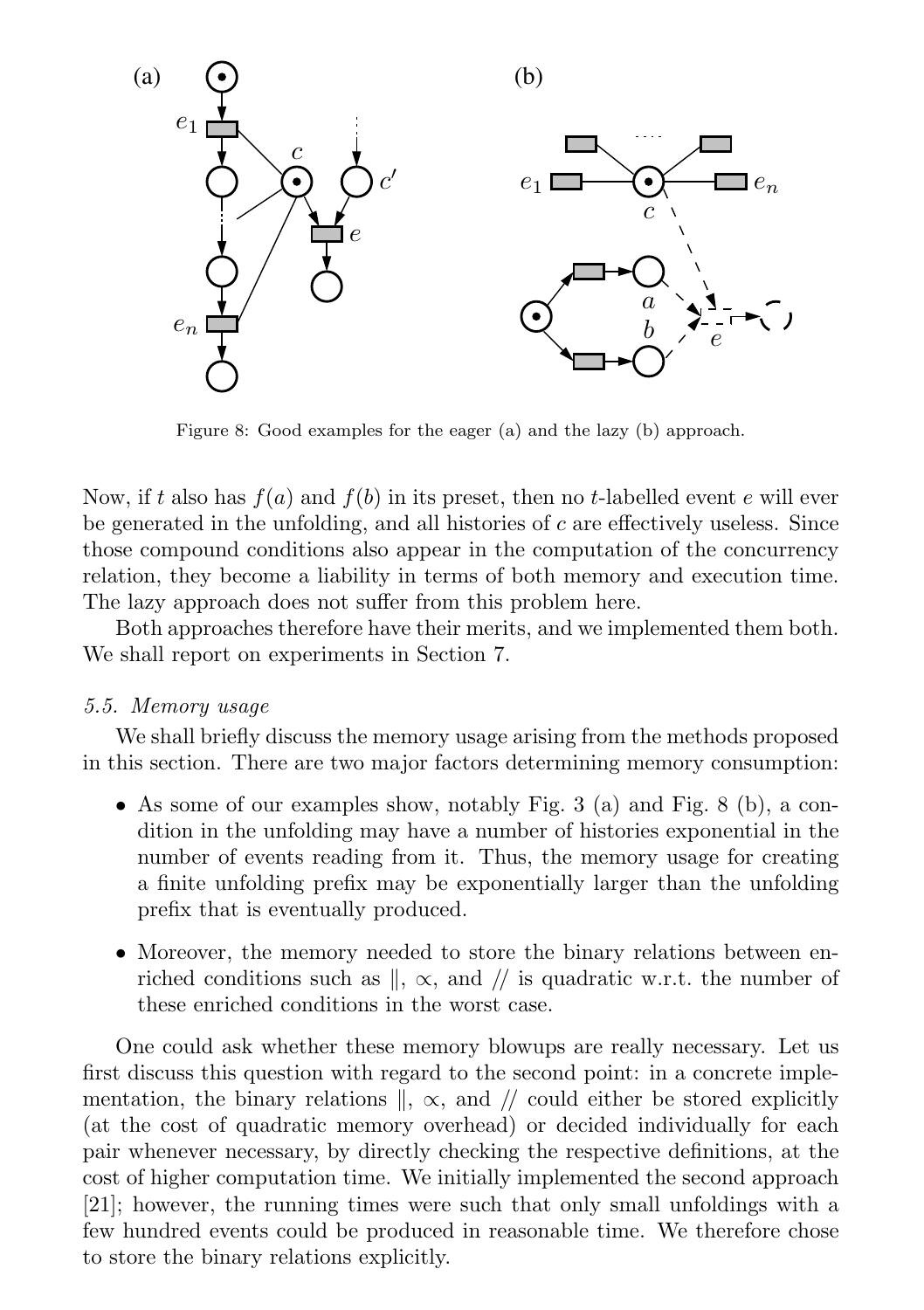

Figure 8: Good examples for the eager (a) and the lazy (b) approach.

Now, if t also has  $f(a)$  and  $f(b)$  in its preset, then no t-labelled event e will ever be generated in the unfolding, and all histories of  $c$  are effectively useless. Since those compound conditions also appear in the computation of the concurrency relation, they become a liability in terms of both memory and execution time. The lazy approach does not suffer from this problem here.

Both approaches therefore have their merits, and we implemented them both. We shall report on experiments in Section 7.

#### 5.5. Memory usage

We shall briefly discuss the memory usage arising from the methods proposed in this section. There are two major factors determining memory consumption:

- As some of our examples show, notably Fig. 3 (a) and Fig. 8 (b), a condition in the unfolding may have a number of histories exponential in the number of events reading from it. Thus, the memory usage for creating a finite unfolding prefix may be exponentially larger than the unfolding prefix that is eventually produced.
- Moreover, the memory needed to store the binary relations between enriched conditions such as  $\mathbb{I}$ ,  $\propto$ , and  $\mathbb{I}$  is quadratic w.r.t. the number of these enriched conditions in the worst case.

One could ask whether these memory blowups are really necessary. Let us first discuss this question with regard to the second point: in a concrete implementation, the binary relations  $\parallel$ ,  $\propto$ , and  $\parallel$  could either be stored explicitly (at the cost of quadratic memory overhead) or decided individually for each pair whenever necessary, by directly checking the respective definitions, at the cost of higher computation time. We initially implemented the second approach [21]; however, the running times were such that only small unfoldings with a few hundred events could be produced in reasonable time. We therefore chose to store the binary relations explicitly.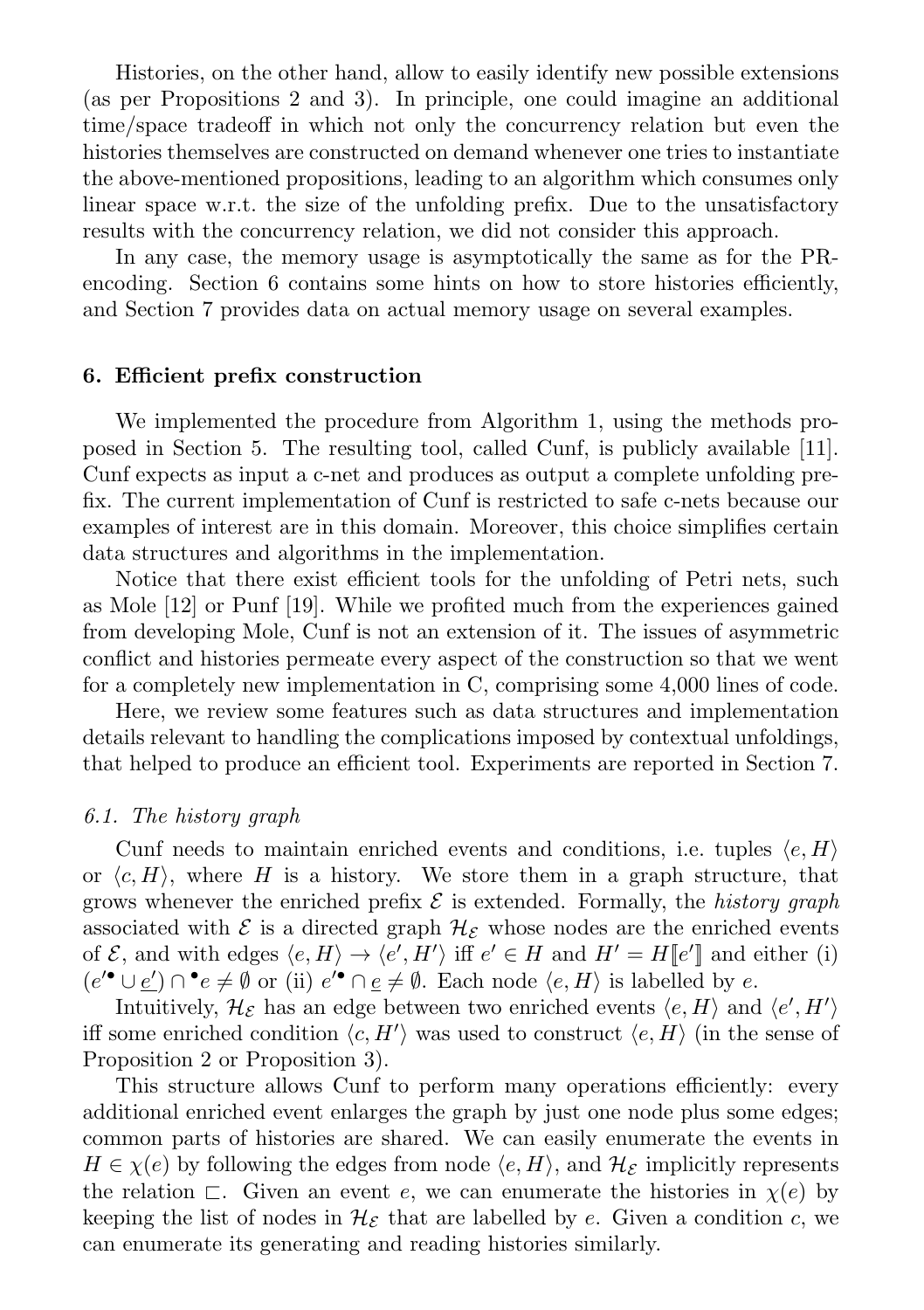Histories, on the other hand, allow to easily identify new possible extensions (as per Propositions 2 and 3). In principle, one could imagine an additional time/space tradeoff in which not only the concurrency relation but even the histories themselves are constructed on demand whenever one tries to instantiate the above-mentioned propositions, leading to an algorithm which consumes only linear space w.r.t. the size of the unfolding prefix. Due to the unsatisfactory results with the concurrency relation, we did not consider this approach.

In any case, the memory usage is asymptotically the same as for the PRencoding. Section 6 contains some hints on how to store histories efficiently, and Section 7 provides data on actual memory usage on several examples.

# 6. Efficient prefix construction

We implemented the procedure from Algorithm 1, using the methods proposed in Section 5. The resulting tool, called Cunf, is publicly available [11]. Cunf expects as input a c-net and produces as output a complete unfolding prefix. The current implementation of Cunf is restricted to safe c-nets because our examples of interest are in this domain. Moreover, this choice simplifies certain data structures and algorithms in the implementation.

Notice that there exist efficient tools for the unfolding of Petri nets, such as Mole [12] or Punf [19]. While we profited much from the experiences gained from developing Mole, Cunf is not an extension of it. The issues of asymmetric conflict and histories permeate every aspect of the construction so that we went for a completely new implementation in C, comprising some 4,000 lines of code.

Here, we review some features such as data structures and implementation details relevant to handling the complications imposed by contextual unfoldings, that helped to produce an efficient tool. Experiments are reported in Section 7.

#### 6.1. The history graph

Cunf needs to maintain enriched events and conditions, i.e. tuples  $\langle e, H \rangle$ or  $\langle c, H \rangle$ , where H is a history. We store them in a graph structure, that grows whenever the enriched prefix  $\mathcal E$  is extended. Formally, the *history graph* associated with  $\mathcal E$  is a directed graph  $\mathcal H_{\mathcal E}$  whose nodes are the enriched events of  $\mathcal{E}$ , and with edges  $\langle e, H \rangle \to \langle e', H' \rangle$  iff  $e' \in H$  and  $H' = H[[e']]$  and either (i)  $(e'^{\bullet} \cup e') \cap^{\bullet} e \neq \emptyset$  or (ii)  $e'^{\bullet} \cap e \neq \emptyset$ . Each node  $\langle e, H \rangle$  is labelled by  $e$ .

Intuitively,  $\mathcal{H}_{\mathcal{E}}$  has an edge between two enriched events  $\langle e, H \rangle$  and  $\langle e', H' \rangle$ iff some enriched condition  $\langle c, H' \rangle$  was used to construct  $\langle e, H \rangle$  (in the sense of Proposition 2 or Proposition 3).

This structure allows Cunf to perform many operations efficiently: every additional enriched event enlarges the graph by just one node plus some edges; common parts of histories are shared. We can easily enumerate the events in  $H \in \chi(e)$  by following the edges from node  $\langle e, H \rangle$ , and  $\mathcal{H}_\varepsilon$  implicitly represents the relation  $\Box$ . Given an event e, we can enumerate the histories in  $\chi(e)$  by keeping the list of nodes in  $\mathcal{H}_{\mathcal{E}}$  that are labelled by e. Given a condition c, we can enumerate its generating and reading histories similarly.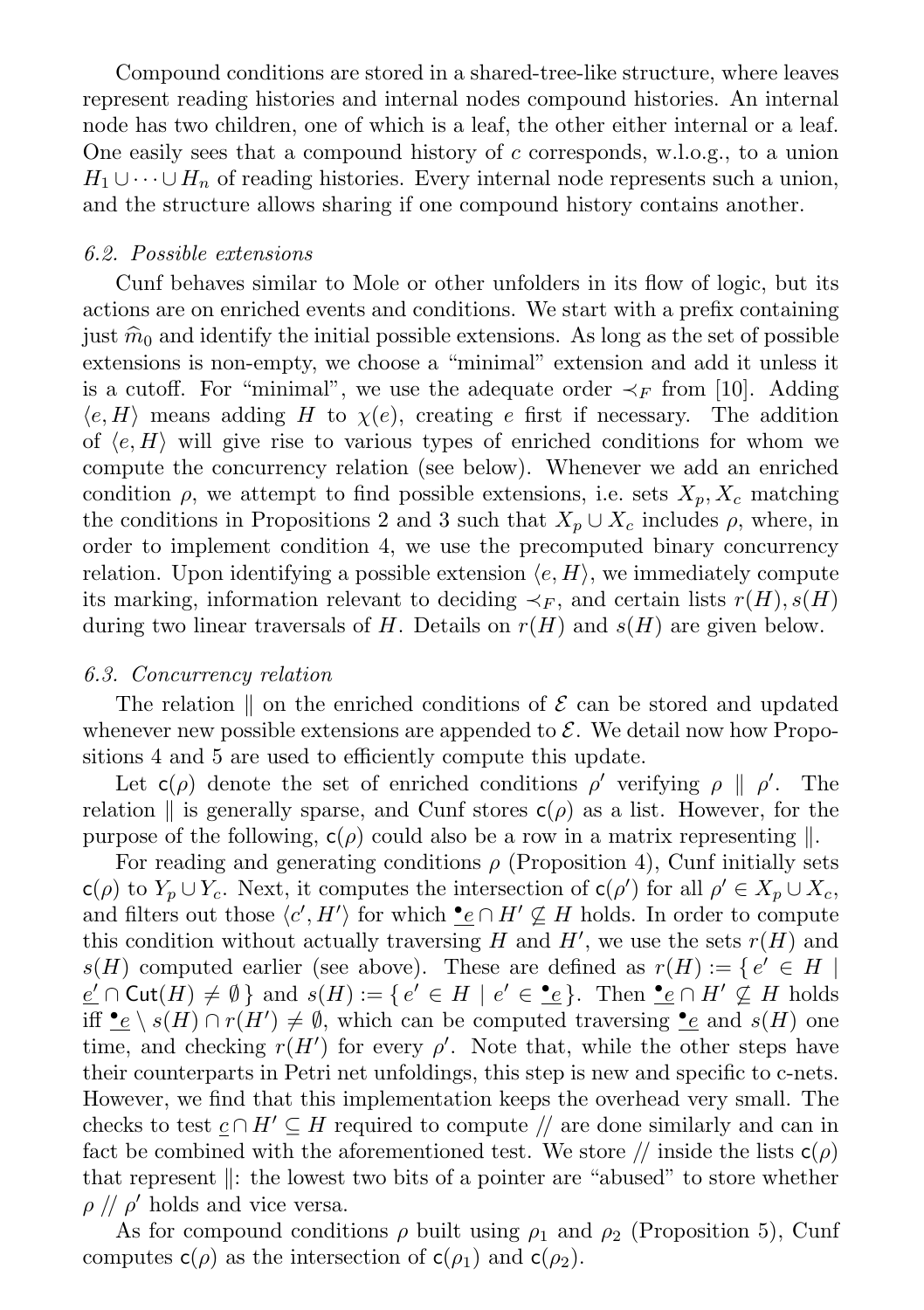Compound conditions are stored in a shared-tree-like structure, where leaves represent reading histories and internal nodes compound histories. An internal node has two children, one of which is a leaf, the other either internal or a leaf. One easily sees that a compound history of c corresponds, w.l.o.g., to a union  $H_1 \cup \cdots \cup H_n$  of reading histories. Every internal node represents such a union, and the structure allows sharing if one compound history contains another.

### 6.2. Possible extensions

Cunf behaves similar to Mole or other unfolders in its flow of logic, but its actions are on enriched events and conditions. We start with a prefix containing just  $\hat{m}_0$  and identify the initial possible extensions. As long as the set of possible extensions is non-empty, we choose a "minimal" extension and add it unless it is a cutoff. For "minimal", we use the adequate order  $\prec_F$  from [10]. Adding  $\langle e, H \rangle$  means adding H to  $\chi(e)$ , creating e first if necessary. The addition of  $\langle e, H \rangle$  will give rise to various types of enriched conditions for whom we compute the concurrency relation (see below). Whenever we add an enriched condition  $\rho$ , we attempt to find possible extensions, i.e. sets  $X_p, X_c$  matching the conditions in Propositions 2 and 3 such that  $X_p \cup X_c$  includes  $\rho$ , where, in order to implement condition 4, we use the precomputed binary concurrency relation. Upon identifying a possible extension  $\langle e, H \rangle$ , we immediately compute its marking, information relevant to deciding  $\prec_F$ , and certain lists  $r(H)$ ,  $s(H)$ during two linear traversals of H. Details on  $r(H)$  and  $s(H)$  are given below.

## 6.3. Concurrency relation

The relation  $\parallel$  on the enriched conditions of  $\mathcal E$  can be stored and updated whenever new possible extensions are appended to  $\mathcal{E}$ . We detail now how Propositions 4 and 5 are used to efficiently compute this update.

Let  $c(\rho)$  denote the set of enriched conditions  $\rho'$  verifying  $\rho \parallel \rho'$ . The relation  $\parallel$  is generally sparse, and Cunf stores  $c(\rho)$  as a list. However, for the purpose of the following,  $c(\rho)$  could also be a row in a matrix representing  $\parallel$ .

For reading and generating conditions  $\rho$  (Proposition 4), Cunf initially sets  $c(\rho)$  to  $Y_p \cup Y_c$ . Next, it computes the intersection of  $c(\rho')$  for all  $\rho' \in X_p \cup X_c$ , and filters out those  $\langle c', H' \rangle$  for which  $\bullet \in \cap H' \nsubseteq H$  holds. In order to compute this condition without actually traversing H and  $H'$ , we use the sets  $r(H)$  and  $s(H)$  computed earlier (see above). These are defined as  $r(H) := \{ e' \in H |$  $\underline{e'} \cap \text{Cut}(H) \neq \emptyset$  and  $s(H) := \{ e' \in H \mid e' \in \underline{\bullet}e \}$ . Then  $\underline{\bullet}e \cap H' \nsubseteq H$  holds iff  $\bullet e \setminus s(H) \cap r(H') \neq \emptyset$ , which can be computed traversing  $\bullet e$  and  $s(H)$  one time, and checking  $r(H')$  for every  $\rho'$ . Note that, while the other steps have their counterparts in Petri net unfoldings, this step is new and specific to c-nets. However, we find that this implementation keeps the overhead very small. The checks to test  $c \cap H' \subseteq H$  required to compute // are done similarly and can in fact be combined with the aforementioned test. We store // inside the lists  $c(\rho)$ that represent  $\parallel$ : the lowest two bits of a pointer are "abused" to store whether  $\rho$  //  $\rho'$  holds and vice versa.

As for compound conditions  $\rho$  built using  $\rho_1$  and  $\rho_2$  (Proposition 5), Cunf computes  $c(\rho)$  as the intersection of  $c(\rho_1)$  and  $c(\rho_2)$ .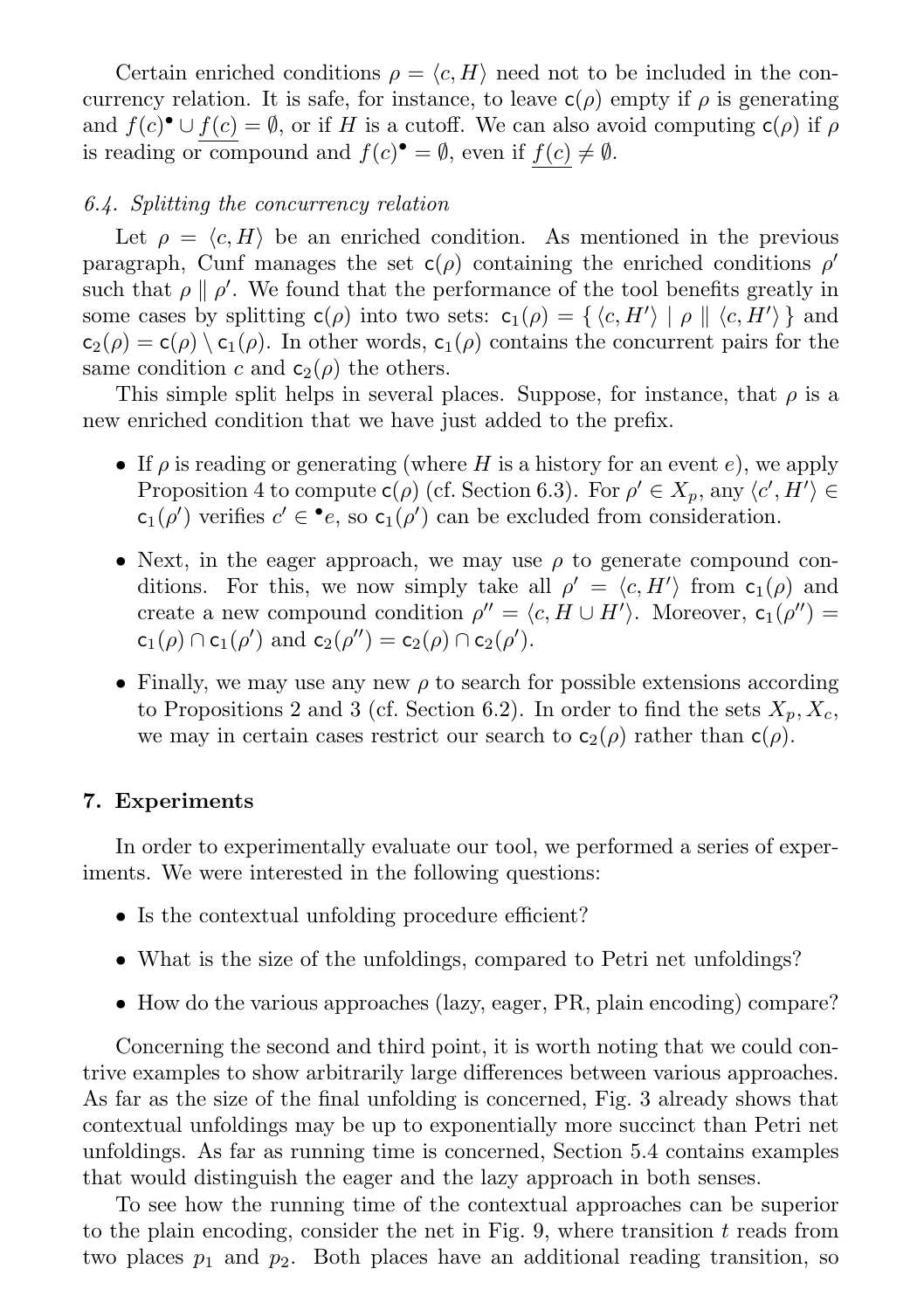Certain enriched conditions  $\rho = \langle c, H \rangle$  need not to be included in the concurrency relation. It is safe, for instance, to leave  $c(\rho)$  empty if  $\rho$  is generating and  $f(c)$ <sup>•</sup>  $\cup$   $f(c) = \emptyset$ , or if H is a cutoff. We can also avoid computing  $c(\rho)$  if  $\rho$ is reading or compound and  $f(c)^{\bullet} = \emptyset$ , even if  $f(c) \neq \emptyset$ .

#### 6.4. Splitting the concurrency relation

Let  $\rho = \langle c, H \rangle$  be an enriched condition. As mentioned in the previous paragraph, Cunf manages the set  $c(\rho)$  containing the enriched conditions  $\rho'$ such that  $\rho \parallel \rho'$ . We found that the performance of the tool benefits greatly in some cases by splitting  $c(\rho)$  into two sets:  $c_1(\rho) = \{ \langle c, H' \rangle \mid \rho \parallel \langle c, H' \rangle \}$  and  $c_2(\rho) = c(\rho) \setminus c_1(\rho)$ . In other words,  $c_1(\rho)$  contains the concurrent pairs for the same condition c and  $c_2(\rho)$  the others.

This simple split helps in several places. Suppose, for instance, that  $\rho$  is a new enriched condition that we have just added to the prefix.

- If  $\rho$  is reading or generating (where H is a history for an event e), we apply Proposition 4 to compute  $c(\rho)$  (cf. Section 6.3). For  $\rho' \in X_p$ , any  $\langle c', H' \rangle \in$  $c_1(\rho')$  verifies  $c' \in \bullet e$ , so  $c_1(\rho')$  can be excluded from consideration.
- Next, in the eager approach, we may use  $\rho$  to generate compound conditions. For this, we now simply take all  $\rho' = \langle c, H' \rangle$  from  $c_1(\rho)$  and create a new compound condition  $\rho'' = \langle c, H \cup H' \rangle$ . Moreover,  $c_1(\rho'') =$  $c_1(\rho) \cap c_1(\rho')$  and  $c_2(\rho'') = c_2(\rho) \cap c_2(\rho').$
- Finally, we may use any new  $\rho$  to search for possible extensions according to Propositions 2 and 3 (cf. Section 6.2). In order to find the sets  $X_p, X_c$ , we may in certain cases restrict our search to  $c_2(\rho)$  rather than  $c(\rho)$ .

#### 7. Experiments

In order to experimentally evaluate our tool, we performed a series of experiments. We were interested in the following questions:

- Is the contextual unfolding procedure efficient?
- What is the size of the unfoldings, compared to Petri net unfoldings?
- How do the various approaches (lazy, eager, PR, plain encoding) compare?

Concerning the second and third point, it is worth noting that we could contrive examples to show arbitrarily large differences between various approaches. As far as the size of the final unfolding is concerned, Fig. 3 already shows that contextual unfoldings may be up to exponentially more succinct than Petri net unfoldings. As far as running time is concerned, Section 5.4 contains examples that would distinguish the eager and the lazy approach in both senses.

To see how the running time of the contextual approaches can be superior to the plain encoding, consider the net in Fig. 9, where transition  $t$  reads from two places  $p_1$  and  $p_2$ . Both places have an additional reading transition, so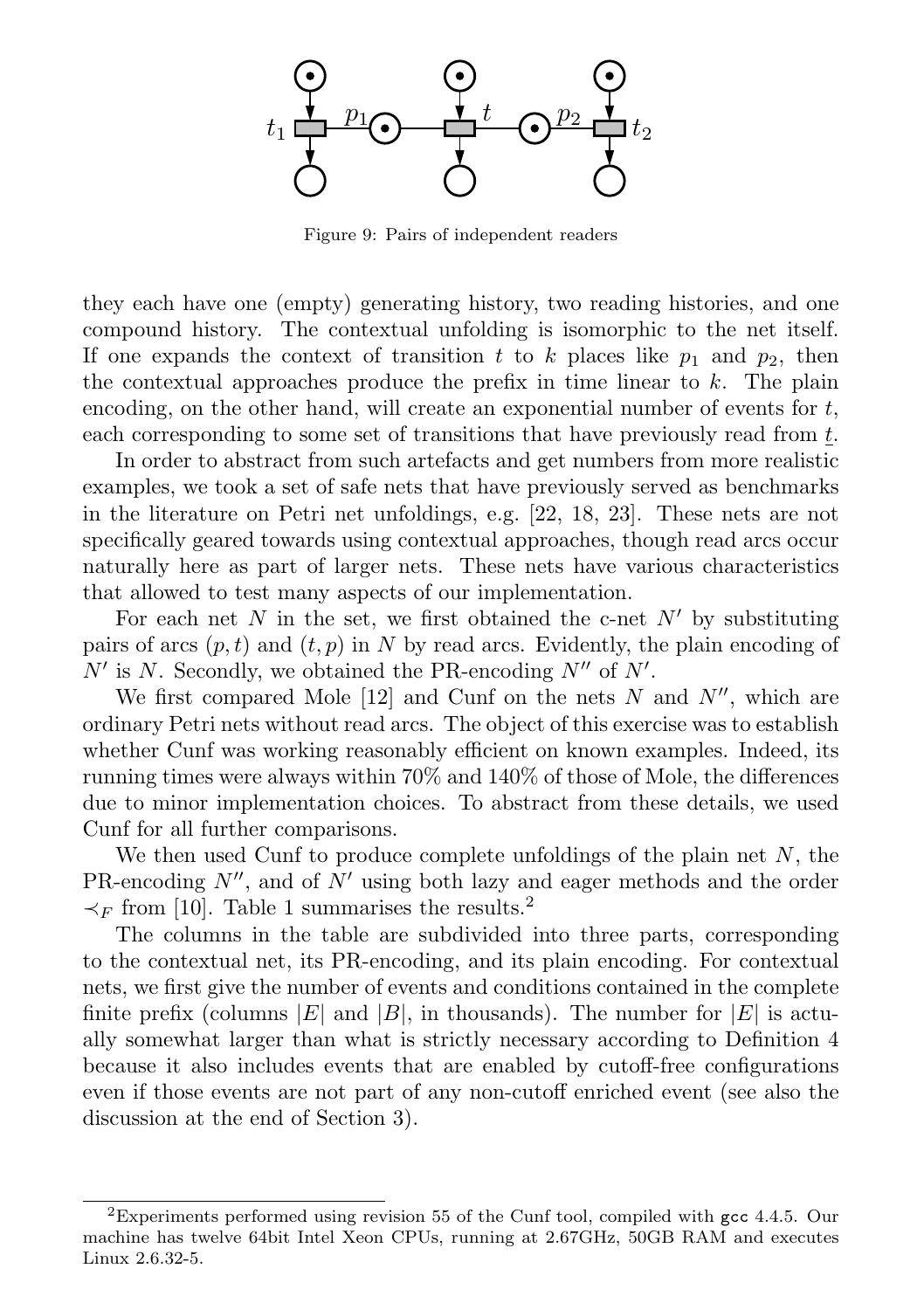

Figure 9: Pairs of independent readers

they each have one (empty) generating history, two reading histories, and one compound history. The contextual unfolding is isomorphic to the net itself. If one expands the context of transition t to k places like  $p_1$  and  $p_2$ , then the contextual approaches produce the prefix in time linear to  $k$ . The plain encoding, on the other hand, will create an exponential number of events for  $t$ , each corresponding to some set of transitions that have previously read from t.

In order to abstract from such artefacts and get numbers from more realistic examples, we took a set of safe nets that have previously served as benchmarks in the literature on Petri net unfoldings, e.g. [22, 18, 23]. These nets are not specifically geared towards using contextual approaches, though read arcs occur naturally here as part of larger nets. These nets have various characteristics that allowed to test many aspects of our implementation.

For each net N in the set, we first obtained the c-net  $N'$  by substituting pairs of arcs  $(p, t)$  and  $(t, p)$  in N by read arcs. Evidently, the plain encoding of  $N'$  is N. Secondly, we obtained the PR-encoding  $N''$  of  $N'$ .

We first compared Mole [12] and Cunf on the nets  $N$  and  $N''$ , which are ordinary Petri nets without read arcs. The object of this exercise was to establish whether Cunf was working reasonably efficient on known examples. Indeed, its running times were always within 70% and 140% of those of Mole, the differences due to minor implementation choices. To abstract from these details, we used Cunf for all further comparisons.

We then used Cunf to produce complete unfoldings of the plain net  $N$ , the PR-encoding  $N''$ , and of  $N'$  using both lazy and eager methods and the order  $\prec_F$  from [10]. Table 1 summarises the results.<sup>2</sup>

The columns in the table are subdivided into three parts, corresponding to the contextual net, its PR-encoding, and its plain encoding. For contextual nets, we first give the number of events and conditions contained in the complete finite prefix (columns |E| and |B|, in thousands). The number for  $|E|$  is actually somewhat larger than what is strictly necessary according to Definition 4 because it also includes events that are enabled by cutoff-free configurations even if those events are not part of any non-cutoff enriched event (see also the discussion at the end of Section 3).

<sup>2</sup>Experiments performed using revision 55 of the Cunf tool, compiled with gcc 4.4.5. Our machine has twelve 64bit Intel Xeon CPUs, running at 2.67GHz, 50GB RAM and executes Linux 2.6.32-5.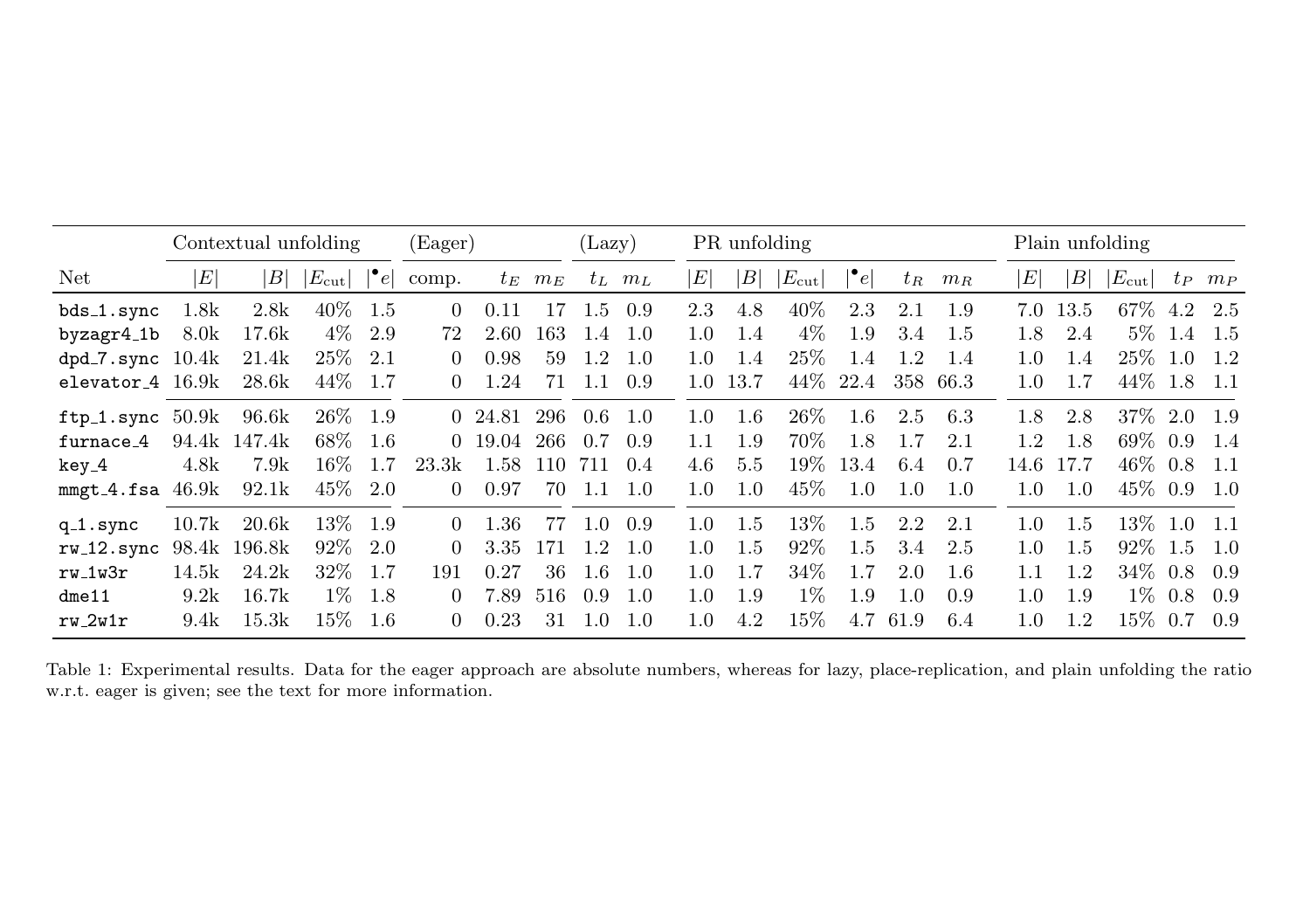|                        | Contextual unfolding |              |                 |               | (Eager)  |         |             | (Lazy)  |             |                  | PR unfolding |                 |                           |       |          |                  | Plain unfolding |                 |           |             |
|------------------------|----------------------|--------------|-----------------|---------------|----------|---------|-------------|---------|-------------|------------------|--------------|-----------------|---------------------------|-------|----------|------------------|-----------------|-----------------|-----------|-------------|
| Net                    | $\vert E \vert$      | B            | $ E_{\rm cut} $ | $ \bullet_e $ | comp.    |         | $t_E$ $m_E$ |         | $t_L$ $m_L$ | $\left E\right $ | B            | $ E_{\rm cut} $ | $\lvert \bullet_e \rvert$ | $t_R$ | $m_R$    | $\left E\right $ | B               | $ E_{\rm cut} $ |           | $t_P$ $m_P$ |
| $bds_1.sync$           | 1.8k                 | 2.8k         | $40\%$          | - 1.5         | 0        | 0.11    | 17          | -1.5    | 0.9         | 2.3              | 4.8          | 40%             | 2.3                       | 2.1   | 1.9      | 7.0              | 13.5            | 67\% 4.2 2.5    |           |             |
| byzagr4_1b             | 8.0 <sub>k</sub>     | 17.6k        | $4\%$           | 2.9           | 72       | 2.60    | 163         | -1.4    | 1.0         | 1.0              | 1.4          | $4\%$           | 1.9                       | 3.4   | -1.5     | 1.8              | 2.4             |                 | $5\%$ 1.4 | - 1.5       |
| $dpd$ -7.sync $10.4k$  |                      | 21.4k        | 25\% 2.1        |               | $\theta$ | 0.98    | 59          | 1.2     | 1.0         | $1.0^{\circ}$    | 1.4          | $25\%$          | 1.4                       | 1.2   | 1.4      | 1.0              | 1.4             | $25\%$ 1.0      |           | - 1.2       |
| elevator $-4$ 16.9 $k$ |                      | 28.6k        | 44%             | -1.7          | 0        | 1.24    | 71          | $-1.1$  | 0.9         | $1.0^{\circ}$    | 13.7         | 44%             | 22.4                      |       | 358 66.3 | 1.0              | 1.7             | 44\% 1.8        |           | - 1.1       |
| $ftp_1.sync 50.9k$     |                      | 96.6k        | 26\% 1.9        |               |          | 0 24.81 | 296         | 0.6     | 1.0         | 1.0              | 1.6          | $26\%$          | 1.6                       | 2.5   | 6.3      | 1.8              | 2.8             | 37\% 2.0        |           | 1.9         |
| furnace_4              |                      | 94.4k 147.4k | 68%             | - 1.6         | 0        | 19.04   | 266         | 0.7     | 0.9         | 1.1              | 1.9          | 70%             | 1.8                       | 1.7   | 2.1      | 1.2              | 1.8             | $69\%$ 0.9      |           | -1.4        |
| key_4                  | 4.8k                 | 7.9k         | $16\%$          | 1.7           | 23.3k    | 1.58    | 110 711     |         | 0.4         | 4.6              | 5.5          | $19\%$          | 13.4                      | 6.4   | 0.7      | 14.6             | 17.7            | $46\%$ 0.8      |           | 1.1         |
| $mmgt\_4.f$ sa $46.9k$ |                      | 92.1k        | 45\% 2.0        |               | 0        | 0.97    | 70          | - 1.1   | - 1.0       | 1.0              | 1.0          | $45\%$          | 1.0                       | 1.0   | 1.0      | 1.0              | 1.0             | 45\% 0.9        |           | - 1.0       |
| $q_1$ .sync            | 10.7k                | 20.6k        | $13\%$          | -1.9          | $\Omega$ | 1.36    | 77          | 1.0     | 0.9         | 1.0              | 1.5          | 13\%            | 1.5                       | 2.2   | 2.1      | 1.0              | 1.5             | $13\%$ 1.0      |           | $-1.1$      |
| $rw_12.\text{sync}$    |                      | 98.4k 196.8k | $92\%$ 2.0      |               | 0        | 3.35    | 171         | 1.2     | 1.0         | 1.0              | 1.5          | $92\%$          | 1.5                       | 3.4   | 2.5      | 1.0              | 1.5             | 92\% 1.5        |           | 1.0         |
| $rw_1w3r$              | 14.5k                | 24.2k        | $32\%$          | - 1.7         | 191      | 0.27    | 36          | $1.6\,$ | 1.0         | 1.0              | 1.7          | 34\%            | 1.7                       | 2.0   | 1.6      | 1.1              | 1.2             | $34\%$ 0.8      |           | 0.9         |
| $d$ me $11$            | 9.2k                 | 16.7k        | $1\%$           | -1.8          | $\Omega$ | 7.89    | 516         | 0.9     | 1.0         | 1.0              | 1.9          | $1\%$           | 1.9                       | 1.0   | 0.9      | 1.0              | 1.9             | $1\%$           | 0.8       | 0.9         |
| $rw_2w1r$              | 9.4k                 | 15.3k        | $15\%$          | - 1.6         |          | 0.23    | 31          | -1.0    | 1.0         | 1.0              | 4.2          | 15%             | 4.7                       | 61.9  | 6.4      | 1.0              | 1.2.            | 15\% 0.7        |           | 0.9         |

Table 1: Experimental results. Data for the eager approach are absolute numbers, whereas for lazy, <sup>p</sup>lace-replication, and <sup>p</sup>lain unfolding the ratiow.r.t. eager is given; see the text for more information.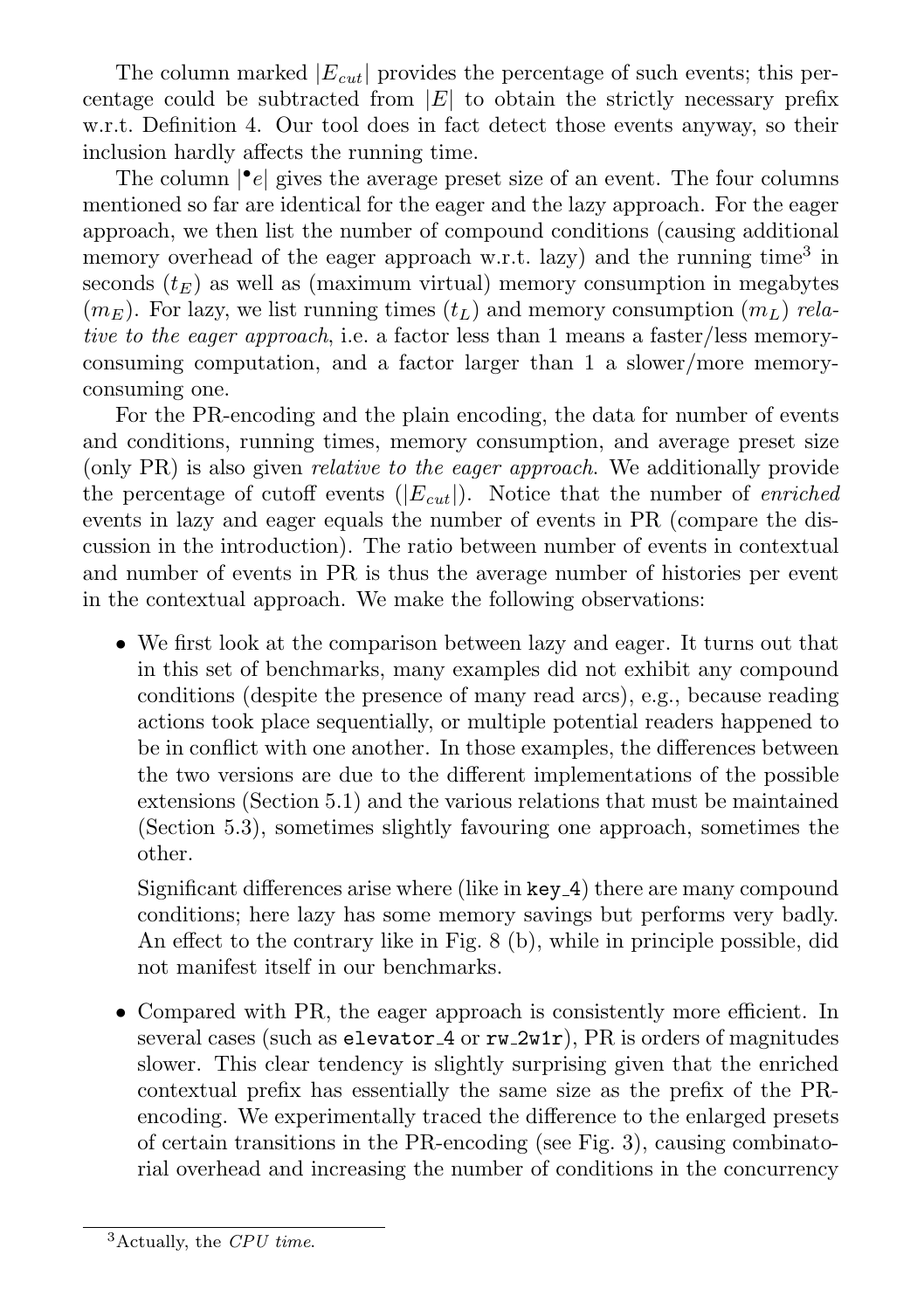The column marked  $|E_{cut}|$  provides the percentage of such events; this percentage could be subtracted from  $|E|$  to obtain the strictly necessary prefix w.r.t. Definition 4. Our tool does in fact detect those events anyway, so their inclusion hardly affects the running time.

The column  $\lvert \cdot \rvert$  gives the average preset size of an event. The four columns mentioned so far are identical for the eager and the lazy approach. For the eager approach, we then list the number of compound conditions (causing additional memory overhead of the eager approach w.r.t. lazy) and the running time<sup>3</sup> in seconds  $(t_E)$  as well as (maximum virtual) memory consumption in megabytes  $(m_E)$ . For lazy, we list running times  $(t_L)$  and memory consumption  $(m_L)$  relative to the eager approach, i.e. a factor less than 1 means a faster/less memoryconsuming computation, and a factor larger than 1 a slower/more memoryconsuming one.

For the PR-encoding and the plain encoding, the data for number of events and conditions, running times, memory consumption, and average preset size (only PR) is also given relative to the eager approach. We additionally provide the percentage of cutoff events  $(|E_{cut}|)$ . Notice that the number of *enriched* events in lazy and eager equals the number of events in PR (compare the discussion in the introduction). The ratio between number of events in contextual and number of events in PR is thus the average number of histories per event in the contextual approach. We make the following observations:

• We first look at the comparison between lazy and eager. It turns out that in this set of benchmarks, many examples did not exhibit any compound conditions (despite the presence of many read arcs), e.g., because reading actions took place sequentially, or multiple potential readers happened to be in conflict with one another. In those examples, the differences between the two versions are due to the different implementations of the possible extensions (Section 5.1) and the various relations that must be maintained (Section 5.3), sometimes slightly favouring one approach, sometimes the other.

Significant differences arise where (like in key 4) there are many compound conditions; here lazy has some memory savings but performs very badly. An effect to the contrary like in Fig. 8 (b), while in principle possible, did not manifest itself in our benchmarks.

• Compared with PR, the eager approach is consistently more efficient. In several cases (such as elevator  $4$  or  $rw_2wtr$ ), PR is orders of magnitudes slower. This clear tendency is slightly surprising given that the enriched contextual prefix has essentially the same size as the prefix of the PRencoding. We experimentally traced the difference to the enlarged presets of certain transitions in the PR-encoding (see Fig. 3), causing combinatorial overhead and increasing the number of conditions in the concurrency

 $3$ Actually, the CPU time.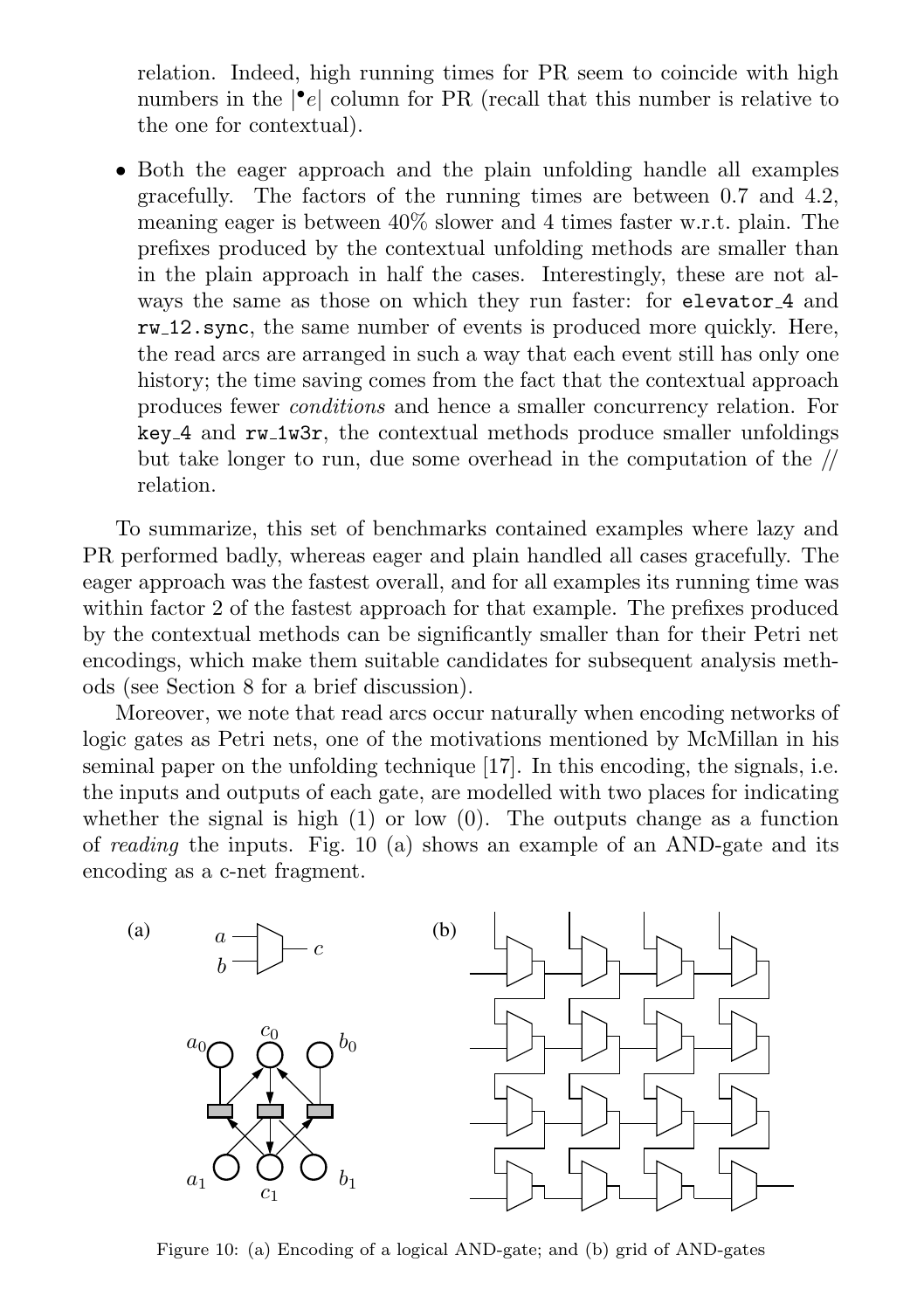relation. Indeed, high running times for PR seem to coincide with high numbers in the  $|\cdot e|$  column for PR (recall that this number is relative to the one for contextual).

• Both the eager approach and the plain unfolding handle all examples gracefully. The factors of the running times are between 0.7 and 4.2, meaning eager is between 40% slower and 4 times faster w.r.t. plain. The prefixes produced by the contextual unfolding methods are smaller than in the plain approach in half the cases. Interestingly, these are not always the same as those on which they run faster: for elevator<sub>4</sub> and rw 12.sync, the same number of events is produced more quickly. Here, the read arcs are arranged in such a way that each event still has only one history; the time saving comes from the fact that the contextual approach produces fewer conditions and hence a smaller concurrency relation. For key 4 and rw 1w3r, the contextual methods produce smaller unfoldings but take longer to run, due some overhead in the computation of the // relation.

To summarize, this set of benchmarks contained examples where lazy and PR performed badly, whereas eager and plain handled all cases gracefully. The eager approach was the fastest overall, and for all examples its running time was within factor 2 of the fastest approach for that example. The prefixes produced by the contextual methods can be significantly smaller than for their Petri net encodings, which make them suitable candidates for subsequent analysis methods (see Section 8 for a brief discussion).

Moreover, we note that read arcs occur naturally when encoding networks of logic gates as Petri nets, one of the motivations mentioned by McMillan in his seminal paper on the unfolding technique [17]. In this encoding, the signals, i.e. the inputs and outputs of each gate, are modelled with two places for indicating whether the signal is high  $(1)$  or low  $(0)$ . The outputs change as a function of reading the inputs. Fig. 10 (a) shows an example of an AND-gate and its encoding as a c-net fragment.



Figure 10: (a) Encoding of a logical AND-gate; and (b) grid of AND-gates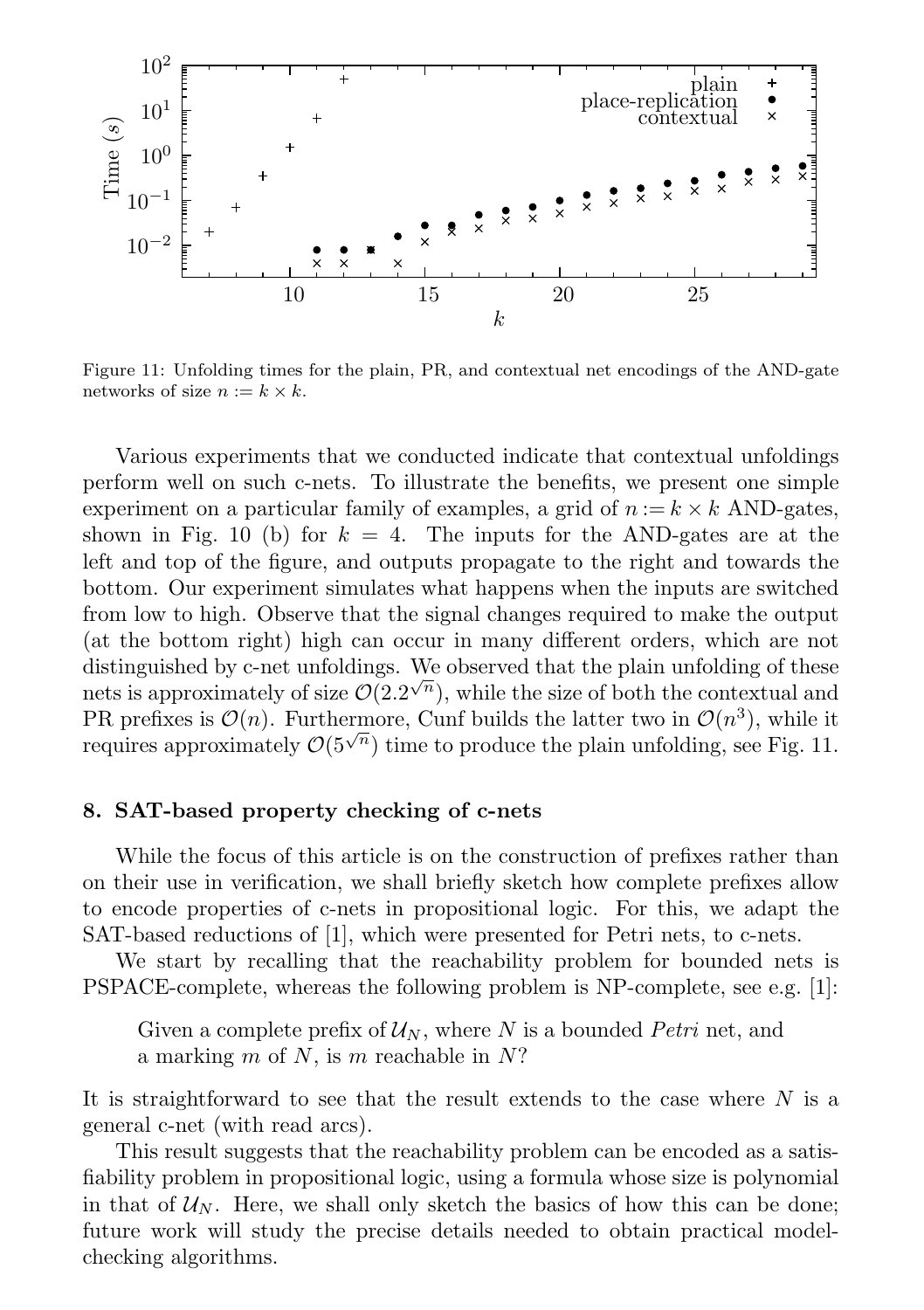

Figure 11: Unfolding times for the plain, PR, and contextual net encodings of the AND-gate networks of size  $n := k \times k$ .

Various experiments that we conducted indicate that contextual unfoldings perform well on such c-nets. To illustrate the benefits, we present one simple experiment on a particular family of examples, a grid of  $n := k \times k$  AND-gates, shown in Fig. 10 (b) for  $k = 4$ . The inputs for the AND-gates are at the left and top of the figure, and outputs propagate to the right and towards the bottom. Our experiment simulates what happens when the inputs are switched from low to high. Observe that the signal changes required to make the output (at the bottom right) high can occur in many different orders, which are not distinguished by c-net unfoldings. We observed that the plain unfolding of these distinguished by e-net unfortings. We observed that the plain unforting of these nets is approximately of size  $\mathcal{O}(2.2^{\sqrt{n}})$ , while the size of both the contextual and PR prefixes is  $\mathcal{O}(n)$ . Furthermore, Cunf builds the latter two in  $\mathcal{O}(n^3)$ , while it requires approximately  $\mathcal{O}(5^{\sqrt{n}})$  time to produce the plain unfolding, see Fig. 11.

# 8. SAT-based property checking of c-nets

While the focus of this article is on the construction of prefixes rather than on their use in verification, we shall briefly sketch how complete prefixes allow to encode properties of c-nets in propositional logic. For this, we adapt the SAT-based reductions of [1], which were presented for Petri nets, to c-nets.

We start by recalling that the reachability problem for bounded nets is PSPACE-complete, whereas the following problem is NP-complete, see e.g. [1]:

Given a complete prefix of  $\mathcal{U}_N$ , where N is a bounded Petri net, and a marking  $m$  of  $N$ , is  $m$  reachable in  $N$ ?

It is straightforward to see that the result extends to the case where N is a general c-net (with read arcs).

This result suggests that the reachability problem can be encoded as a satisfiability problem in propositional logic, using a formula whose size is polynomial in that of  $\mathcal{U}_N$ . Here, we shall only sketch the basics of how this can be done; future work will study the precise details needed to obtain practical modelchecking algorithms.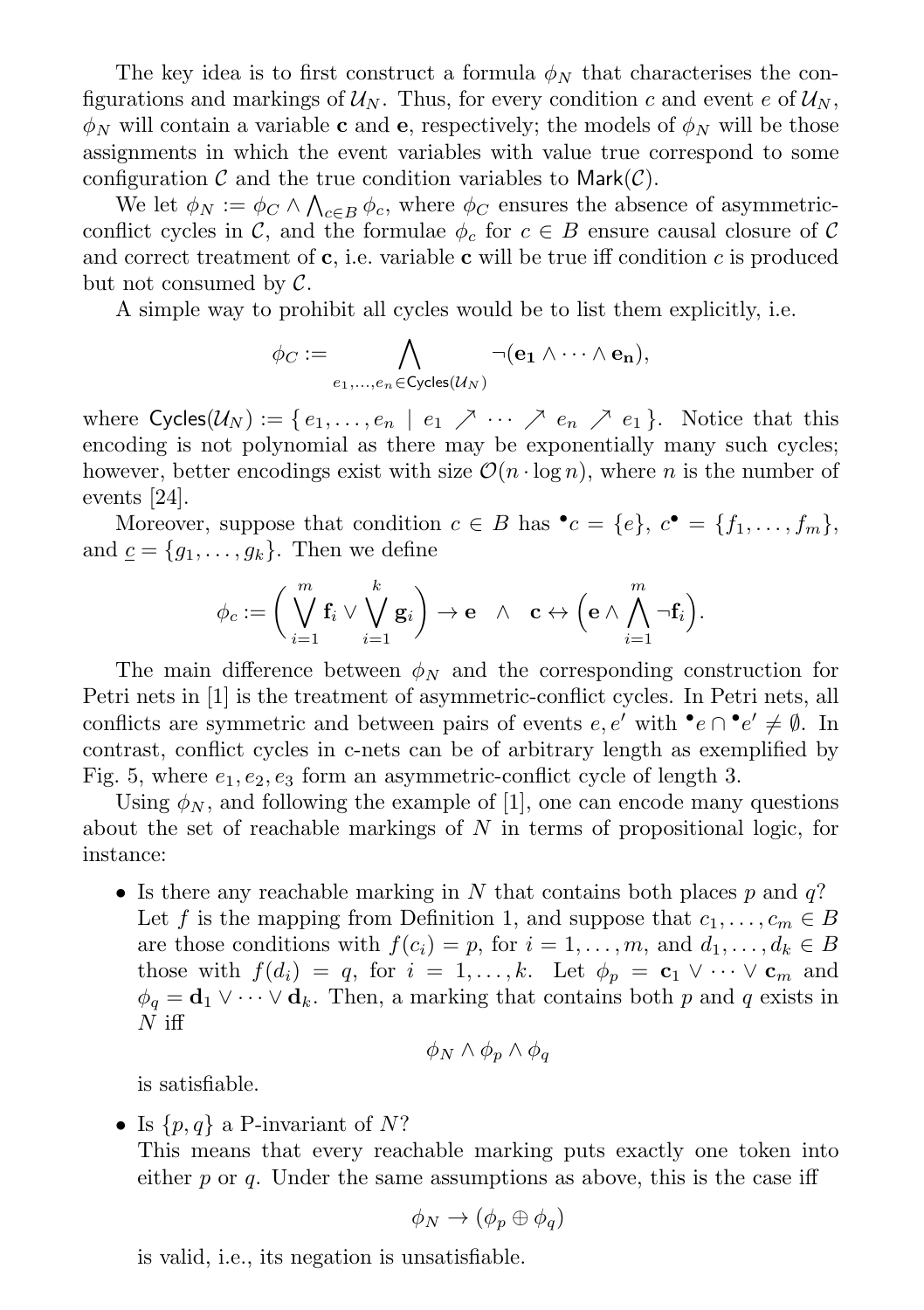The key idea is to first construct a formula  $\phi_N$  that characterises the configurations and markings of  $\mathcal{U}_N$ . Thus, for every condition c and event e of  $\mathcal{U}_N$ ,  $\phi_N$  will contain a variable **c** and **e**, respectively; the models of  $\phi_N$  will be those assignments in which the event variables with value true correspond to some configuration  $\mathcal C$  and the true condition variables to Mark $(\mathcal C)$ .

We let  $\phi_N := \phi_C \wedge \bigwedge_{c \in B} \phi_c$ , where  $\phi_C$  ensures the absence of asymmetricconflict cycles in C, and the formulae  $\phi_c$  for  $c \in B$  ensure causal closure of C and correct treatment of  $c$ , i.e. variable  $c$  will be true iff condition  $c$  is produced but not consumed by  $\mathcal{C}.$ 

A simple way to prohibit all cycles would be to list them explicitly, i.e.

$$
\phi_C := \bigwedge_{e_1,\ldots,e_n \in \text{Cycles}(\mathcal{U}_N)} \neg(\mathbf{e_1} \wedge \cdots \wedge \mathbf{e_n}),
$$

where  $\textsf{Cycles}(\mathcal{U}_N) := \{e_1, \ldots, e_n \mid e_1 \nearrow \cdots \nearrow e_n \nearrow e_1\}.$  Notice that this encoding is not polynomial as there may be exponentially many such cycles; however, better encodings exist with size  $\mathcal{O}(n \cdot \log n)$ , where n is the number of events [24].

Moreover, suppose that condition  $c \in B$  has  $\bullet c = \{e\}, c \bullet = \{f_1, \ldots, f_m\},\$ and  $\underline{c} = \{g_1, \ldots, g_k\}$ . Then we define

$$
\phi_c := \bigg( \bigvee_{i=1}^m \mathbf{f}_i \vee \bigvee_{i=1}^k \mathbf{g}_i \bigg) \to \mathbf{e} \quad \wedge \quad \mathbf{c} \leftrightarrow \Big( \mathbf{e} \wedge \bigwedge_{i=1}^m \neg \mathbf{f}_i \Big).
$$

The main difference between  $\phi_N$  and the corresponding construction for Petri nets in [1] is the treatment of asymmetric-conflict cycles. In Petri nets, all conflicts are symmetric and between pairs of events  $e, e'$  with  $\bullet e \cap \bullet e' \neq \emptyset$ . In contrast, conflict cycles in c-nets can be of arbitrary length as exemplified by Fig. 5, where  $e_1, e_2, e_3$  form an asymmetric-conflict cycle of length 3.

Using  $\phi_N$ , and following the example of [1], one can encode many questions about the set of reachable markings of  $N$  in terms of propositional logic, for instance:

• Is there any reachable marking in N that contains both places p and  $q$ ? Let f is the mapping from Definition 1, and suppose that  $c_1, \ldots, c_m \in B$ are those conditions with  $f(c_i) = p$ , for  $i = 1, \ldots, m$ , and  $d_1, \ldots, d_k \in B$ those with  $f(d_i) = q$ , for  $i = 1, ..., k$ . Let  $\phi_p = \mathbf{c}_1 \vee \cdots \vee \mathbf{c}_m$  and  $\phi_q = \mathbf{d}_1 \vee \cdots \vee \mathbf{d}_k$ . Then, a marking that contains both p and q exists in  $N$  iff

$$
\phi_N \wedge \phi_p \wedge \phi_q
$$

is satisfiable.

• Is  $\{p,q\}$  a P-invariant of N?

This means that every reachable marking puts exactly one token into either p or q. Under the same assumptions as above, this is the case iff

$$
\phi_N \to (\phi_p \oplus \phi_q)
$$

is valid, i.e., its negation is unsatisfiable.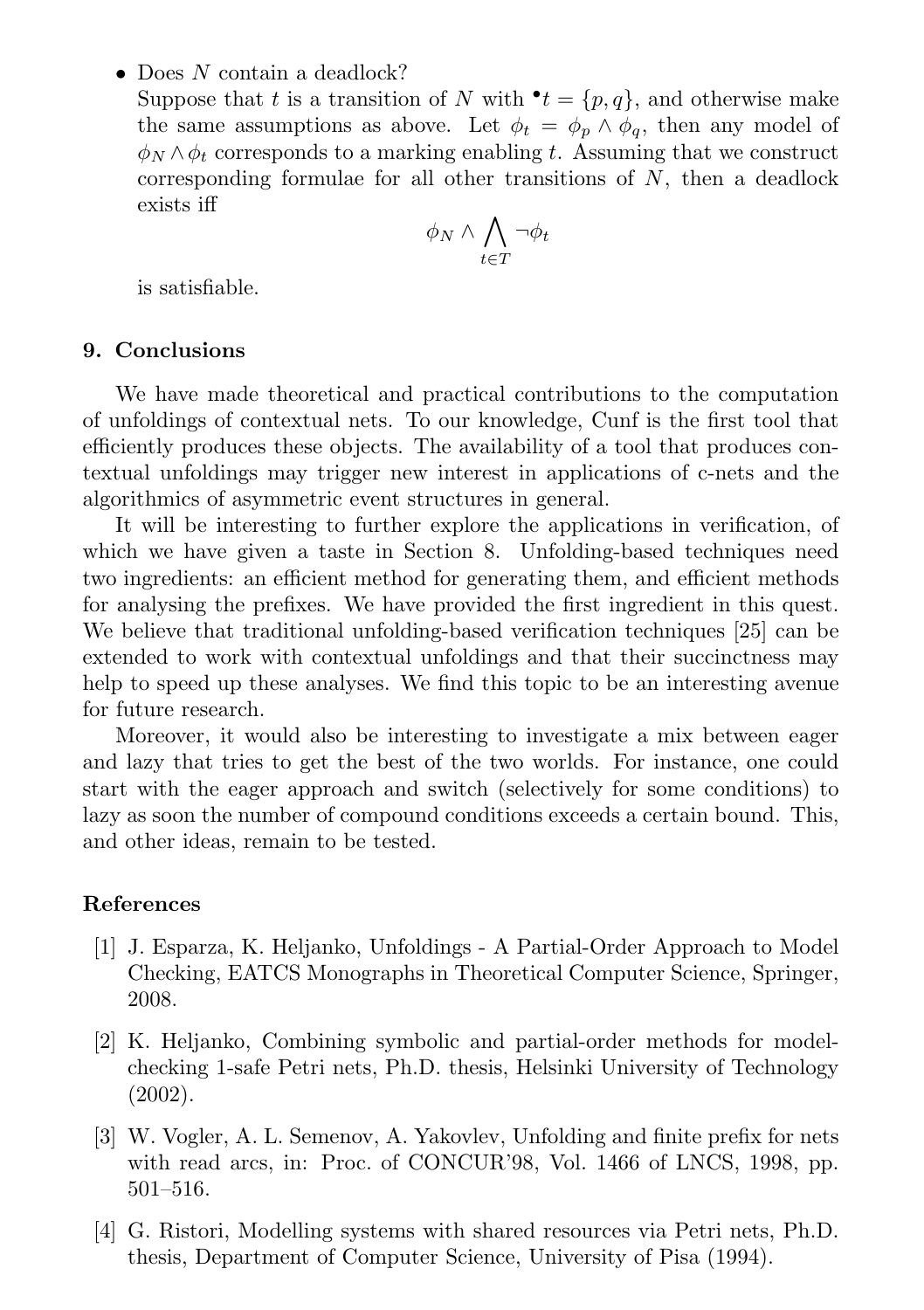• Does N contain a deadlock?

Suppose that t is a transition of N with  $\mathbf{t} = \{p, q\}$ , and otherwise make the same assumptions as above. Let  $\phi_t = \phi_n \wedge \phi_a$ , then any model of  $\phi_N \wedge \phi_t$  corresponds to a marking enabling t. Assuming that we construct corresponding formulae for all other transitions of  $N$ , then a deadlock exists iff

$$
\phi_N \wedge \bigwedge_{t \in T} \neg \phi_t
$$

is satisfiable.

# 9. Conclusions

We have made theoretical and practical contributions to the computation of unfoldings of contextual nets. To our knowledge, Cunf is the first tool that efficiently produces these objects. The availability of a tool that produces contextual unfoldings may trigger new interest in applications of c-nets and the algorithmics of asymmetric event structures in general.

It will be interesting to further explore the applications in verification, of which we have given a taste in Section 8. Unfolding-based techniques need two ingredients: an efficient method for generating them, and efficient methods for analysing the prefixes. We have provided the first ingredient in this quest. We believe that traditional unfolding-based verification techniques [25] can be extended to work with contextual unfoldings and that their succinctness may help to speed up these analyses. We find this topic to be an interesting avenue for future research.

Moreover, it would also be interesting to investigate a mix between eager and lazy that tries to get the best of the two worlds. For instance, one could start with the eager approach and switch (selectively for some conditions) to lazy as soon the number of compound conditions exceeds a certain bound. This, and other ideas, remain to be tested.

### References

- [1] J. Esparza, K. Heljanko, Unfoldings A Partial-Order Approach to Model Checking, EATCS Monographs in Theoretical Computer Science, Springer, 2008.
- [2] K. Heljanko, Combining symbolic and partial-order methods for modelchecking 1-safe Petri nets, Ph.D. thesis, Helsinki University of Technology (2002).
- [3] W. Vogler, A. L. Semenov, A. Yakovlev, Unfolding and finite prefix for nets with read arcs, in: Proc. of CONCUR'98, Vol. 1466 of LNCS, 1998, pp. 501–516.
- [4] G. Ristori, Modelling systems with shared resources via Petri nets, Ph.D. thesis, Department of Computer Science, University of Pisa (1994).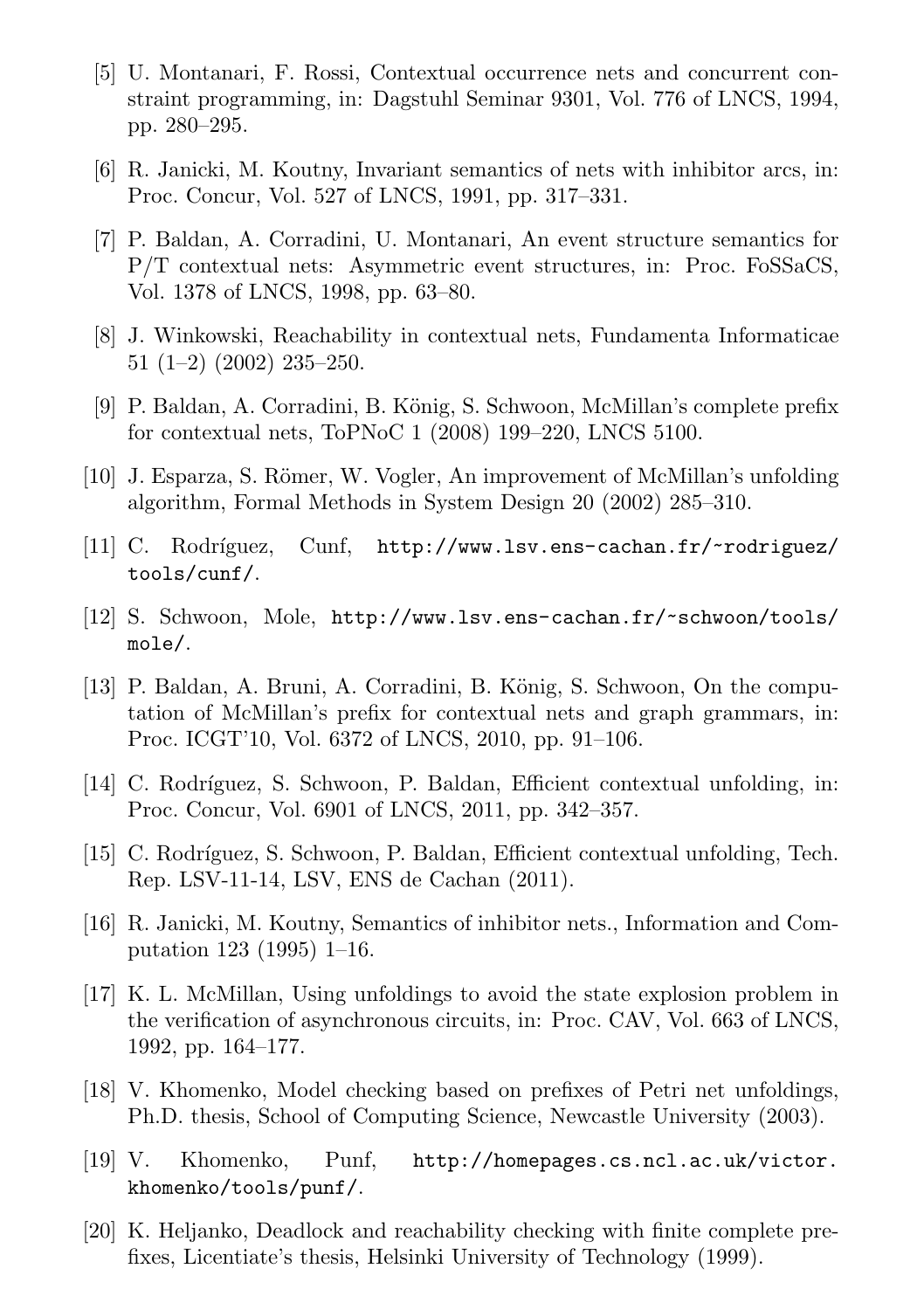- [5] U. Montanari, F. Rossi, Contextual occurrence nets and concurrent constraint programming, in: Dagstuhl Seminar 9301, Vol. 776 of LNCS, 1994, pp. 280–295.
- [6] R. Janicki, M. Koutny, Invariant semantics of nets with inhibitor arcs, in: Proc. Concur, Vol. 527 of LNCS, 1991, pp. 317–331.
- [7] P. Baldan, A. Corradini, U. Montanari, An event structure semantics for P/T contextual nets: Asymmetric event structures, in: Proc. FoSSaCS, Vol. 1378 of LNCS, 1998, pp. 63–80.
- [8] J. Winkowski, Reachability in contextual nets, Fundamenta Informaticae  $51$   $(1-2)$   $(2002)$   $235-250$ .
- [9] P. Baldan, A. Corradini, B. König, S. Schwoon, McMillan's complete prefix for contextual nets, ToPNoC 1 (2008) 199–220, LNCS 5100.
- [10] J. Esparza, S. Römer, W. Vogler, An improvement of McMillan's unfolding algorithm, Formal Methods in System Design 20 (2002) 285–310.
- [11] C. Rodríguez, Cunf, http://www.lsv.ens-cachan.fr/~rodriguez/ tools/cunf/.
- [12] S. Schwoon, Mole, http://www.lsv.ens-cachan.fr/~schwoon/tools/ mole/.
- [13] P. Baldan, A. Bruni, A. Corradini, B. König, S. Schwoon, On the computation of McMillan's prefix for contextual nets and graph grammars, in: Proc. ICGT'10, Vol. 6372 of LNCS, 2010, pp. 91–106.
- [14] C. Rodríguez, S. Schwoon, P. Baldan, Efficient contextual unfolding, in: Proc. Concur, Vol. 6901 of LNCS, 2011, pp. 342–357.
- [15] C. Rodríguez, S. Schwoon, P. Baldan, Efficient contextual unfolding, Tech. Rep. LSV-11-14, LSV, ENS de Cachan (2011).
- [16] R. Janicki, M. Koutny, Semantics of inhibitor nets., Information and Computation 123 (1995) 1–16.
- [17] K. L. McMillan, Using unfoldings to avoid the state explosion problem in the verification of asynchronous circuits, in: Proc. CAV, Vol. 663 of LNCS, 1992, pp. 164–177.
- [18] V. Khomenko, Model checking based on prefixes of Petri net unfoldings, Ph.D. thesis, School of Computing Science, Newcastle University (2003).
- [19] V. Khomenko, Punf, http://homepages.cs.ncl.ac.uk/victor. khomenko/tools/punf/.
- [20] K. Heljanko, Deadlock and reachability checking with finite complete prefixes, Licentiate's thesis, Helsinki University of Technology (1999).